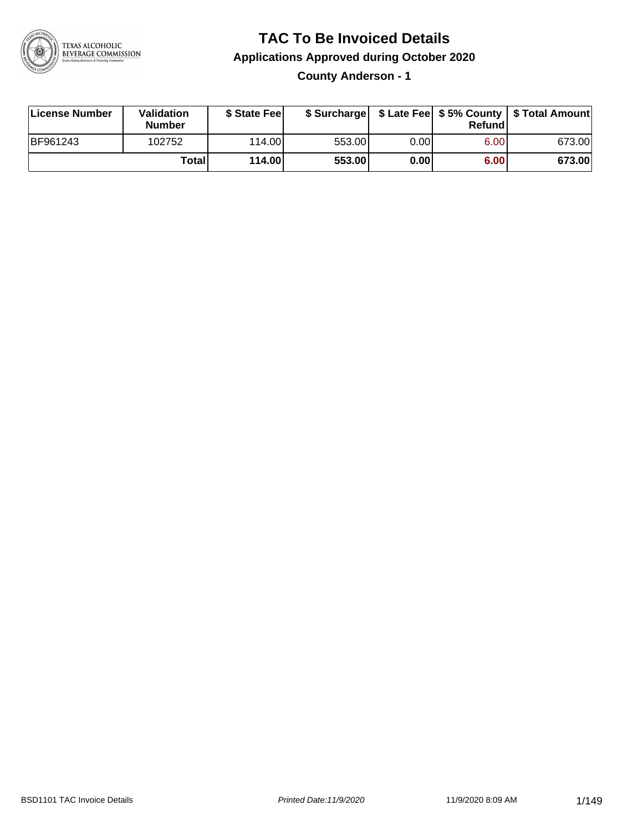

### **TAC To Be Invoiced Details**

#### **Applications Approved during October 2020**

**County Anderson - 1**

| License Number  | Validation<br><b>Number</b> | \$ State Feel | \$ Surcharge |       | Refundl |        |
|-----------------|-----------------------------|---------------|--------------|-------|---------|--------|
| <b>BF961243</b> | 102752                      | 114.00        | 553.00       | 0.001 | 6.00    | 673.00 |
|                 | Totall                      | 114.00        | 553.00       | 0.00  | 6.00    | 673.00 |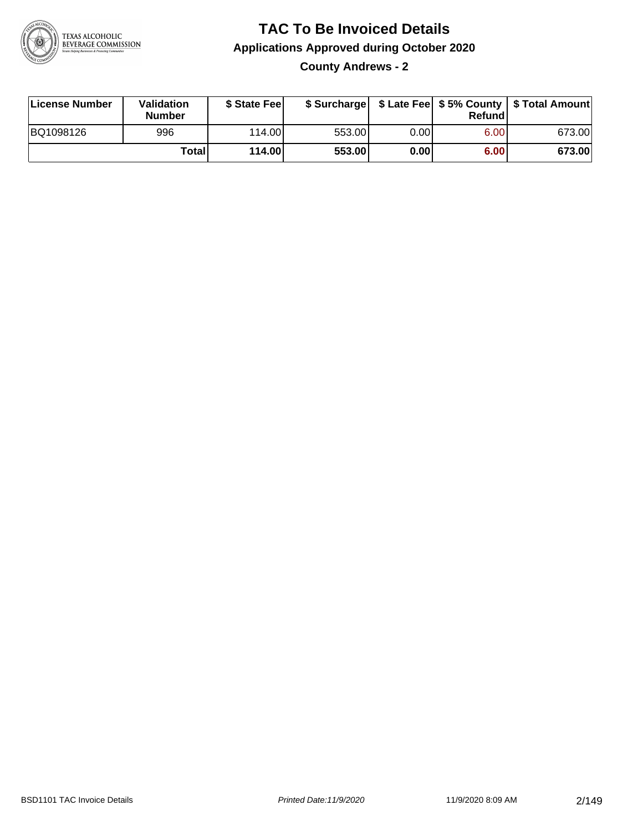

**County Andrews - 2**

| License Number | Validation<br><b>Number</b> | \$ State Fee    | \$ Surcharge |       | Refundl |        |
|----------------|-----------------------------|-----------------|--------------|-------|---------|--------|
| BQ1098126      | 996                         | 114.00 <b>1</b> | 553.00       | 0.001 | 6.00    | 673.00 |
|                | Totall                      | 114.00          | 553.00       | 0.00  | 6.00    | 673.00 |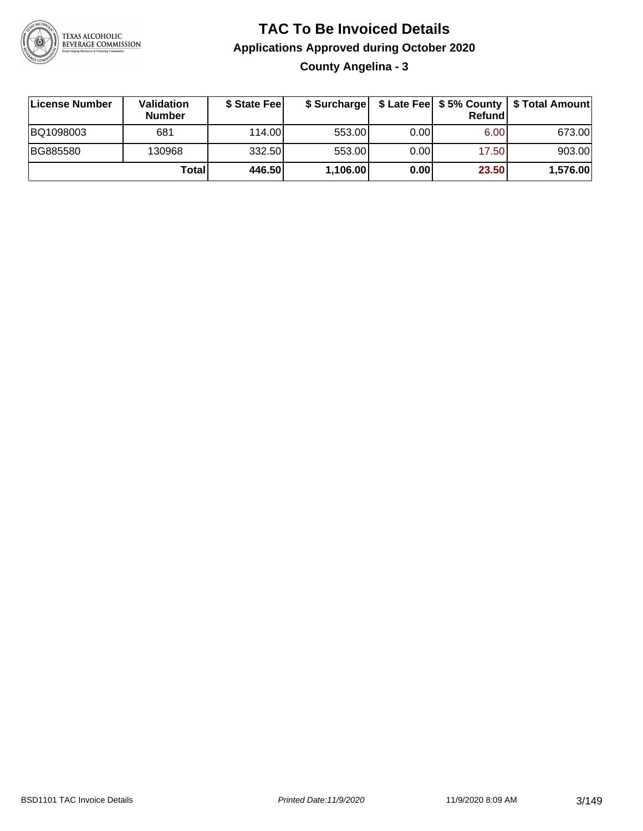

**County Angelina - 3**

| License Number | Validation<br><b>Number</b> | \$ State Feel |          |       | Refundl | \$ Surcharge   \$ Late Fee   \$5% County   \$ Total Amount |
|----------------|-----------------------------|---------------|----------|-------|---------|------------------------------------------------------------|
| BQ1098003      | 681                         | 114.00        | 553.00   | 0.00  | 6.00    | 673.00                                                     |
| BG885580       | 130968                      | 332.50        | 553.00   | 0.001 | 17.50   | 903.00                                                     |
|                | Totall                      | 446.50        | 1,106.00 | 0.00  | 23.50   | 1,576.00                                                   |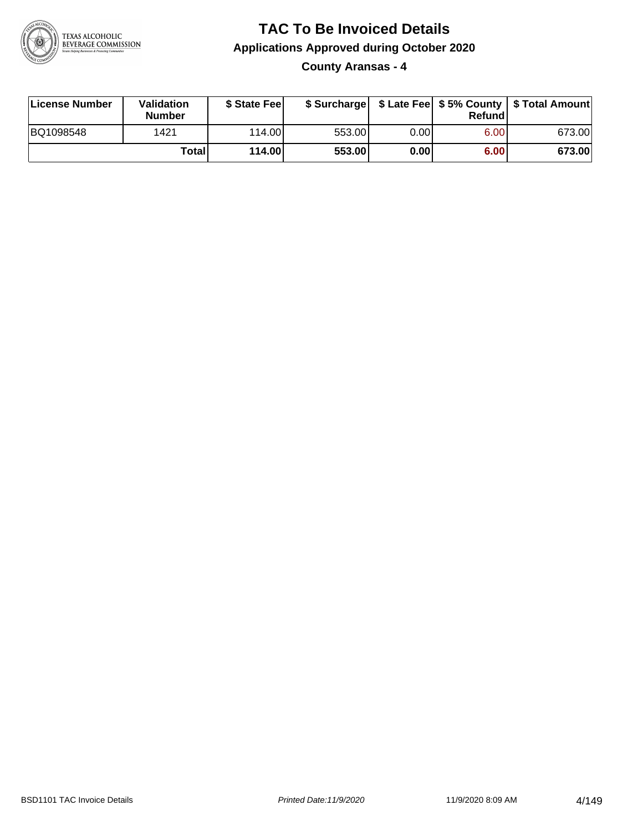

**County Aransas - 4**

| License Number | Validation<br><b>Number</b> | \$ State Feel |        |      | Refundl | \$ Surcharge   \$ Late Fee   \$5% County   \$ Total Amount |
|----------------|-----------------------------|---------------|--------|------|---------|------------------------------------------------------------|
| BQ1098548      | 1421                        | 114.00        | 553.00 | 0.00 | 6.00    | 673.00                                                     |
|                | Totall                      | 114.00        | 553.00 | 0.00 | 6.00    | 673.00                                                     |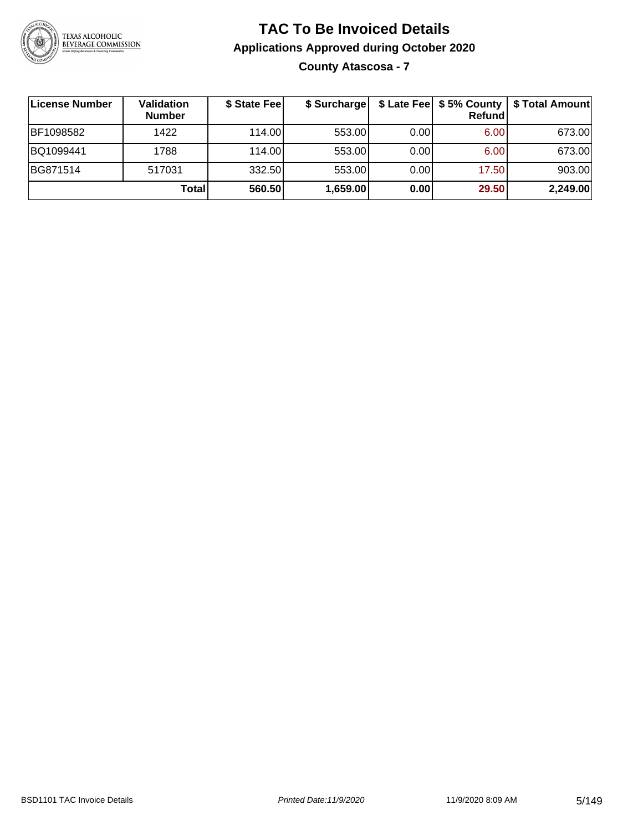

**County Atascosa - 7**

| ∣License Number | Validation<br><b>Number</b> | \$ State Fee | \$ Surcharge |      | Refundl | \$ Late Fee   \$5% County   \$ Total Amount |
|-----------------|-----------------------------|--------------|--------------|------|---------|---------------------------------------------|
| BF1098582       | 1422                        | 114.00       | 553.00       | 0.00 | 6.00    | 673.00                                      |
| BQ1099441       | 1788                        | 114.00       | 553.00       | 0.00 | 6.00    | 673.00                                      |
| BG871514        | 517031                      | 332.50       | 553.00       | 0.00 | 17.50   | 903.00                                      |
|                 | Total                       | 560.50       | 1,659.00     | 0.00 | 29.50   | 2,249.00                                    |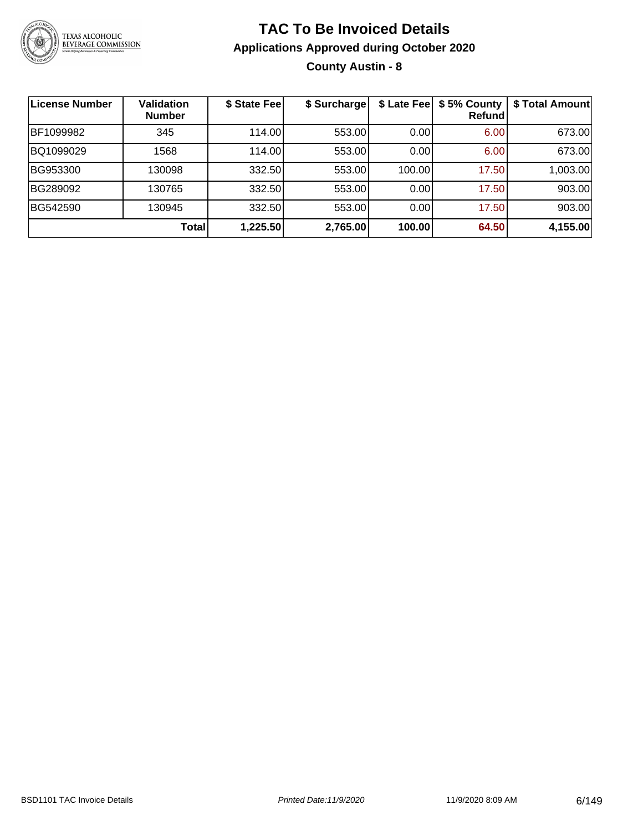

### **TAC To Be Invoiced Details Applications Approved during October 2020 County Austin - 8**

| License Number | <b>Validation</b><br><b>Number</b> | \$ State Fee | \$ Surcharge | \$ Late Fee | \$5% County<br>Refundl | \$ Total Amount |
|----------------|------------------------------------|--------------|--------------|-------------|------------------------|-----------------|
| BF1099982      | 345                                | 114.00       | 553.00       | 0.00        | 6.00                   | 673.00          |
| BQ1099029      | 1568                               | 114.00       | 553.00       | 0.00        | 6.00                   | 673.00          |
| BG953300       | 130098                             | 332.50       | 553.00       | 100.00      | 17.50                  | 1,003.00        |
| BG289092       | 130765                             | 332.50       | 553.00       | 0.00        | 17.50                  | 903.00          |
| BG542590       | 130945                             | 332.50       | 553.00       | 0.00        | 17.50                  | 903.00          |
|                | Total                              | 1,225.50     | 2,765.00     | 100.00      | 64.50                  | 4,155.00        |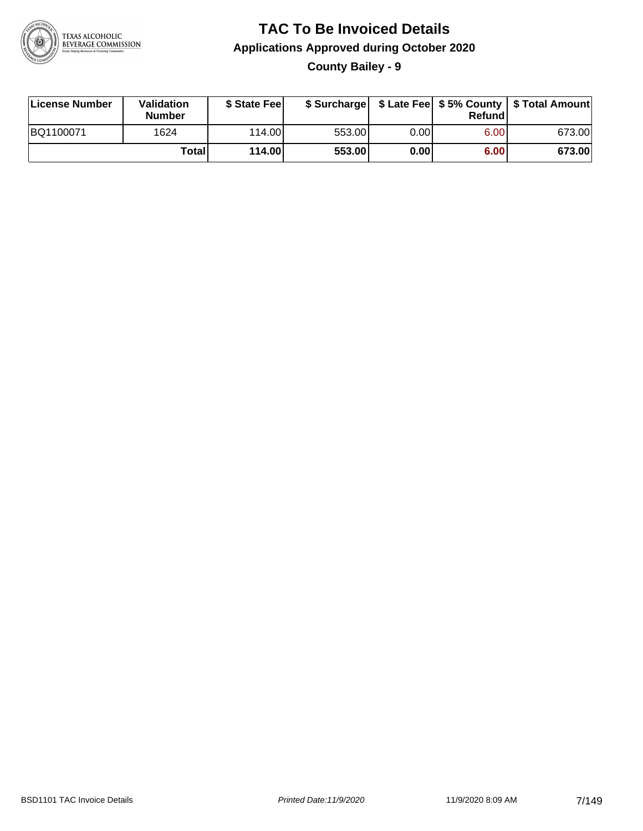

**County Bailey - 9**

| License Number | Validation<br><b>Number</b> | \$ State Feel |        |      | Refundl | \$ Surcharge   \$ Late Fee   \$5% County   \$ Total Amount |
|----------------|-----------------------------|---------------|--------|------|---------|------------------------------------------------------------|
| BQ1100071      | 1624                        | 114.00        | 553.00 | 0.00 | 6.00    | 673.00                                                     |
|                | Totall                      | 114.00        | 553.00 | 0.00 | 6.00    | 673.00                                                     |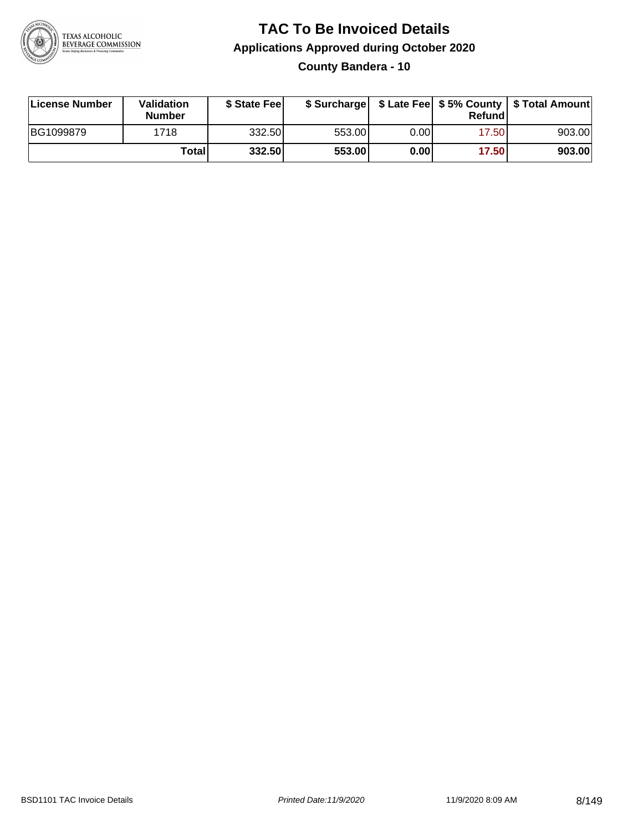

#### **TAC To Be Invoiced Details Applications Approved during October 2020 County Bandera - 10**

| License Number | Validation<br><b>Number</b> | \$ State Feel |        |      | Refund | \$ Surcharge   \$ Late Fee   \$5% County   \$ Total Amount |
|----------------|-----------------------------|---------------|--------|------|--------|------------------------------------------------------------|
| BG1099879      | 1718                        | 332.50        | 553.00 | 0.00 | 17.50  | 903.00                                                     |
|                | Totall                      | 332.50        | 553.00 | 0.00 | 17.50  | 903.00                                                     |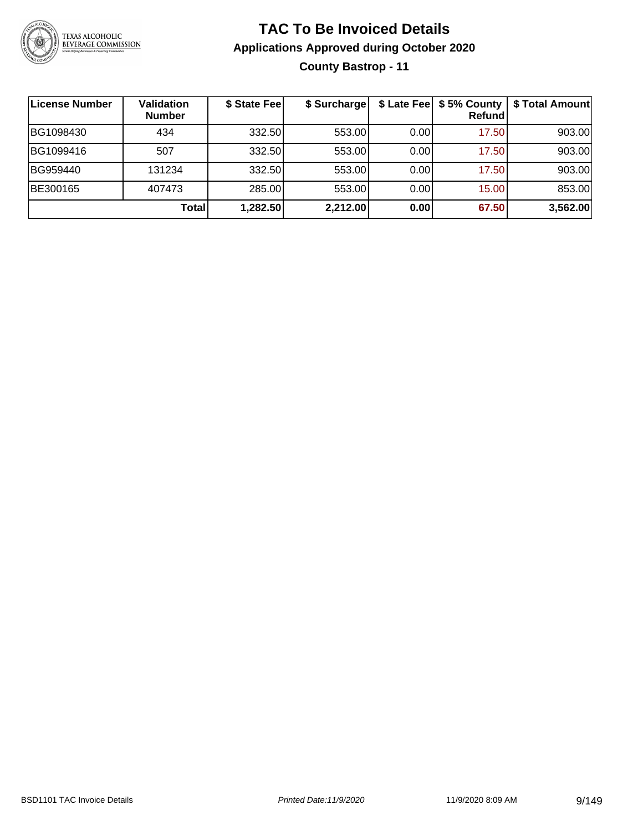

### **TAC To Be Invoiced Details Applications Approved during October 2020 County Bastrop - 11**

| License Number | <b>Validation</b><br><b>Number</b> | \$ State Fee | \$ Surcharge |      | Refundl | \$ Late Fee   \$5% County   \$ Total Amount |
|----------------|------------------------------------|--------------|--------------|------|---------|---------------------------------------------|
| BG1098430      | 434                                | 332.50       | 553.00       | 0.00 | 17.50   | 903.00                                      |
| BG1099416      | 507                                | 332.50       | 553.00       | 0.00 | 17.50   | 903.00                                      |
| BG959440       | 131234                             | 332.50       | 553.00       | 0.00 | 17.50   | 903.00                                      |
| BE300165       | 407473                             | 285.00       | 553.00       | 0.00 | 15.00   | 853.00                                      |
|                | Total                              | 1,282.50     | 2,212.00     | 0.00 | 67.50   | 3,562.00                                    |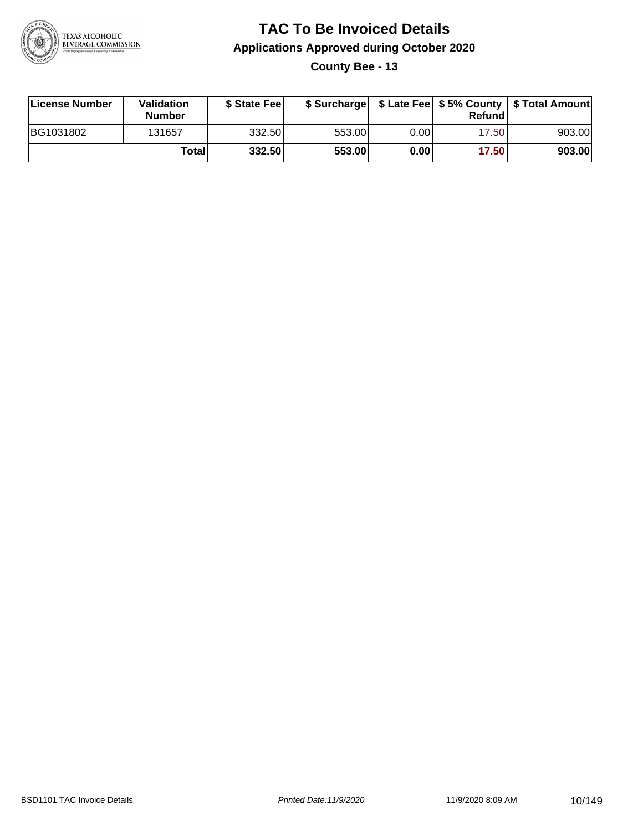

**County Bee - 13**

| License Number | Validation<br><b>Number</b> | \$ State Fee | \$ Surcharge |      | Refundl |        |
|----------------|-----------------------------|--------------|--------------|------|---------|--------|
| BG1031802      | 131657                      | 332.50       | 553.00       | 0.00 | 17.501  | 903.00 |
|                | Totall                      | 332.50       | 553.00       | 0.00 | 17.50   | 903.00 |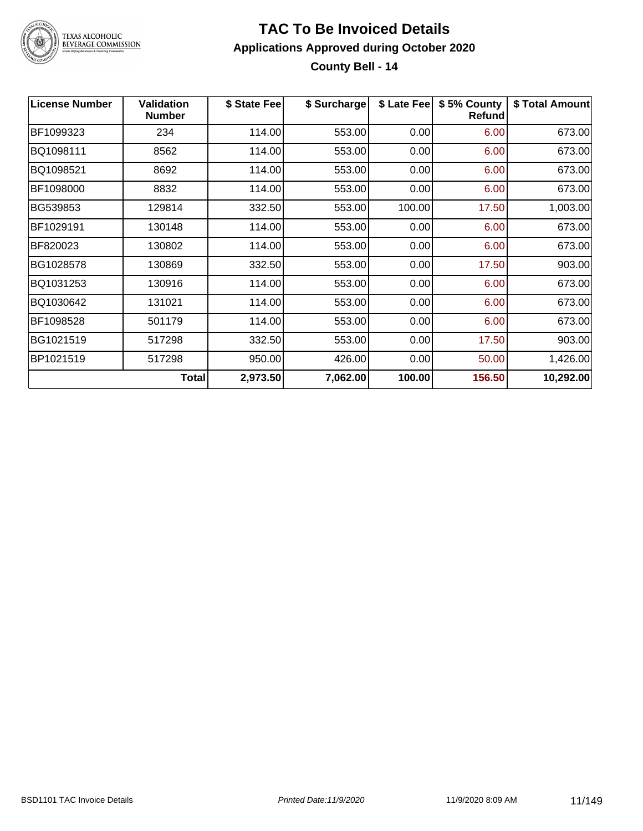

### TEXAS ALCOHOLIC<br>BEVERAGE COMMISSION

#### **TAC To Be Invoiced Details Applications Approved during October 2020 County Bell - 14**

| <b>License Number</b> | <b>Validation</b><br><b>Number</b> | \$ State Fee | \$ Surcharge | \$ Late Fee | \$5% County<br><b>Refund</b> | \$ Total Amount |
|-----------------------|------------------------------------|--------------|--------------|-------------|------------------------------|-----------------|
| BF1099323             | 234                                | 114.00       | 553.00       | 0.00        | 6.00                         | 673.00          |
| BQ1098111             | 8562                               | 114.00       | 553.00       | 0.00        | 6.00                         | 673.00          |
| BQ1098521             | 8692                               | 114.00       | 553.00       | 0.00        | 6.00                         | 673.00          |
| BF1098000             | 8832                               | 114.00       | 553.00       | 0.00        | 6.00                         | 673.00          |
| BG539853              | 129814                             | 332.50       | 553.00       | 100.00      | 17.50                        | 1,003.00        |
| BF1029191             | 130148                             | 114.00       | 553.00       | 0.00        | 6.00                         | 673.00          |
| BF820023              | 130802                             | 114.00       | 553.00       | 0.00        | 6.00                         | 673.00          |
| BG1028578             | 130869                             | 332.50       | 553.00       | 0.00        | 17.50                        | 903.00          |
| BQ1031253             | 130916                             | 114.00       | 553.00       | 0.00        | 6.00                         | 673.00          |
| BQ1030642             | 131021                             | 114.00       | 553.00       | 0.00        | 6.00                         | 673.00          |
| BF1098528             | 501179                             | 114.00       | 553.00       | 0.00        | 6.00                         | 673.00          |
| BG1021519             | 517298                             | 332.50       | 553.00       | 0.00        | 17.50                        | 903.00          |
| BP1021519             | 517298                             | 950.00       | 426.00       | 0.00        | 50.00                        | 1,426.00        |
|                       | <b>Total</b>                       | 2,973.50     | 7,062.00     | 100.00      | 156.50                       | 10,292.00       |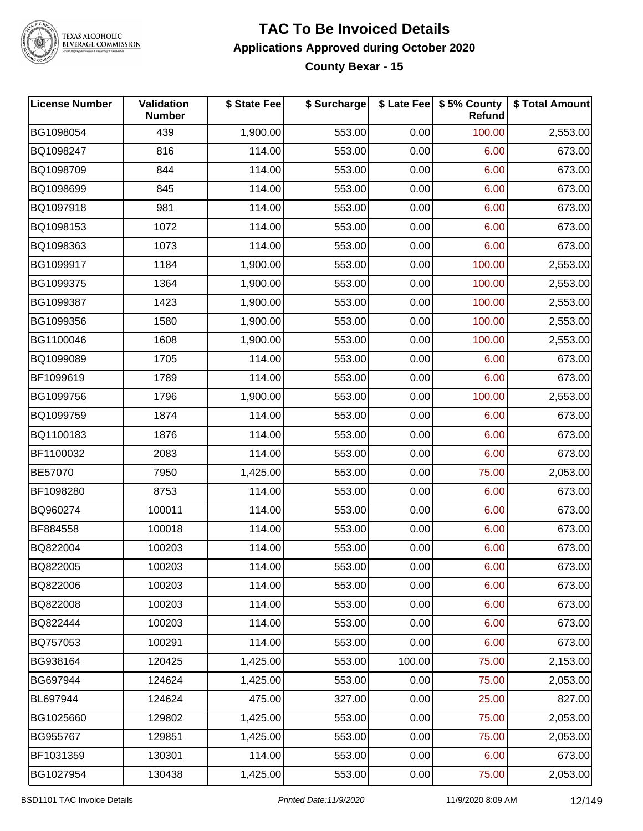

TEXAS ALCOHOLIC<br>BEVERAGE COMMISSION

#### **TAC To Be Invoiced Details Applications Approved during October 2020 County Bexar - 15**

| <b>License Number</b> | <b>Validation</b><br><b>Number</b> | \$ State Fee | \$ Surcharge |        | \$ Late Fee \$ 5% County<br><b>Refund</b> | \$ Total Amount |
|-----------------------|------------------------------------|--------------|--------------|--------|-------------------------------------------|-----------------|
| BG1098054             | 439                                | 1,900.00     | 553.00       | 0.00   | 100.00                                    | 2,553.00        |
| BQ1098247             | 816                                | 114.00       | 553.00       | 0.00   | 6.00                                      | 673.00          |
| BQ1098709             | 844                                | 114.00       | 553.00       | 0.00   | 6.00                                      | 673.00          |
| BQ1098699             | 845                                | 114.00       | 553.00       | 0.00   | 6.00                                      | 673.00          |
| BQ1097918             | 981                                | 114.00       | 553.00       | 0.00   | 6.00                                      | 673.00          |
| BQ1098153             | 1072                               | 114.00       | 553.00       | 0.00   | 6.00                                      | 673.00          |
| BQ1098363             | 1073                               | 114.00       | 553.00       | 0.00   | 6.00                                      | 673.00          |
| BG1099917             | 1184                               | 1,900.00     | 553.00       | 0.00   | 100.00                                    | 2,553.00        |
| BG1099375             | 1364                               | 1,900.00     | 553.00       | 0.00   | 100.00                                    | 2,553.00        |
| BG1099387             | 1423                               | 1,900.00     | 553.00       | 0.00   | 100.00                                    | 2,553.00        |
| BG1099356             | 1580                               | 1,900.00     | 553.00       | 0.00   | 100.00                                    | 2,553.00        |
| BG1100046             | 1608                               | 1,900.00     | 553.00       | 0.00   | 100.00                                    | 2,553.00        |
| BQ1099089             | 1705                               | 114.00       | 553.00       | 0.00   | 6.00                                      | 673.00          |
| BF1099619             | 1789                               | 114.00       | 553.00       | 0.00   | 6.00                                      | 673.00          |
| BG1099756             | 1796                               | 1,900.00     | 553.00       | 0.00   | 100.00                                    | 2,553.00        |
| BQ1099759             | 1874                               | 114.00       | 553.00       | 0.00   | 6.00                                      | 673.00          |
| BQ1100183             | 1876                               | 114.00       | 553.00       | 0.00   | 6.00                                      | 673.00          |
| BF1100032             | 2083                               | 114.00       | 553.00       | 0.00   | 6.00                                      | 673.00          |
| BE57070               | 7950                               | 1,425.00     | 553.00       | 0.00   | 75.00                                     | 2,053.00        |
| BF1098280             | 8753                               | 114.00       | 553.00       | 0.00   | 6.00                                      | 673.00          |
| BQ960274              | 100011                             | 114.00       | 553.00       | 0.00   | 6.00                                      | 673.00          |
| BF884558              | 100018                             | 114.00       | 553.00       | 0.00   | 6.00                                      | 673.00          |
| BQ822004              | 100203                             | 114.00       | 553.00       | 0.00   | 6.00                                      | 673.00          |
| BQ822005              | 100203                             | 114.00       | 553.00       | 0.00   | 6.00                                      | 673.00          |
| BQ822006              | 100203                             | 114.00       | 553.00       | 0.00   | 6.00                                      | 673.00          |
| BQ822008              | 100203                             | 114.00       | 553.00       | 0.00   | 6.00                                      | 673.00          |
| BQ822444              | 100203                             | 114.00       | 553.00       | 0.00   | 6.00                                      | 673.00          |
| BQ757053              | 100291                             | 114.00       | 553.00       | 0.00   | 6.00                                      | 673.00          |
| BG938164              | 120425                             | 1,425.00     | 553.00       | 100.00 | 75.00                                     | 2,153.00        |
| BG697944              | 124624                             | 1,425.00     | 553.00       | 0.00   | 75.00                                     | 2,053.00        |
| BL697944              | 124624                             | 475.00       | 327.00       | 0.00   | 25.00                                     | 827.00          |
| BG1025660             | 129802                             | 1,425.00     | 553.00       | 0.00   | 75.00                                     | 2,053.00        |
| BG955767              | 129851                             | 1,425.00     | 553.00       | 0.00   | 75.00                                     | 2,053.00        |
| BF1031359             | 130301                             | 114.00       | 553.00       | 0.00   | 6.00                                      | 673.00          |
| BG1027954             | 130438                             | 1,425.00     | 553.00       | 0.00   | 75.00                                     | 2,053.00        |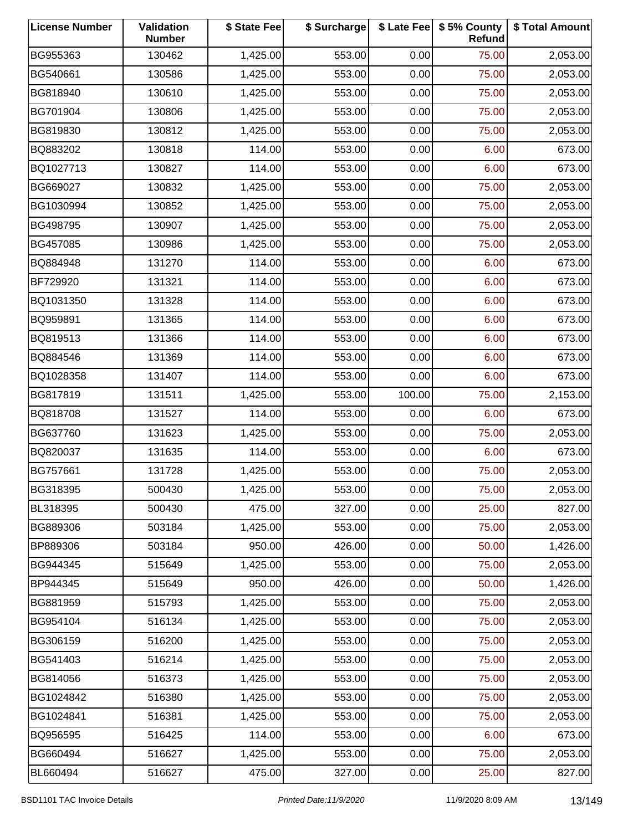| <b>License Number</b> | Validation<br><b>Number</b> | \$ State Fee | \$ Surcharge |        | \$ Late Fee   \$5% County<br>Refund | \$ Total Amount |
|-----------------------|-----------------------------|--------------|--------------|--------|-------------------------------------|-----------------|
| BG955363              | 130462                      | 1,425.00     | 553.00       | 0.00   | 75.00                               | 2,053.00        |
| BG540661              | 130586                      | 1,425.00     | 553.00       | 0.00   | 75.00                               | 2,053.00        |
| BG818940              | 130610                      | 1,425.00     | 553.00       | 0.00   | 75.00                               | 2,053.00        |
| BG701904              | 130806                      | 1,425.00     | 553.00       | 0.00   | 75.00                               | 2,053.00        |
| BG819830              | 130812                      | 1,425.00     | 553.00       | 0.00   | 75.00                               | 2,053.00        |
| BQ883202              | 130818                      | 114.00       | 553.00       | 0.00   | 6.00                                | 673.00          |
| BQ1027713             | 130827                      | 114.00       | 553.00       | 0.00   | 6.00                                | 673.00          |
| BG669027              | 130832                      | 1,425.00     | 553.00       | 0.00   | 75.00                               | 2,053.00        |
| BG1030994             | 130852                      | 1,425.00     | 553.00       | 0.00   | 75.00                               | 2,053.00        |
| BG498795              | 130907                      | 1,425.00     | 553.00       | 0.00   | 75.00                               | 2,053.00        |
| BG457085              | 130986                      | 1,425.00     | 553.00       | 0.00   | 75.00                               | 2,053.00        |
| BQ884948              | 131270                      | 114.00       | 553.00       | 0.00   | 6.00                                | 673.00          |
| BF729920              | 131321                      | 114.00       | 553.00       | 0.00   | 6.00                                | 673.00          |
| BQ1031350             | 131328                      | 114.00       | 553.00       | 0.00   | 6.00                                | 673.00          |
| BQ959891              | 131365                      | 114.00       | 553.00       | 0.00   | 6.00                                | 673.00          |
| BQ819513              | 131366                      | 114.00       | 553.00       | 0.00   | 6.00                                | 673.00          |
| BQ884546              | 131369                      | 114.00       | 553.00       | 0.00   | 6.00                                | 673.00          |
| BQ1028358             | 131407                      | 114.00       | 553.00       | 0.00   | 6.00                                | 673.00          |
| BG817819              | 131511                      | 1,425.00     | 553.00       | 100.00 | 75.00                               | 2,153.00        |
| BQ818708              | 131527                      | 114.00       | 553.00       | 0.00   | 6.00                                | 673.00          |
| BG637760              | 131623                      | 1,425.00     | 553.00       | 0.00   | 75.00                               | 2,053.00        |
| BQ820037              | 131635                      | 114.00       | 553.00       | 0.00   | 6.00                                | 673.00          |
| BG757661              | 131728                      | 1,425.00     | 553.00       | 0.00   | 75.00                               | 2,053.00        |
| BG318395              | 500430                      | 1,425.00     | 553.00       | 0.00   | 75.00                               | 2,053.00        |
| BL318395              | 500430                      | 475.00       | 327.00       | 0.00   | 25.00                               | 827.00          |
| BG889306              | 503184                      | 1,425.00     | 553.00       | 0.00   | 75.00                               | 2,053.00        |
| BP889306              | 503184                      | 950.00       | 426.00       | 0.00   | 50.00                               | 1,426.00        |
| BG944345              | 515649                      | 1,425.00     | 553.00       | 0.00   | 75.00                               | 2,053.00        |
| BP944345              | 515649                      | 950.00       | 426.00       | 0.00   | 50.00                               | 1,426.00        |
| BG881959              | 515793                      | 1,425.00     | 553.00       | 0.00   | 75.00                               | 2,053.00        |
| BG954104              | 516134                      | 1,425.00     | 553.00       | 0.00   | 75.00                               | 2,053.00        |
| BG306159              | 516200                      | 1,425.00     | 553.00       | 0.00   | 75.00                               | 2,053.00        |
| BG541403              | 516214                      | 1,425.00     | 553.00       | 0.00   | 75.00                               | 2,053.00        |
| BG814056              | 516373                      | 1,425.00     | 553.00       | 0.00   | 75.00                               | 2,053.00        |
| BG1024842             | 516380                      | 1,425.00     | 553.00       | 0.00   | 75.00                               | 2,053.00        |
| BG1024841             | 516381                      | 1,425.00     | 553.00       | 0.00   | 75.00                               | 2,053.00        |
| BQ956595              | 516425                      | 114.00       | 553.00       | 0.00   | 6.00                                | 673.00          |
| BG660494              | 516627                      | 1,425.00     | 553.00       | 0.00   | 75.00                               | 2,053.00        |
| BL660494              | 516627                      | 475.00       | 327.00       | 0.00   | 25.00                               | 827.00          |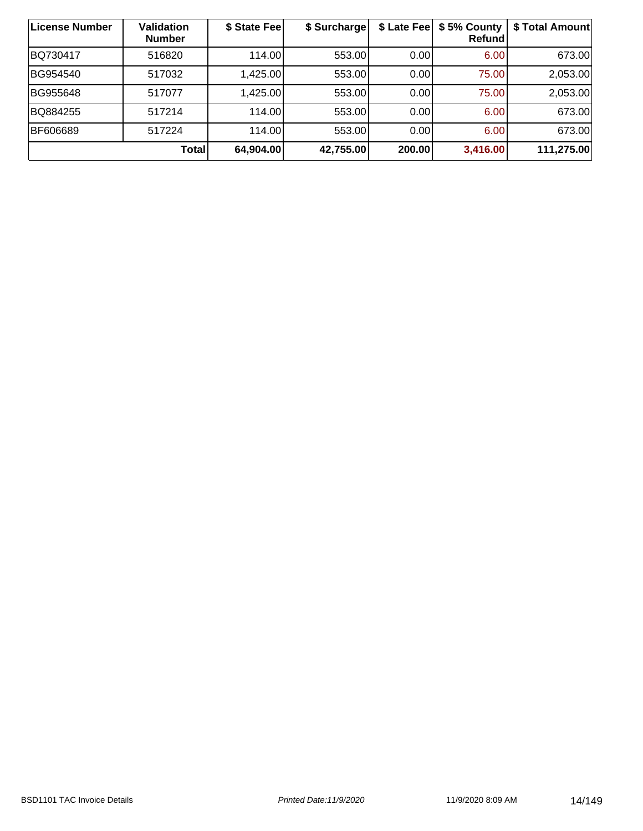| License Number | Validation<br><b>Number</b> | \$ State Fee | \$ Surcharge |        | \$ Late Fee   \$5% County<br>Refund | \$ Total Amount |
|----------------|-----------------------------|--------------|--------------|--------|-------------------------------------|-----------------|
| BQ730417       | 516820                      | 114.00       | 553.00       | 0.00   | 6.00                                | 673.00          |
| BG954540       | 517032                      | 1,425.00     | 553.00       | 0.00   | 75.00                               | 2,053.00        |
| BG955648       | 517077                      | 1,425.00     | 553.00       | 0.00   | 75.00                               | 2,053.00        |
| BQ884255       | 517214                      | 114.00       | 553.00       | 0.00   | 6.00                                | 673.00          |
| BF606689       | 517224                      | 114.00       | 553.00       | 0.00   | 6.00                                | 673.00          |
|                | <b>Total</b>                | 64,904.00    | 42,755.00    | 200.00 | 3,416.00                            | 111,275.00      |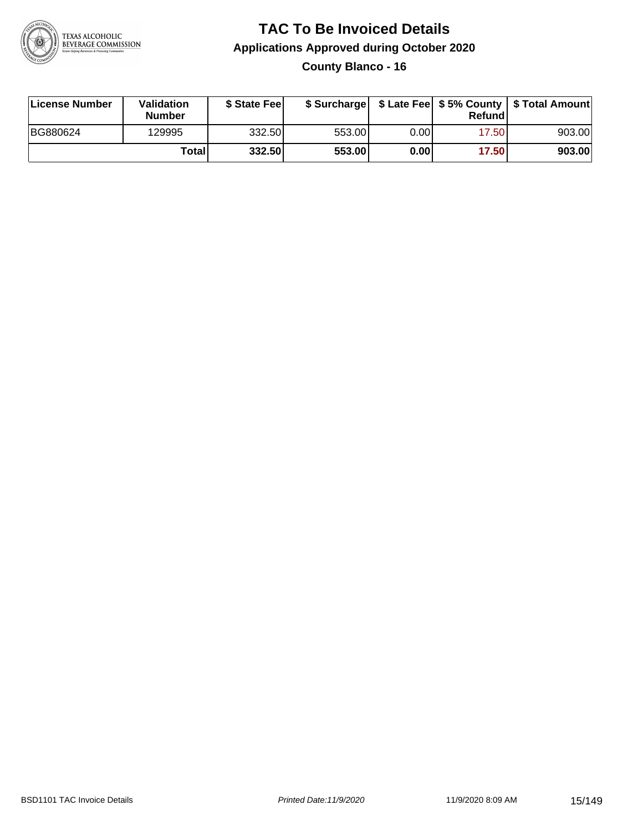

**County Blanco - 16**

| License Number | Validation<br><b>Number</b> | \$ State Feel |        |       | Refundl | \$ Surcharge   \$ Late Fee   \$5% County   \$ Total Amount |
|----------------|-----------------------------|---------------|--------|-------|---------|------------------------------------------------------------|
| BG880624       | 129995                      | 332.50        | 553.00 | 0.001 | 17.50   | 903.00                                                     |
|                | Totall                      | 332.50        | 553.00 | 0.00  | 17.50   | 903.00                                                     |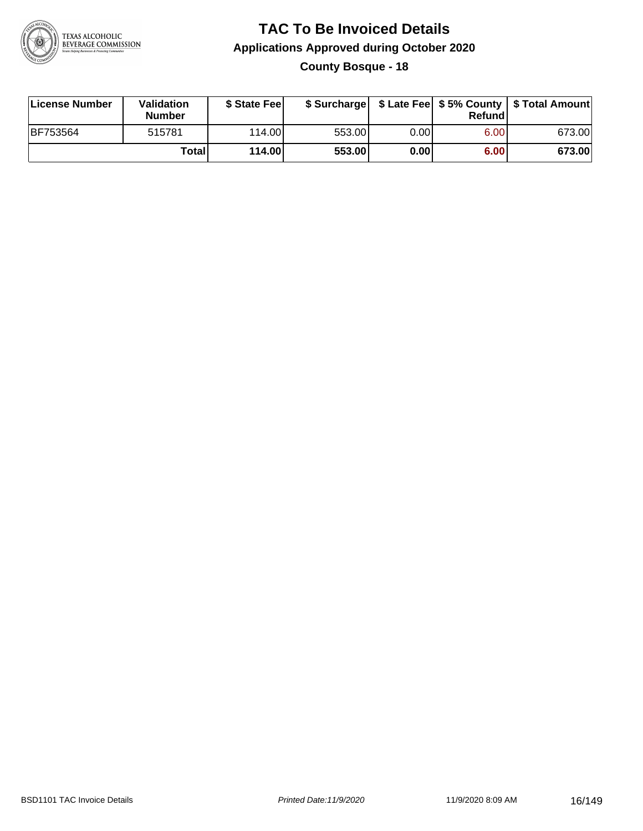

**County Bosque - 18**

| License Number | <b>Validation</b><br><b>Number</b> | \$ State Fee |        |      | Refundl | \$ Surcharge   \$ Late Fee   \$5% County   \$ Total Amount |
|----------------|------------------------------------|--------------|--------|------|---------|------------------------------------------------------------|
| BF753564       | 515781                             | 114.00L      | 553.00 | 0.00 | 6.00    | 673.00                                                     |
|                | Totall                             | 114.00       | 553.00 | 0.00 | 6.00    | 673.00                                                     |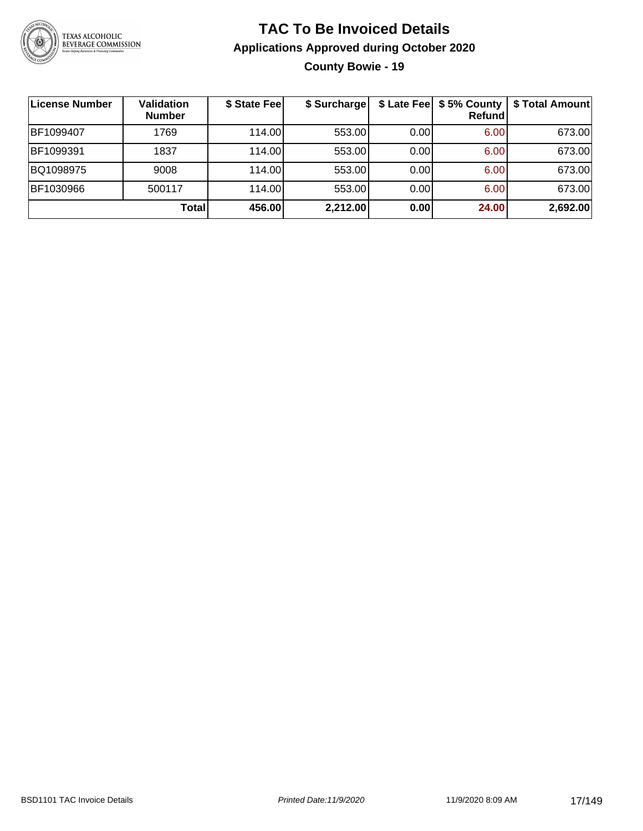

### **TAC To Be Invoiced Details Applications Approved during October 2020 County Bowie - 19**

| ∣License Number | Validation<br><b>Number</b> | \$ State Fee | \$ Surcharge | \$ Late Fee | \$5% County<br>Refundl | \$ Total Amount |
|-----------------|-----------------------------|--------------|--------------|-------------|------------------------|-----------------|
| BF1099407       | 1769                        | 114.00       | 553.00       | 0.00        | 6.00                   | 673.00          |
| BF1099391       | 1837                        | 114.00       | 553.00       | 0.00        | 6.00                   | 673.00          |
| BQ1098975       | 9008                        | 114.00       | 553.00       | 0.00        | 6.00                   | 673.00          |
| BF1030966       | 500117                      | 114.00       | 553.00       | 0.00        | 6.00                   | 673.00          |
|                 | Total                       | 456.00       | 2,212.00     | 0.00        | 24.00                  | 2,692.00        |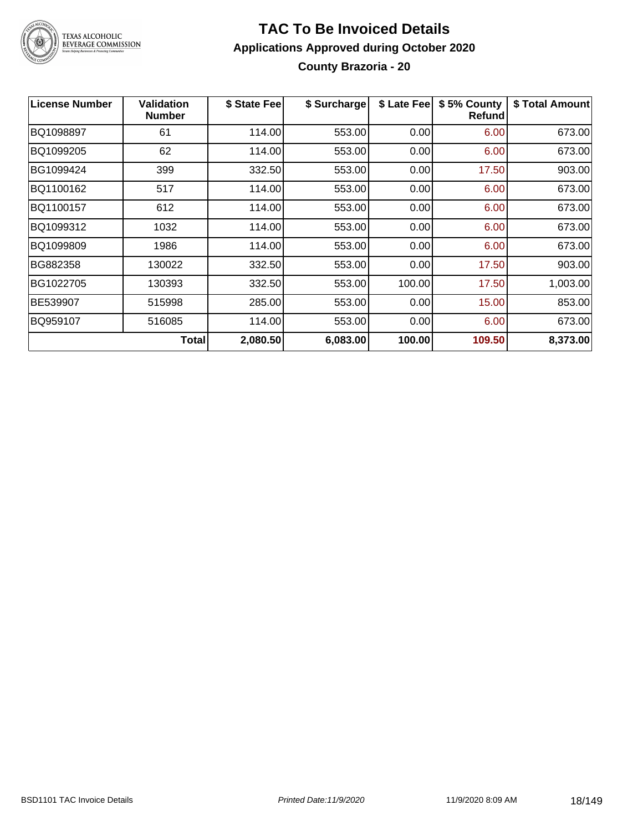

### **TAC To Be Invoiced Details Applications Approved during October 2020 County Brazoria - 20**

| <b>License Number</b> | <b>Validation</b><br><b>Number</b> | \$ State Fee | \$ Surcharge | \$ Late Fee | \$5% County<br><b>Refund</b> | \$ Total Amount |
|-----------------------|------------------------------------|--------------|--------------|-------------|------------------------------|-----------------|
| BQ1098897             | 61                                 | 114.00       | 553.00       | 0.00        | 6.00                         | 673.00          |
| BQ1099205             | 62                                 | 114.00       | 553.00       | 0.00        | 6.00                         | 673.00          |
| BG1099424             | 399                                | 332.50       | 553.00       | 0.00        | 17.50                        | 903.00          |
| BQ1100162             | 517                                | 114.00       | 553.00       | 0.00        | 6.00                         | 673.00          |
| BQ1100157             | 612                                | 114.00       | 553.00       | 0.00        | 6.00                         | 673.00          |
| BQ1099312             | 1032                               | 114.00       | 553.00       | 0.00        | 6.00                         | 673.00          |
| BQ1099809             | 1986                               | 114.00       | 553.00       | 0.00        | 6.00                         | 673.00          |
| BG882358              | 130022                             | 332.50       | 553.00       | 0.00        | 17.50                        | 903.00          |
| BG1022705             | 130393                             | 332.50       | 553.00       | 100.00      | 17.50                        | 1,003.00        |
| BE539907              | 515998                             | 285.00       | 553.00       | 0.00        | 15.00                        | 853.00          |
| BQ959107              | 516085                             | 114.00       | 553.00       | 0.00        | 6.00                         | 673.00          |
|                       | Total                              | 2,080.50     | 6,083.00     | 100.00      | 109.50                       | 8,373.00        |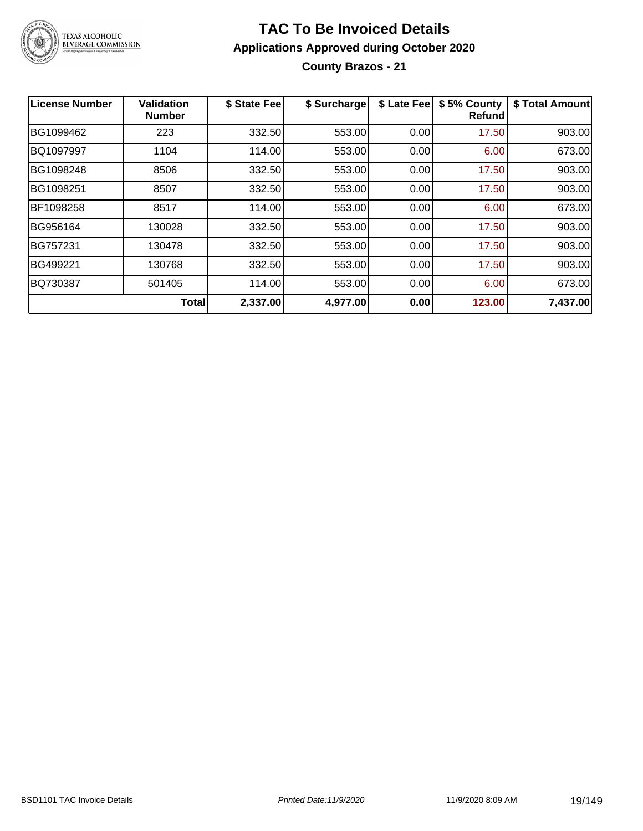

**County Brazos - 21**

| License Number | Validation<br><b>Number</b> | \$ State Fee | \$ Surcharge | \$ Late Fee | \$5% County<br>Refundl | \$ Total Amount |
|----------------|-----------------------------|--------------|--------------|-------------|------------------------|-----------------|
| BG1099462      | 223                         | 332.50       | 553.00       | 0.00        | 17.50                  | 903.00          |
| BQ1097997      | 1104                        | 114.00       | 553.00       | 0.00        | 6.00                   | 673.00          |
| BG1098248      | 8506                        | 332.50       | 553.00       | 0.00        | 17.50                  | 903.00          |
| BG1098251      | 8507                        | 332.50       | 553.00       | 0.00        | 17.50                  | 903.00          |
| BF1098258      | 8517                        | 114.00       | 553.00       | 0.00        | 6.00                   | 673.00          |
| BG956164       | 130028                      | 332.50       | 553.00       | 0.00        | 17.50                  | 903.00          |
| BG757231       | 130478                      | 332.50       | 553.00       | 0.00        | 17.50                  | 903.00          |
| BG499221       | 130768                      | 332.50       | 553.00       | 0.00        | 17.50                  | 903.00          |
| BQ730387       | 501405                      | 114.00       | 553.00       | 0.00        | 6.00                   | 673.00          |
|                | Total                       | 2,337.00     | 4,977.00     | 0.00        | 123.00                 | 7,437.00        |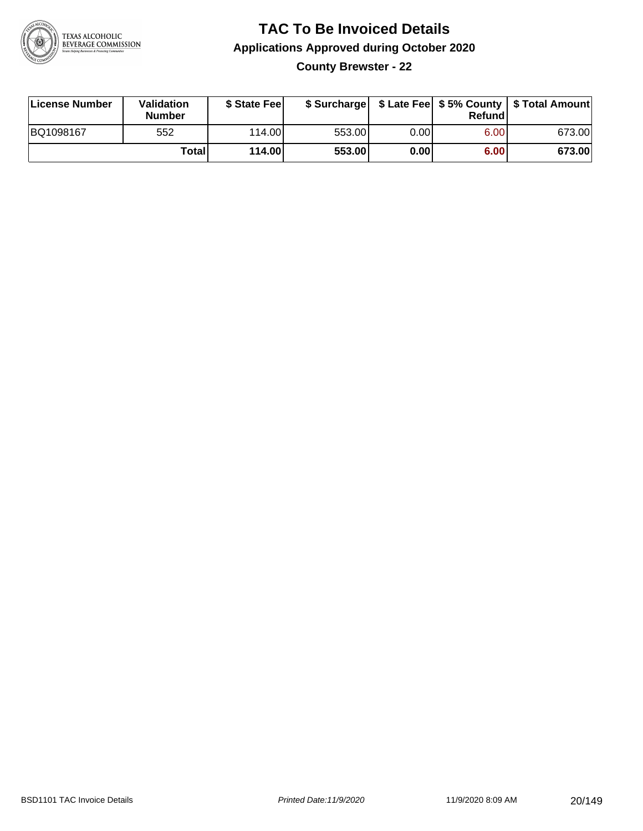

**County Brewster - 22**

| License Number | Validation<br><b>Number</b> | \$ State Feel |        |      | Refundl | \$ Surcharge   \$ Late Fee   \$5% County   \$ Total Amount |
|----------------|-----------------------------|---------------|--------|------|---------|------------------------------------------------------------|
| BQ1098167      | 552                         | 114.00        | 553.00 | 0.00 | 6.00    | 673.00                                                     |
|                | <b>Total</b>                | 114.00        | 553.00 | 0.00 | 6.00    | 673.00                                                     |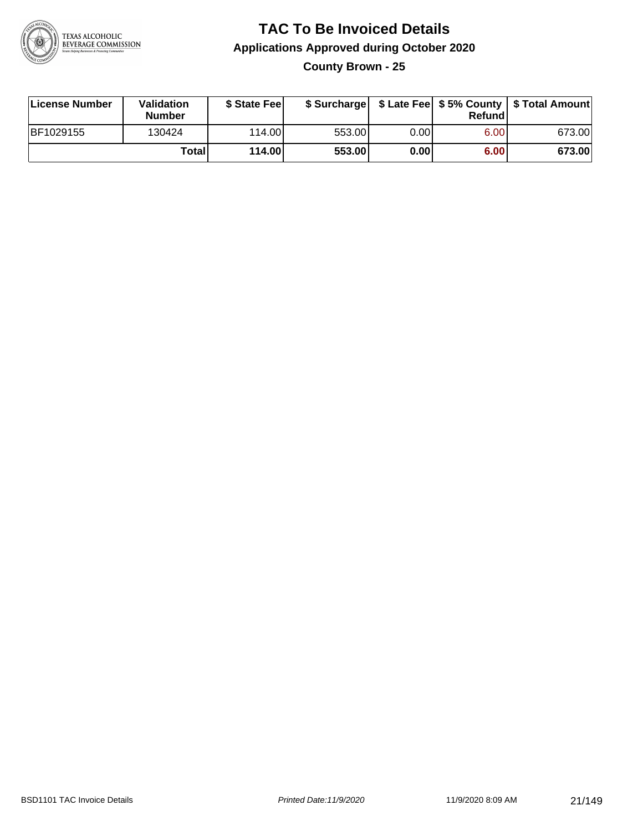

**County Brown - 25**

| License Number | Validation<br><b>Number</b> | \$ State Fee |        |      | Refundl | \$ Surcharge   \$ Late Fee   \$5% County   \$ Total Amount |
|----------------|-----------------------------|--------------|--------|------|---------|------------------------------------------------------------|
| BF1029155      | 130424                      | 114.00       | 553.00 | 0.00 | 6.00    | 673.00                                                     |
|                | Totall                      | 114.00       | 553.00 | 0.00 | 6.00    | 673.00                                                     |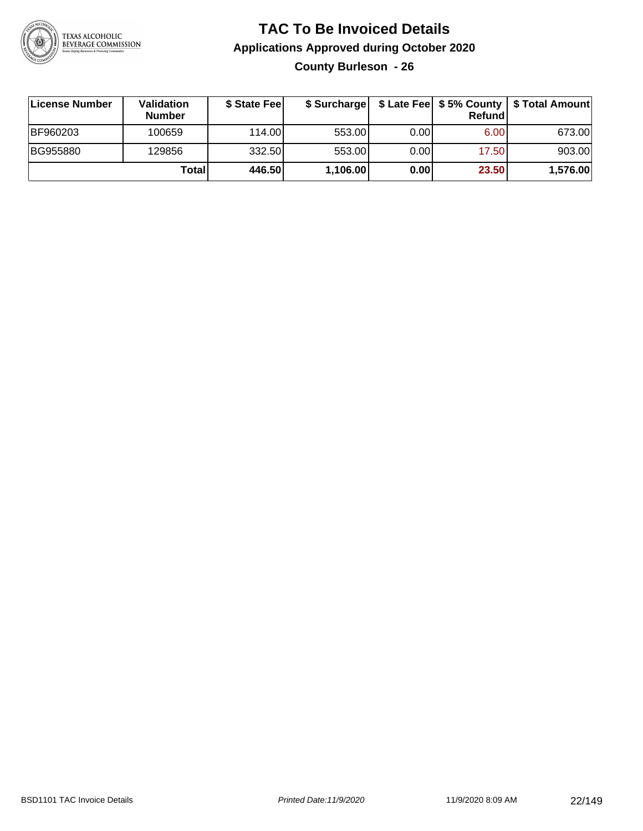

**County Burleson - 26**

| ∣License Number | <b>Validation</b><br><b>Number</b> | \$ State Fee |          |      | <b>Refund</b> | \$ Surcharge   \$ Late Fee   \$5% County   \$ Total Amount |
|-----------------|------------------------------------|--------------|----------|------|---------------|------------------------------------------------------------|
| BF960203        | 100659                             | 114.00       | 553.00   | 0.00 | 6.00          | 673.00                                                     |
| BG955880        | 129856                             | 332.50       | 553.00   | 0.00 | 17.50         | 903.00                                                     |
|                 | Totall                             | 446.50       | 1,106.00 | 0.00 | 23.50         | 1,576.00                                                   |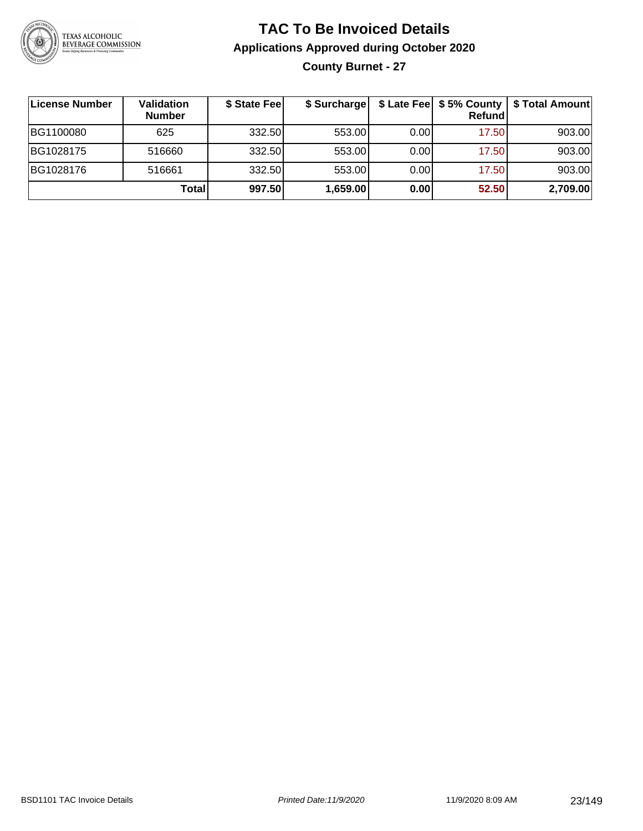

### **TAC To Be Invoiced Details Applications Approved during October 2020 County Burnet - 27**

| ∣License Number | Validation<br><b>Number</b> | \$ State Fee | \$ Surcharge |      | \$ Late Fee   \$5% County  <br>Refund | \$ Total Amount |
|-----------------|-----------------------------|--------------|--------------|------|---------------------------------------|-----------------|
| BG1100080       | 625                         | 332.50       | 553.00       | 0.00 | 17.50                                 | 903.00          |
| BG1028175       | 516660                      | 332.50       | 553.00       | 0.00 | 17.50                                 | 903.00          |
| BG1028176       | 516661                      | 332.50       | 553.00       | 0.00 | 17.50                                 | 903.00          |
|                 | Total                       | 997.50       | 1,659.00     | 0.00 | 52.50                                 | 2,709.00        |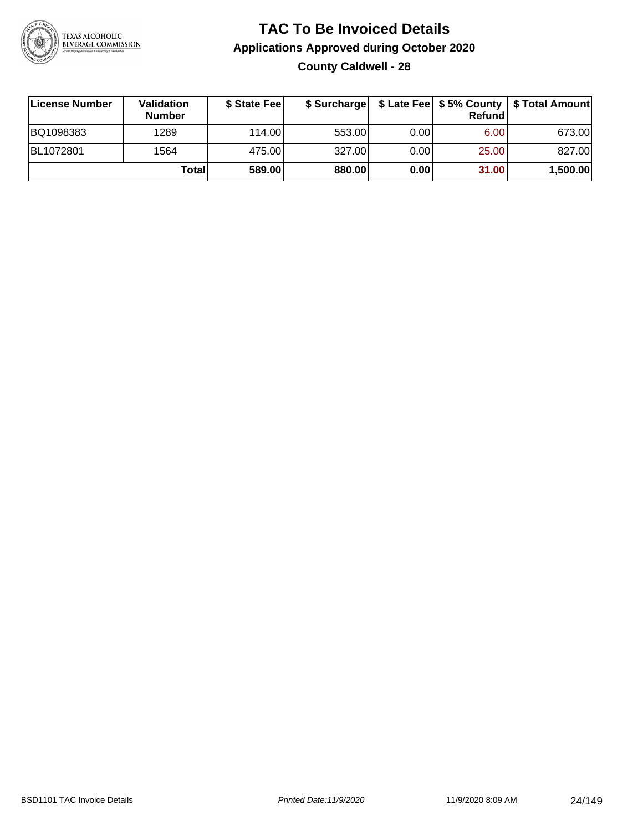

### **TAC To Be Invoiced Details Applications Approved during October 2020 County Caldwell - 28**

| License Number | <b>Validation</b><br><b>Number</b> | \$ State Fee |        |      | Refundl | \$ Surcharge   \$ Late Fee   \$5% County   \$ Total Amount |
|----------------|------------------------------------|--------------|--------|------|---------|------------------------------------------------------------|
| BQ1098383      | 1289                               | 114.00       | 553.00 | 0.00 | 6.00    | 673.00                                                     |
| BL1072801      | 1564                               | 475.00       | 327.00 | 0.00 | 25.00   | 827.00                                                     |
|                | Totall                             | 589.00       | 880.00 | 0.00 | 31.00   | 1,500.00                                                   |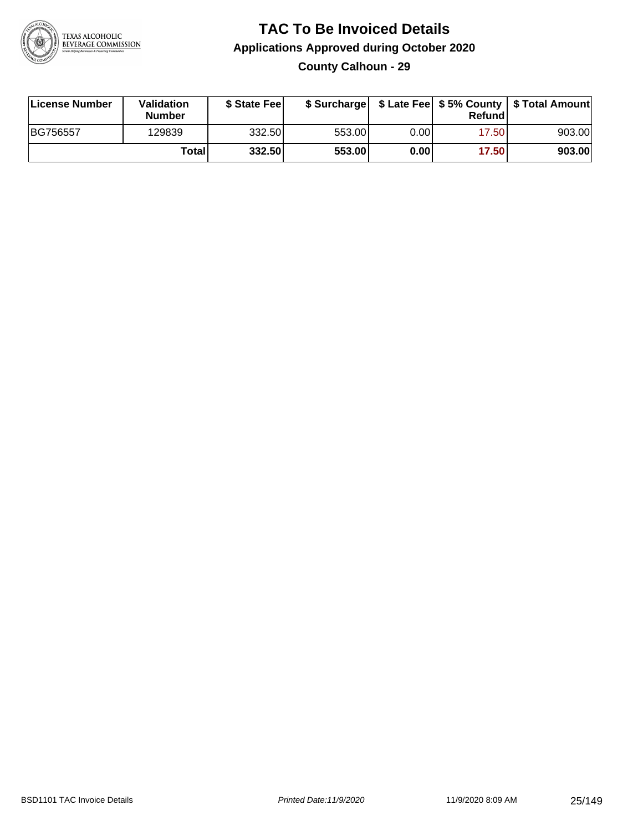

### **TAC To Be Invoiced Details Applications Approved during October 2020 County Calhoun - 29**

| License Number | Validation<br><b>Number</b> | \$ State Feel | \$ Surcharge |      | Refund | \$ Late Fee   \$5% County   \$ Total Amount |
|----------------|-----------------------------|---------------|--------------|------|--------|---------------------------------------------|
| BG756557       | 129839                      | 332.50        | 553.00       | 0.00 | 17.50  | 903.00                                      |
|                | Total                       | 332.50        | 553.00       | 0.00 | 17.50  | 903.00                                      |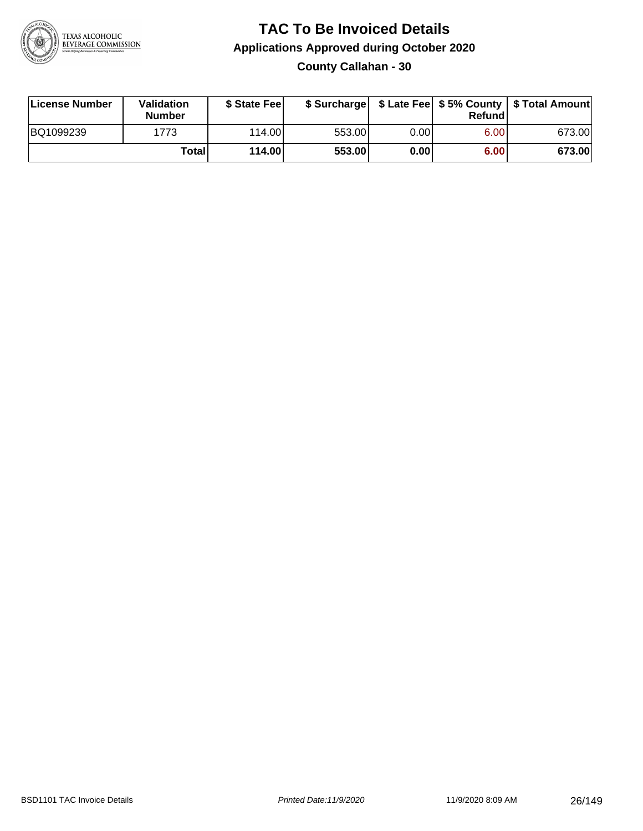

**County Callahan - 30**

| License Number | Validation<br><b>Number</b> | \$ State Feel |        |      | Refundl | \$ Surcharge   \$ Late Fee   \$5% County   \$ Total Amount |
|----------------|-----------------------------|---------------|--------|------|---------|------------------------------------------------------------|
| BQ1099239      | 1773                        | 114.00        | 553.00 | 0.00 | 6.00    | 673.00                                                     |
|                | Totall                      | 114.00        | 553.00 | 0.00 | 6.00    | 673.00                                                     |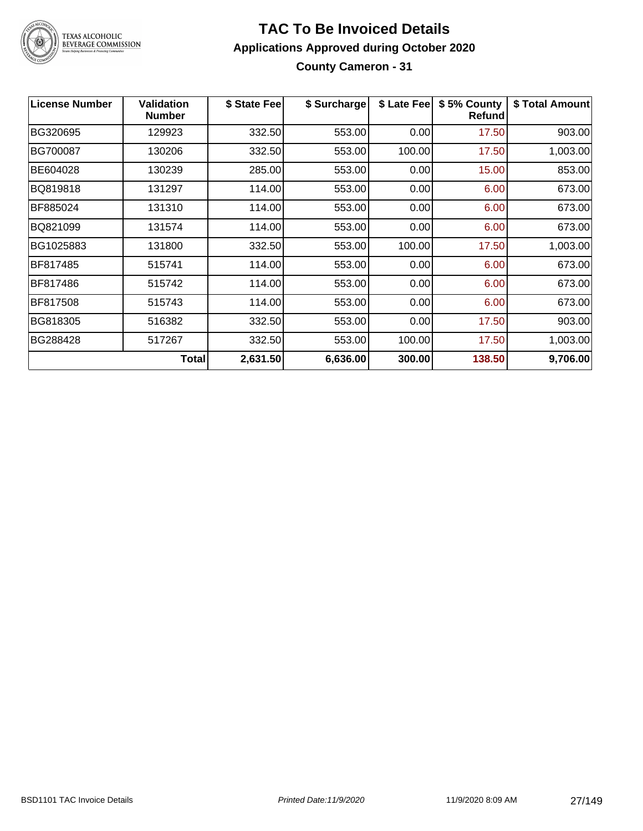

# TEXAS ALCOHOLIC<br>BEVERAGE COMMISSION

#### **TAC To Be Invoiced Details Applications Approved during October 2020 County Cameron - 31**

| <b>License Number</b> | <b>Validation</b><br><b>Number</b> | \$ State Fee | \$ Surcharge | \$ Late Fee | \$5% County<br><b>Refund</b> | \$ Total Amount |
|-----------------------|------------------------------------|--------------|--------------|-------------|------------------------------|-----------------|
| BG320695              | 129923                             | 332.50       | 553.00       | 0.00        | 17.50                        | 903.00          |
| BG700087              | 130206                             | 332.50       | 553.00       | 100.00      | 17.50                        | 1,003.00        |
| BE604028              | 130239                             | 285.00       | 553.00       | 0.00        | 15.00                        | 853.00          |
| BQ819818              | 131297                             | 114.00       | 553.00       | 0.00        | 6.00                         | 673.00          |
| BF885024              | 131310                             | 114.00       | 553.00       | 0.00        | 6.00                         | 673.00          |
| BQ821099              | 131574                             | 114.00       | 553.00       | 0.00        | 6.00                         | 673.00          |
| BG1025883             | 131800                             | 332.50       | 553.00       | 100.00      | 17.50                        | 1,003.00        |
| BF817485              | 515741                             | 114.00       | 553.00       | 0.00        | 6.00                         | 673.00          |
| BF817486              | 515742                             | 114.00       | 553.00       | 0.00        | 6.00                         | 673.00          |
| BF817508              | 515743                             | 114.00       | 553.00       | 0.00        | 6.00                         | 673.00          |
| BG818305              | 516382                             | 332.50       | 553.00       | 0.00        | 17.50                        | 903.00          |
| BG288428              | 517267                             | 332.50       | 553.00       | 100.00      | 17.50                        | 1,003.00        |
|                       | <b>Total</b>                       | 2,631.50     | 6,636.00     | 300.00      | 138.50                       | 9,706.00        |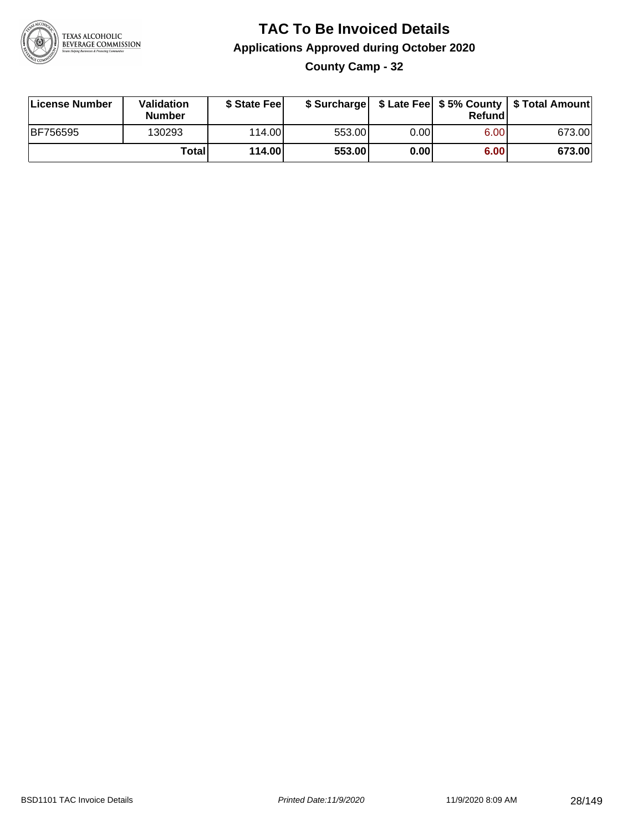

**County Camp - 32**

| License Number | <b>Validation</b><br><b>Number</b> | \$ State Fee | \$ Surcharge |       | Refundl |        |
|----------------|------------------------------------|--------------|--------------|-------|---------|--------|
| BF756595       | 130293                             | 114.00L      | 553.00       | 0.001 | 6.00    | 673.00 |
|                | Totall                             | 114.00       | 553.00       | 0.00  | 6.00    | 673.00 |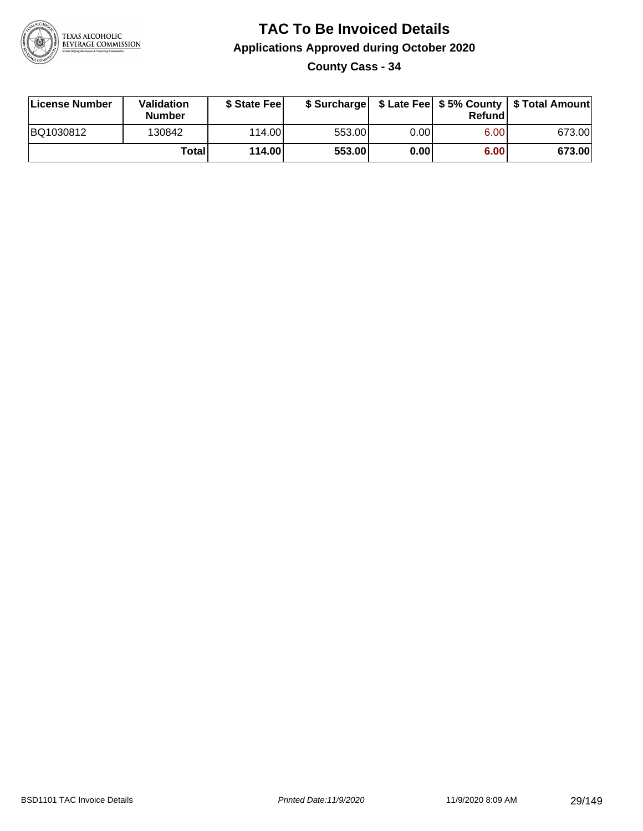

**County Cass - 34**

| License Number | Validation<br><b>Number</b> | \$ State Feel |        |       | Refundl | \$ Surcharge   \$ Late Fee   \$5% County   \$ Total Amount |
|----------------|-----------------------------|---------------|--------|-------|---------|------------------------------------------------------------|
| BQ1030812      | 130842                      | 114.00        | 553.00 | 0.00I | 6.00    | 673.00                                                     |
|                | Totall                      | 114.00        | 553.00 | 0.00  | 6.00    | 673.00                                                     |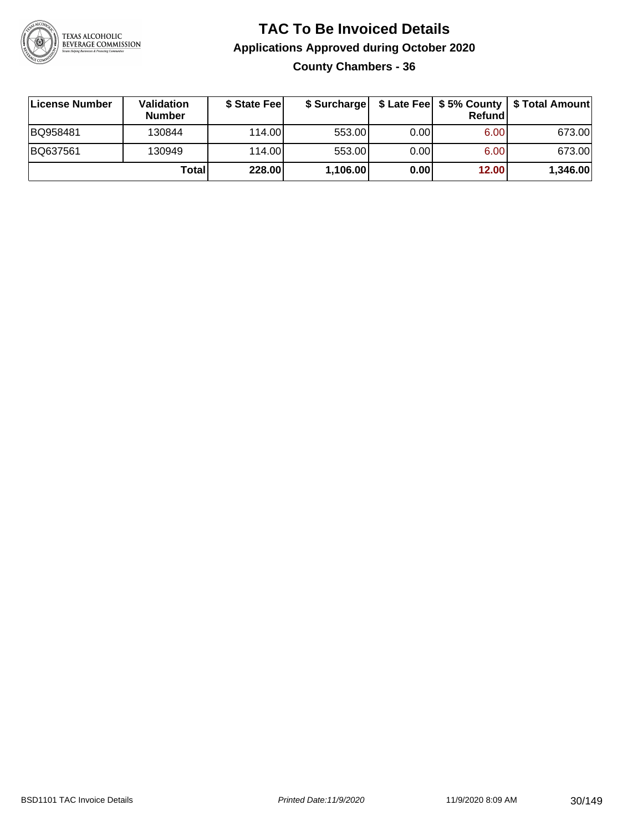

### **TAC To Be Invoiced Details Applications Approved during October 2020 County Chambers - 36**

| License Number | Validation<br><b>Number</b> | \$ State Feel | \$ Surcharge |      | Refund | \$ Late Fee   \$5% County   \$ Total Amount |
|----------------|-----------------------------|---------------|--------------|------|--------|---------------------------------------------|
| BQ958481       | 130844                      | 114.00L       | 553.00       | 0.00 | 6.00   | 673.00                                      |
| BQ637561       | 130949                      | 114.00L       | 553.00       | 0.00 | 6.00   | 673.00                                      |
|                | Total                       | 228.00        | 1,106.00     | 0.00 | 12.00  | 1,346.00                                    |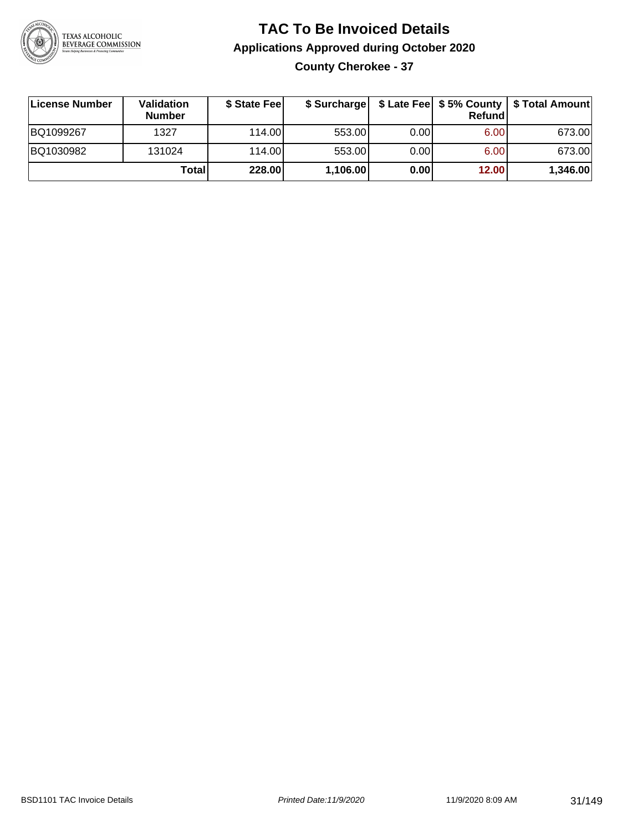

### **TAC To Be Invoiced Details Applications Approved during October 2020 County Cherokee - 37**

**License Number Validation Number \$ State Fee \$ Surcharge \$ Late Fee \$ 5% County Refund \$ Total Amount** BQ1099267 1327 114.00 553.00 0.00 6.00 673.00 BQ1030982 131024 114.00 553.00 0.00 6.00 673.00 **Total 228.00 1,106.00 0.00 12.00 1,346.00**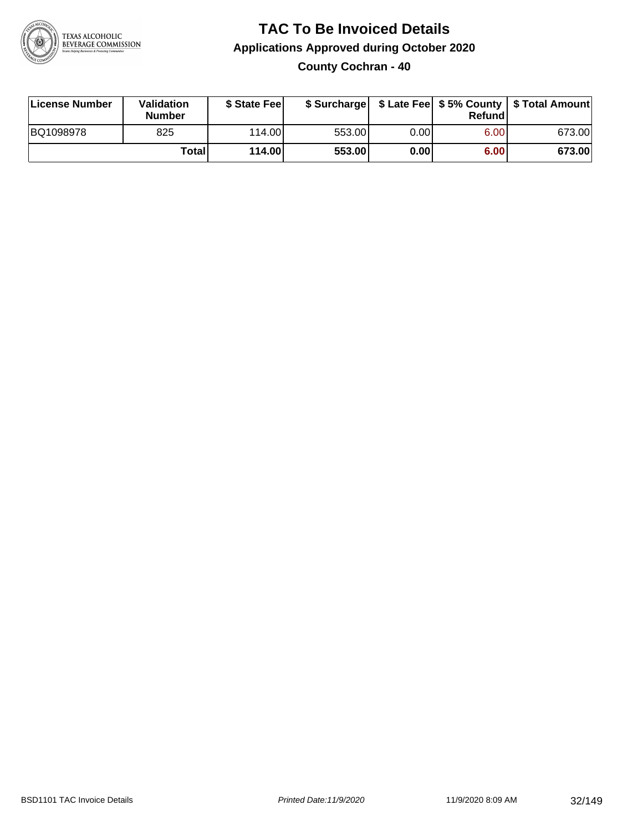

#### **TAC To Be Invoiced Details Applications Approved during October 2020 County Cochran - 40**

| License Number | Validation<br><b>Number</b> | \$ State Feel |        |      | Refund | \$ Surcharge   \$ Late Fee   \$5% County   \$ Total Amount |
|----------------|-----------------------------|---------------|--------|------|--------|------------------------------------------------------------|
| BQ1098978      | 825                         | 114.00L       | 553.00 | 0.00 | 6.00   | 673.00                                                     |
|                | <b>Total</b>                | 114.00        | 553.00 | 0.00 | 6.00   | 673.00                                                     |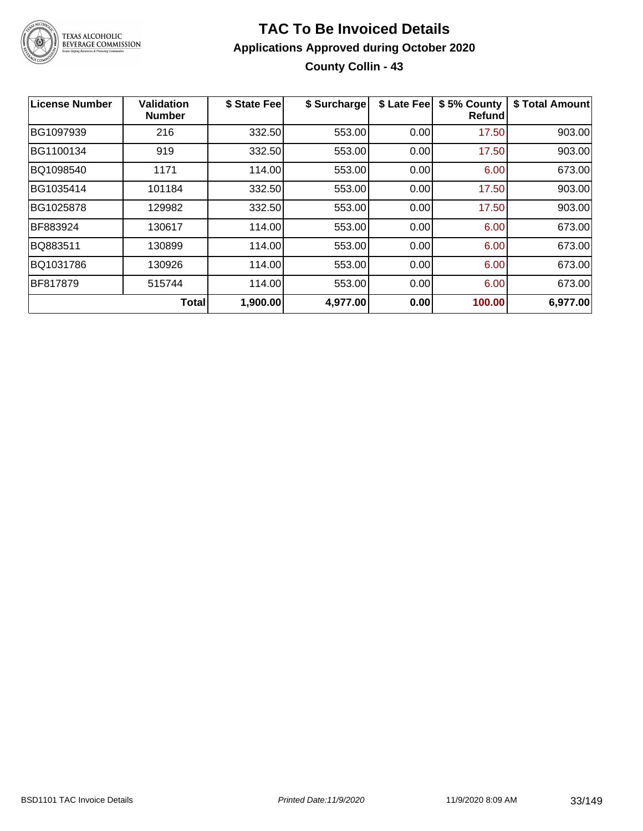

### **TAC To Be Invoiced Details Applications Approved during October 2020 County Collin - 43**

| License Number | <b>Validation</b><br><b>Number</b> | \$ State Fee | \$ Surcharge | \$ Late Fee | \$5% County<br>Refundl | \$ Total Amount |
|----------------|------------------------------------|--------------|--------------|-------------|------------------------|-----------------|
| BG1097939      | 216                                | 332.50       | 553.00       | 0.00        | 17.50                  | 903.00          |
| BG1100134      | 919                                | 332.50       | 553.00       | 0.00        | 17.50                  | 903.00          |
| BQ1098540      | 1171                               | 114.00       | 553.00       | 0.00        | 6.00                   | 673.00          |
| BG1035414      | 101184                             | 332.50       | 553.00       | 0.00        | 17.50                  | 903.00          |
| BG1025878      | 129982                             | 332.50       | 553.00       | 0.00        | 17.50                  | 903.00          |
| BF883924       | 130617                             | 114.00       | 553.00       | 0.00        | 6.00                   | 673.00          |
| BQ883511       | 130899                             | 114.00       | 553.00       | 0.00        | 6.00                   | 673.00          |
| BQ1031786      | 130926                             | 114.00       | 553.00       | 0.00        | 6.00                   | 673.00          |
| BF817879       | 515744                             | 114.00       | 553.00       | 0.00        | 6.00                   | 673.00          |
|                | <b>Total</b>                       | 1,900.00     | 4,977.00     | 0.00        | 100.00                 | 6,977.00        |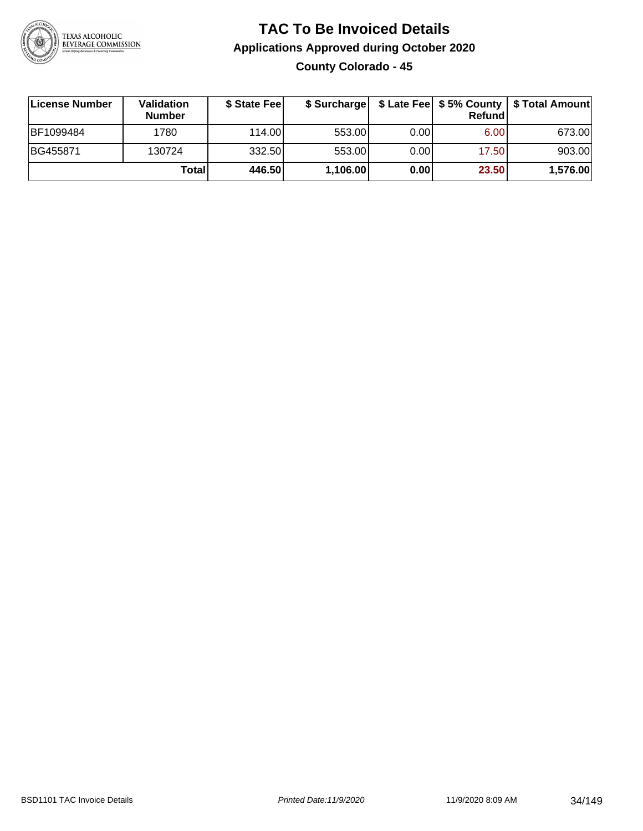

### **TAC To Be Invoiced Details Applications Approved during October 2020 County Colorado - 45**

| ∣License Number | Validation<br><b>Number</b> | \$ State Feel | \$ Surcharge |      | Refundl | \$ Late Fee   \$5% County   \$ Total Amount |
|-----------------|-----------------------------|---------------|--------------|------|---------|---------------------------------------------|
| BF1099484       | 1780                        | 114.00        | 553.00       | 0.00 | 6.00    | 673.00                                      |
| BG455871        | 130724                      | 332.50        | 553.00       | 0.00 | 17.50   | 903.00                                      |
|                 | Total                       | 446.50        | 1,106.00     | 0.00 | 23.50   | 1,576.00                                    |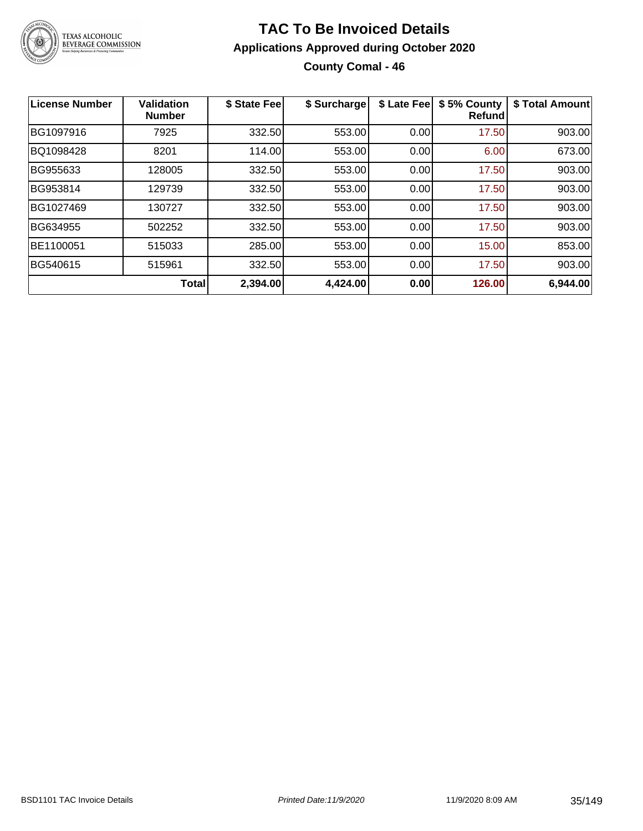

### **TAC To Be Invoiced Details Applications Approved during October 2020 County Comal - 46**

| <b>License Number</b> | <b>Validation</b><br><b>Number</b> | \$ State Fee | \$ Surcharge | \$ Late Fee | \$5% County<br>Refund | \$ Total Amount |
|-----------------------|------------------------------------|--------------|--------------|-------------|-----------------------|-----------------|
| BG1097916             | 7925                               | 332.50       | 553.00       | 0.00        | 17.50                 | 903.00          |
| BQ1098428             | 8201                               | 114.00       | 553.00       | 0.00        | 6.00                  | 673.00          |
| BG955633              | 128005                             | 332.50       | 553.00       | 0.00        | 17.50                 | 903.00          |
| BG953814              | 129739                             | 332.50       | 553.00       | 0.00        | 17.50                 | 903.00          |
| BG1027469             | 130727                             | 332.50       | 553.00       | 0.00        | 17.50                 | 903.00          |
| BG634955              | 502252                             | 332.50       | 553.00       | 0.00        | 17.50                 | 903.00          |
| BE1100051             | 515033                             | 285.00       | 553.00       | 0.00        | 15.00                 | 853.00          |
| BG540615              | 515961                             | 332.50       | 553.00       | 0.00        | 17.50                 | 903.00          |
|                       | <b>Total</b>                       | 2,394.00     | 4,424.00     | 0.00        | 126.00                | 6,944.00        |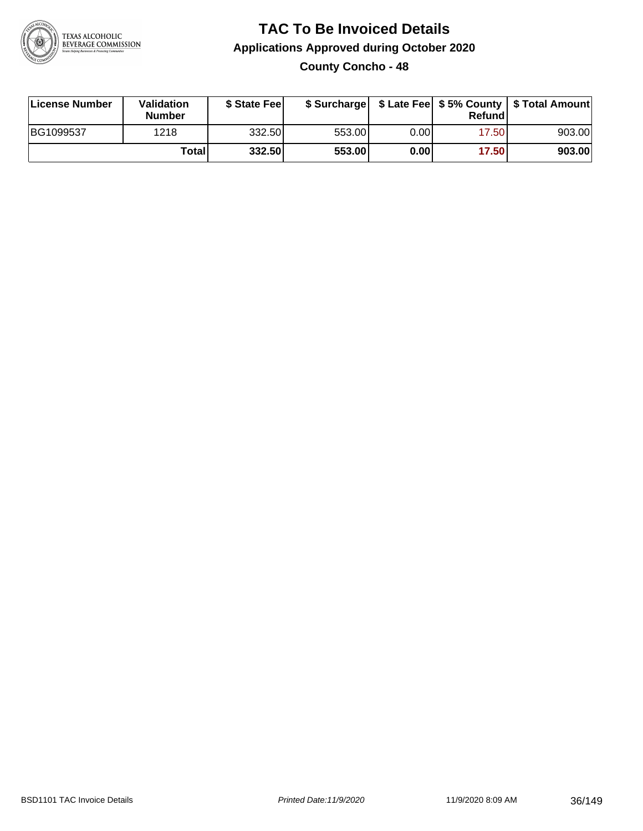

#### **TAC To Be Invoiced Details Applications Approved during October 2020 County Concho - 48**

| License Number | Validation<br><b>Number</b> | \$ State Feel |        |      | Refund | \$ Surcharge   \$ Late Fee   \$5% County   \$ Total Amount |
|----------------|-----------------------------|---------------|--------|------|--------|------------------------------------------------------------|
| BG1099537      | 1218                        | 332.50l       | 553.00 | 0.00 | 17.50  | 903.00                                                     |
|                | Totall                      | 332.50        | 553.00 | 0.00 | 17.50  | 903.00                                                     |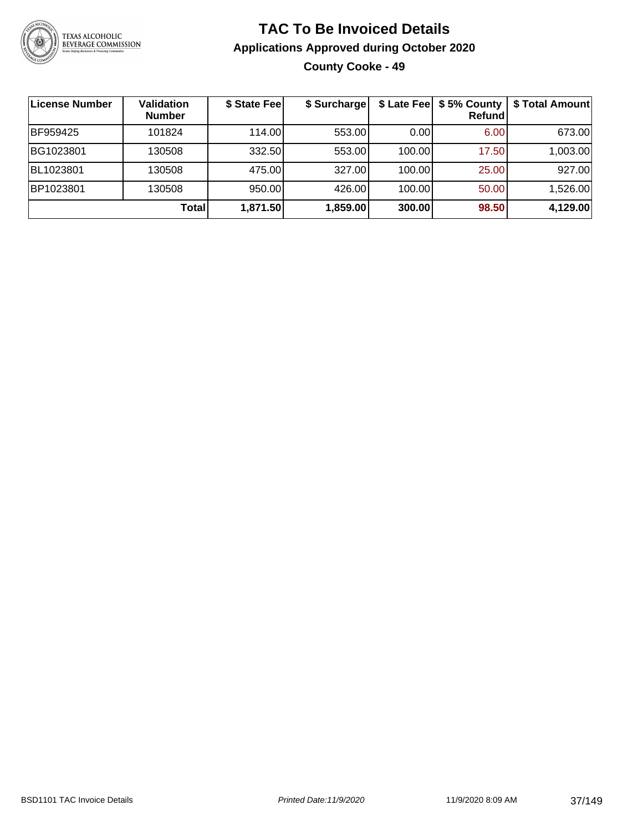

## **TAC To Be Invoiced Details Applications Approved during October 2020 County Cooke - 49**

| License Number | <b>Validation</b><br><b>Number</b> | \$ State Fee | \$ Surcharge |        | \$ Late Fee   \$5% County<br>Refundl | \$ Total Amount |
|----------------|------------------------------------|--------------|--------------|--------|--------------------------------------|-----------------|
| BF959425       | 101824                             | 114.00L      | 553.00       | 0.00   | 6.00                                 | 673.00          |
| BG1023801      | 130508                             | 332.50       | 553.00       | 100.00 | 17.50                                | 1,003.00        |
| BL1023801      | 130508                             | 475.00       | 327.00       | 100.00 | 25.00                                | 927.00          |
| BP1023801      | 130508                             | 950.00       | 426.00       | 100.00 | 50.00                                | 1,526.00        |
|                | Total                              | 1,871.50     | 1,859.00     | 300.00 | 98.50                                | 4,129.00        |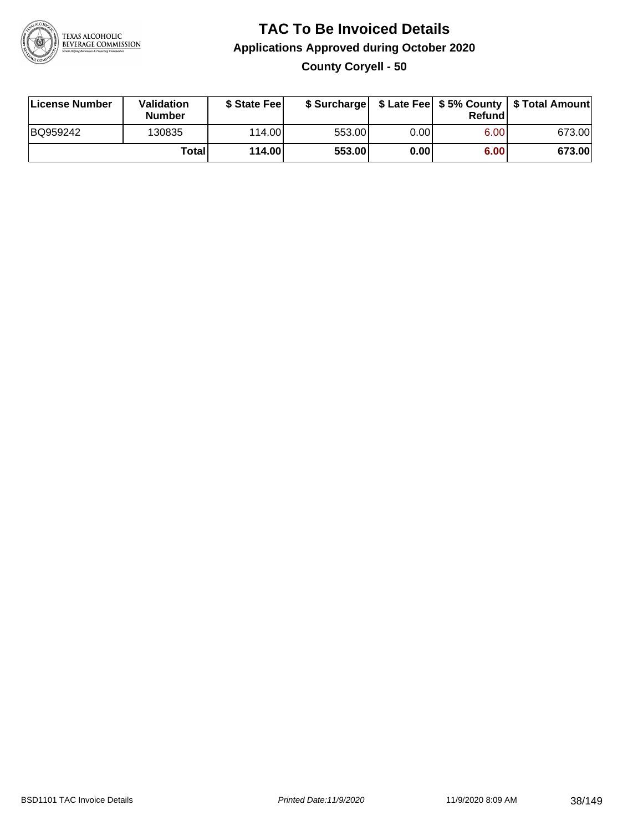

**County Coryell - 50**

| License Number | Validation<br><b>Number</b> | \$ State Feel |        |      | Refundl | \$ Surcharge   \$ Late Fee   \$5% County   \$ Total Amount |
|----------------|-----------------------------|---------------|--------|------|---------|------------------------------------------------------------|
| BQ959242       | 130835                      | 114.00        | 553.00 | 0.00 | 6.00    | 673.00                                                     |
|                | Totall                      | 114.00        | 553.00 | 0.00 | 6.00    | 673.00                                                     |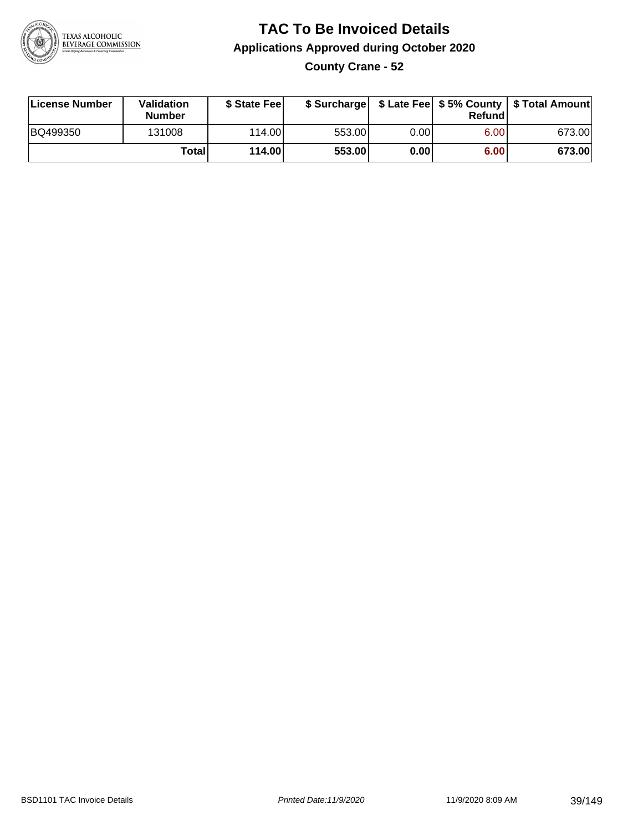

## **TAC To Be Invoiced Details Applications Approved during October 2020 County Crane - 52**

| License Number | Validation<br><b>Number</b> | \$ State Fee |        |      | Refund | \$ Surcharge   \$ Late Fee   \$5% County   \$ Total Amount |
|----------------|-----------------------------|--------------|--------|------|--------|------------------------------------------------------------|
| BQ499350       | 131008                      | 114.00L      | 553.00 | 0.00 | 6.00   | 673.00                                                     |
|                | Totall                      | 114.00       | 553.00 | 0.00 | 6.00   | 673.00                                                     |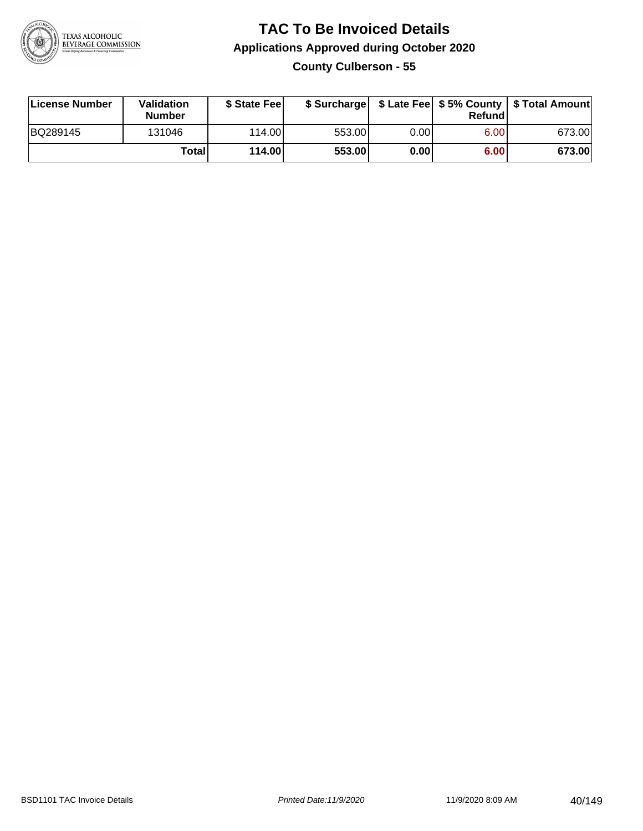

### **TAC To Be Invoiced Details Applications Approved during October 2020 County Culberson - 55**

| License Number | Validation<br><b>Number</b> | \$ State Fee |        |       | Refund | \$ Surcharge   \$ Late Fee   \$5% County   \$ Total Amount |
|----------------|-----------------------------|--------------|--------|-------|--------|------------------------------------------------------------|
| BQ289145       | 131046                      | 114.00       | 553.00 | 0.001 | 6.00   | 673.00                                                     |
|                | Totall                      | 114.00       | 553.00 | 0.00  | 6.00   | 673.00                                                     |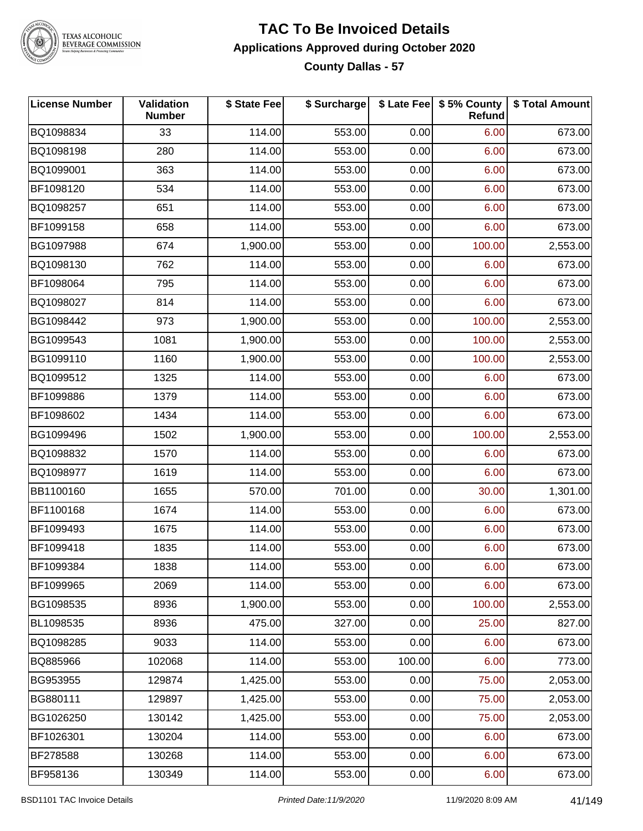

#### **TAC To Be Invoiced Details Applications Approved during October 2020 County Dallas - 57**

| <b>License Number</b> | Validation<br><b>Number</b> | \$ State Fee | \$ Surcharge |        | \$ Late Fee   \$5% County<br><b>Refund</b> | \$ Total Amount |
|-----------------------|-----------------------------|--------------|--------------|--------|--------------------------------------------|-----------------|
| BQ1098834             | 33                          | 114.00       | 553.00       | 0.00   | 6.00                                       | 673.00          |
| BQ1098198             | 280                         | 114.00       | 553.00       | 0.00   | 6.00                                       | 673.00          |
| BQ1099001             | 363                         | 114.00       | 553.00       | 0.00   | 6.00                                       | 673.00          |
| BF1098120             | 534                         | 114.00       | 553.00       | 0.00   | 6.00                                       | 673.00          |
| BQ1098257             | 651                         | 114.00       | 553.00       | 0.00   | 6.00                                       | 673.00          |
| BF1099158             | 658                         | 114.00       | 553.00       | 0.00   | 6.00                                       | 673.00          |
| BG1097988             | 674                         | 1,900.00     | 553.00       | 0.00   | 100.00                                     | 2,553.00        |
| BQ1098130             | 762                         | 114.00       | 553.00       | 0.00   | 6.00                                       | 673.00          |
| BF1098064             | 795                         | 114.00       | 553.00       | 0.00   | 6.00                                       | 673.00          |
| BQ1098027             | 814                         | 114.00       | 553.00       | 0.00   | 6.00                                       | 673.00          |
| BG1098442             | 973                         | 1,900.00     | 553.00       | 0.00   | 100.00                                     | 2,553.00        |
| BG1099543             | 1081                        | 1,900.00     | 553.00       | 0.00   | 100.00                                     | 2,553.00        |
| BG1099110             | 1160                        | 1,900.00     | 553.00       | 0.00   | 100.00                                     | 2,553.00        |
| BQ1099512             | 1325                        | 114.00       | 553.00       | 0.00   | 6.00                                       | 673.00          |
| BF1099886             | 1379                        | 114.00       | 553.00       | 0.00   | 6.00                                       | 673.00          |
| BF1098602             | 1434                        | 114.00       | 553.00       | 0.00   | 6.00                                       | 673.00          |
| BG1099496             | 1502                        | 1,900.00     | 553.00       | 0.00   | 100.00                                     | 2,553.00        |
| BQ1098832             | 1570                        | 114.00       | 553.00       | 0.00   | 6.00                                       | 673.00          |
| BQ1098977             | 1619                        | 114.00       | 553.00       | 0.00   | 6.00                                       | 673.00          |
| BB1100160             | 1655                        | 570.00       | 701.00       | 0.00   | 30.00                                      | 1,301.00        |
| BF1100168             | 1674                        | 114.00       | 553.00       | 0.00   | 6.00                                       | 673.00          |
| BF1099493             | 1675                        | 114.00       | 553.00       | 0.00   | 6.00                                       | 673.00          |
| BF1099418             | 1835                        | 114.00       | 553.00       | 0.00   | 6.00                                       | 673.00          |
| BF1099384             | 1838                        | 114.00       | 553.00       | 0.00   | 6.00                                       | 673.00          |
| BF1099965             | 2069                        | 114.00       | 553.00       | 0.00   | 6.00                                       | 673.00          |
| BG1098535             | 8936                        | 1,900.00     | 553.00       | 0.00   | 100.00                                     | 2,553.00        |
| BL1098535             | 8936                        | 475.00       | 327.00       | 0.00   | 25.00                                      | 827.00          |
| BQ1098285             | 9033                        | 114.00       | 553.00       | 0.00   | 6.00                                       | 673.00          |
| BQ885966              | 102068                      | 114.00       | 553.00       | 100.00 | 6.00                                       | 773.00          |
| BG953955              | 129874                      | 1,425.00     | 553.00       | 0.00   | 75.00                                      | 2,053.00        |
| BG880111              | 129897                      | 1,425.00     | 553.00       | 0.00   | 75.00                                      | 2,053.00        |
| BG1026250             | 130142                      | 1,425.00     | 553.00       | 0.00   | 75.00                                      | 2,053.00        |
| BF1026301             | 130204                      | 114.00       | 553.00       | 0.00   | 6.00                                       | 673.00          |
| BF278588              | 130268                      | 114.00       | 553.00       | 0.00   | 6.00                                       | 673.00          |
| BF958136              | 130349                      | 114.00       | 553.00       | 0.00   | 6.00                                       | 673.00          |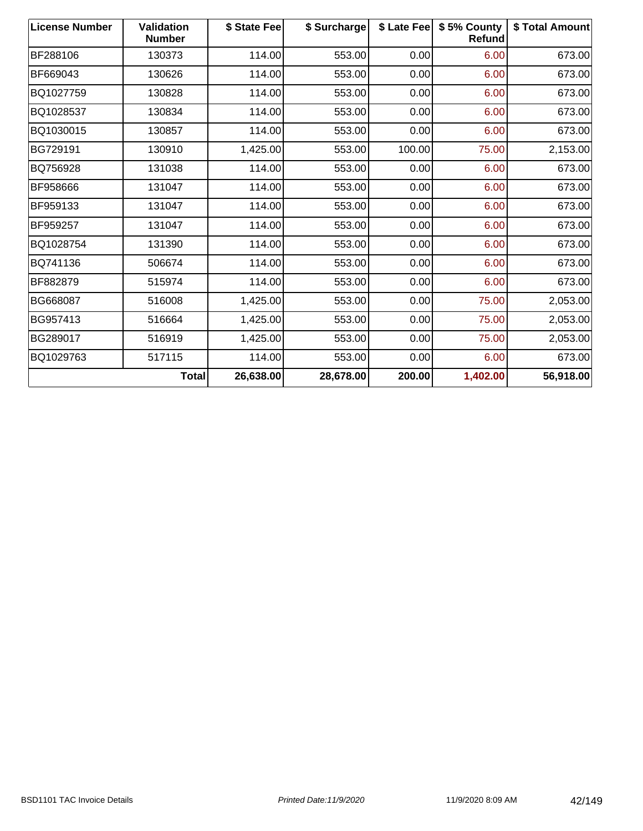| <b>License Number</b> | <b>Validation</b><br><b>Number</b> | \$ State Fee | \$ Surcharge | \$ Late Fee | \$5% County<br><b>Refund</b> | \$ Total Amount |
|-----------------------|------------------------------------|--------------|--------------|-------------|------------------------------|-----------------|
| BF288106              | 130373                             | 114.00       | 553.00       | 0.00        | 6.00                         | 673.00          |
| BF669043              | 130626                             | 114.00       | 553.00       | 0.00        | 6.00                         | 673.00          |
| BQ1027759             | 130828                             | 114.00       | 553.00       | 0.00        | 6.00                         | 673.00          |
| BQ1028537             | 130834                             | 114.00       | 553.00       | 0.00        | 6.00                         | 673.00          |
| BQ1030015             | 130857                             | 114.00       | 553.00       | 0.00        | 6.00                         | 673.00          |
| BG729191              | 130910                             | 1,425.00     | 553.00       | 100.00      | 75.00                        | 2,153.00        |
| BQ756928              | 131038                             | 114.00       | 553.00       | 0.00        | 6.00                         | 673.00          |
| BF958666              | 131047                             | 114.00       | 553.00       | 0.00        | 6.00                         | 673.00          |
| BF959133              | 131047                             | 114.00       | 553.00       | 0.00        | 6.00                         | 673.00          |
| BF959257              | 131047                             | 114.00       | 553.00       | 0.00        | 6.00                         | 673.00          |
| BQ1028754             | 131390                             | 114.00       | 553.00       | 0.00        | 6.00                         | 673.00          |
| BQ741136              | 506674                             | 114.00       | 553.00       | 0.00        | 6.00                         | 673.00          |
| BF882879              | 515974                             | 114.00       | 553.00       | 0.00        | 6.00                         | 673.00          |
| BG668087              | 516008                             | 1,425.00     | 553.00       | 0.00        | 75.00                        | 2,053.00        |
| BG957413              | 516664                             | 1,425.00     | 553.00       | 0.00        | 75.00                        | 2,053.00        |
| BG289017              | 516919                             | 1,425.00     | 553.00       | 0.00        | 75.00                        | 2,053.00        |
| BQ1029763             | 517115                             | 114.00       | 553.00       | 0.00        | 6.00                         | 673.00          |
|                       | <b>Total</b>                       | 26,638.00    | 28,678.00    | 200.00      | 1,402.00                     | 56,918.00       |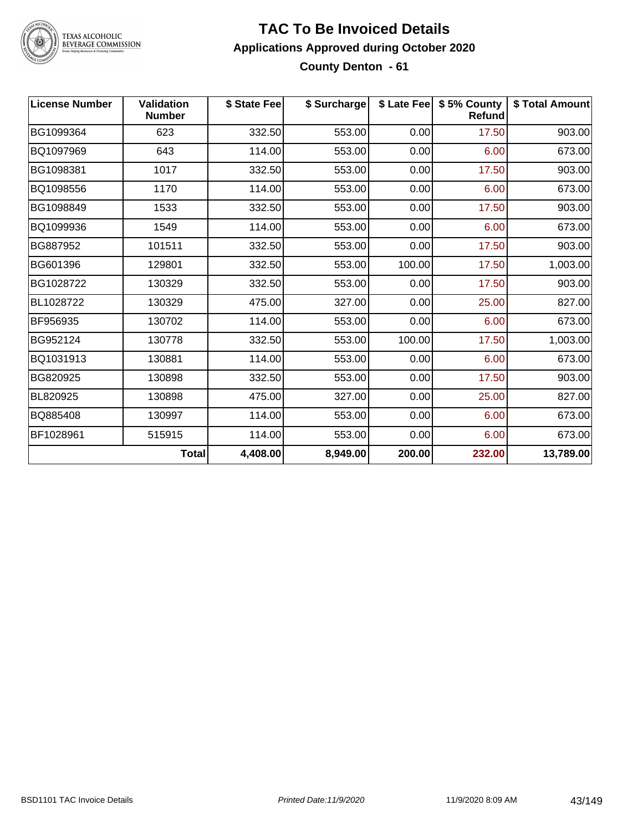

#### **TAC To Be Invoiced Details Applications Approved during October 2020 County Denton - 61**

| <b>License Number</b> | <b>Validation</b><br><b>Number</b> | \$ State Fee | \$ Surcharge |        | \$ Late Fee   \$5% County<br><b>Refund</b> | \$ Total Amount |
|-----------------------|------------------------------------|--------------|--------------|--------|--------------------------------------------|-----------------|
| BG1099364             | 623                                | 332.50       | 553.00       | 0.00   | 17.50                                      | 903.00          |
| BQ1097969             | 643                                | 114.00       | 553.00       | 0.00   | 6.00                                       | 673.00          |
| BG1098381             | 1017                               | 332.50       | 553.00       | 0.00   | 17.50                                      | 903.00          |
| BQ1098556             | 1170                               | 114.00       | 553.00       | 0.00   | 6.00                                       | 673.00          |
| BG1098849             | 1533                               | 332.50       | 553.00       | 0.00   | 17.50                                      | 903.00          |
| BQ1099936             | 1549                               | 114.00       | 553.00       | 0.00   | 6.00                                       | 673.00          |
| BG887952              | 101511                             | 332.50       | 553.00       | 0.00   | 17.50                                      | 903.00          |
| BG601396              | 129801                             | 332.50       | 553.00       | 100.00 | 17.50                                      | 1,003.00        |
| BG1028722             | 130329                             | 332.50       | 553.00       | 0.00   | 17.50                                      | 903.00          |
| BL1028722             | 130329                             | 475.00       | 327.00       | 0.00   | 25.00                                      | 827.00          |
| BF956935              | 130702                             | 114.00       | 553.00       | 0.00   | 6.00                                       | 673.00          |
| BG952124              | 130778                             | 332.50       | 553.00       | 100.00 | 17.50                                      | 1,003.00        |
| BQ1031913             | 130881                             | 114.00       | 553.00       | 0.00   | 6.00                                       | 673.00          |
| BG820925              | 130898                             | 332.50       | 553.00       | 0.00   | 17.50                                      | 903.00          |
| BL820925              | 130898                             | 475.00       | 327.00       | 0.00   | 25.00                                      | 827.00          |
| BQ885408              | 130997                             | 114.00       | 553.00       | 0.00   | 6.00                                       | 673.00          |
| BF1028961             | 515915                             | 114.00       | 553.00       | 0.00   | 6.00                                       | 673.00          |
|                       | <b>Total</b>                       | 4,408.00     | 8,949.00     | 200.00 | 232.00                                     | 13,789.00       |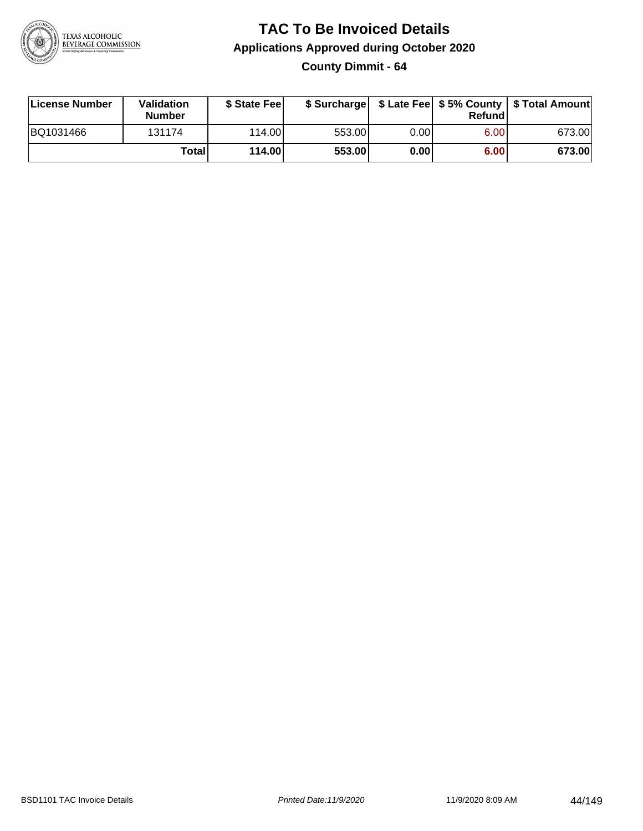

**County Dimmit - 64**

| License Number | Validation<br><b>Number</b> | \$ State Fee    | \$ Surcharge |      | Refundl |        |
|----------------|-----------------------------|-----------------|--------------|------|---------|--------|
| BQ1031466      | 131174                      | 114.00 <b>1</b> | 553.00       | 0.00 | 6.00    | 673.00 |
|                | Totall                      | 114.00          | 553.00       | 0.00 | 6.00    | 673.00 |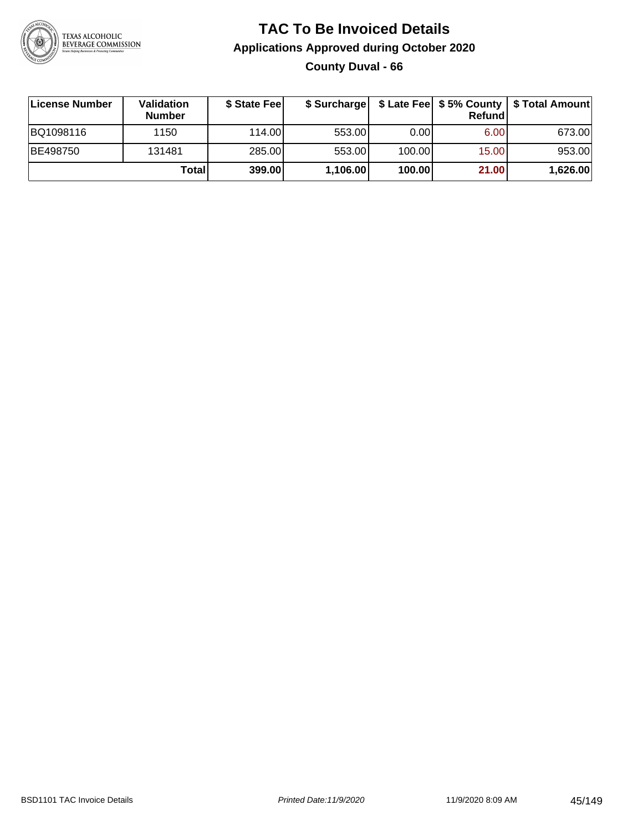

## **TAC To Be Invoiced Details Applications Approved during October 2020 County Duval - 66**

| License Number | <b>Validation</b><br><b>Number</b> | \$ State Feel |          |        | Refund | \$ Surcharge   \$ Late Fee   \$5% County   \$ Total Amount |
|----------------|------------------------------------|---------------|----------|--------|--------|------------------------------------------------------------|
| BQ1098116      | 1150                               | 114.00L       | 553.00   | 0.00   | 6.00   | 673.00                                                     |
| BE498750       | 131481                             | 285.00        | 553.00   | 100.00 | 15.00  | 953.00                                                     |
|                | Totall                             | 399.00        | 1,106.00 | 100.00 | 21.00  | 1,626.00                                                   |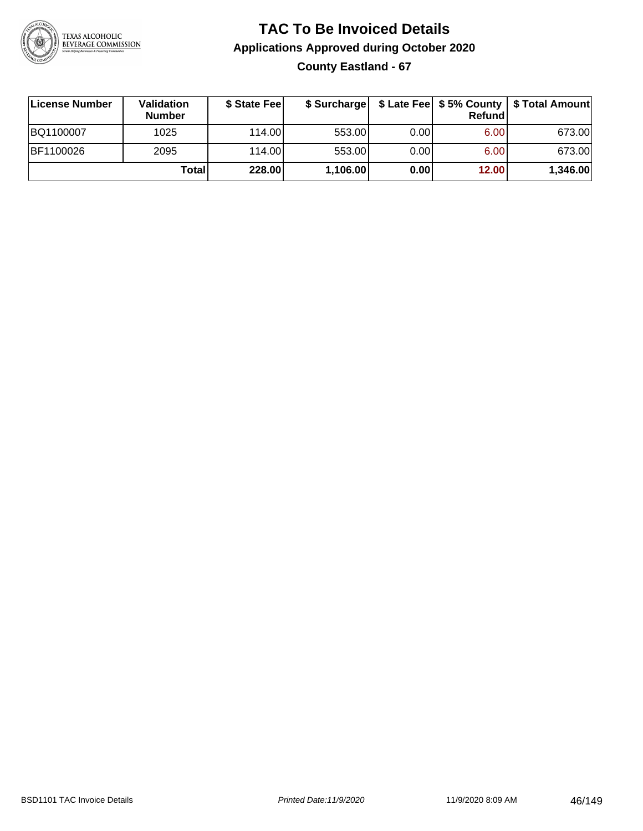

## **TAC To Be Invoiced Details Applications Approved during October 2020 County Eastland - 67**

| License Number | <b>Validation</b><br><b>Number</b> | \$ State Fee |          |      | <b>Refund</b> | \$ Surcharge   \$ Late Fee   \$5% County   \$ Total Amount |
|----------------|------------------------------------|--------------|----------|------|---------------|------------------------------------------------------------|
| BQ1100007      | 1025                               | 114.00L      | 553.00   | 0.00 | 6.00          | 673.00                                                     |
| BF1100026      | 2095                               | 114.00L      | 553.00   | 0.00 | 6.00          | 673.00                                                     |
|                | Total                              | 228.00       | 1,106.00 | 0.00 | 12.00         | 1,346.00                                                   |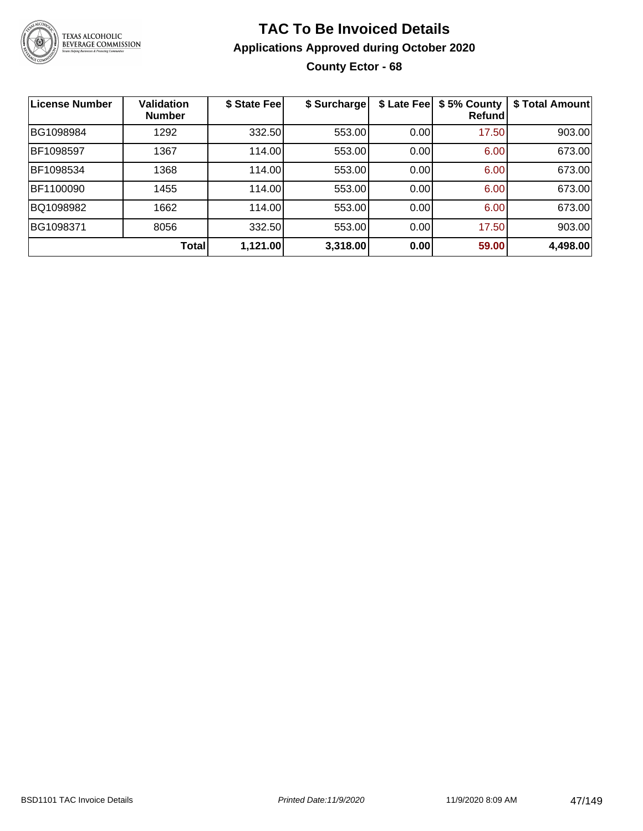

## **TAC To Be Invoiced Details Applications Approved during October 2020 County Ector - 68**

| <b>License Number</b> | <b>Validation</b><br><b>Number</b> | \$ State Fee | \$ Surcharge | \$ Late Fee | \$5% County<br><b>Refund</b> | \$ Total Amount |
|-----------------------|------------------------------------|--------------|--------------|-------------|------------------------------|-----------------|
| BG1098984             | 1292                               | 332.50       | 553.00       | 0.00        | 17.50                        | 903.00          |
| BF1098597             | 1367                               | 114.00       | 553.00       | 0.00        | 6.00                         | 673.00          |
| BF1098534             | 1368                               | 114.00       | 553.00       | 0.00        | 6.00                         | 673.00          |
| BF1100090             | 1455                               | 114.00       | 553.00       | 0.00        | 6.00                         | 673.00          |
| BQ1098982             | 1662                               | 114.00       | 553.00       | 0.00        | 6.00                         | 673.00          |
| BG1098371             | 8056                               | 332.50       | 553.00       | 0.00        | 17.50                        | 903.00          |
|                       | <b>Total</b>                       | 1,121.00     | 3,318.00     | 0.00        | 59.00                        | 4,498.00        |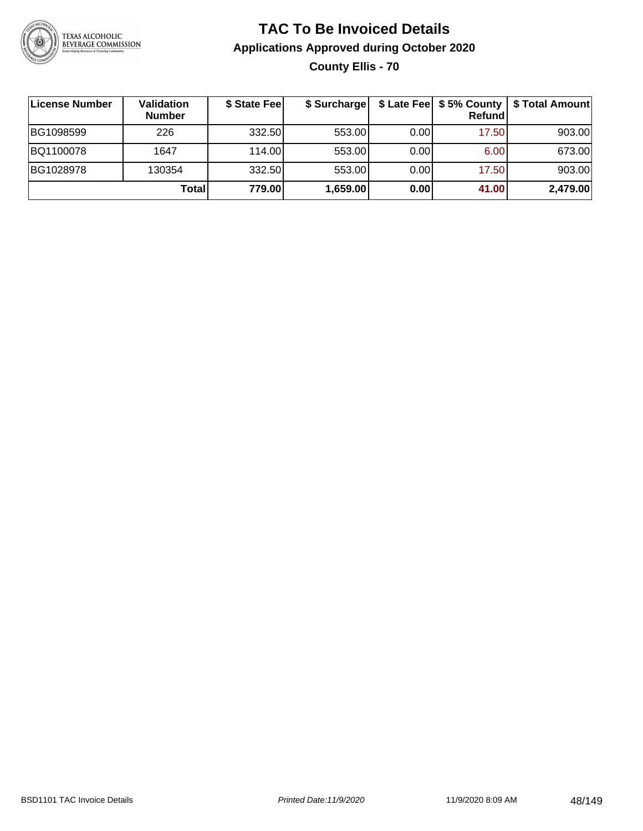

## **TAC To Be Invoiced Details Applications Approved during October 2020 County Ellis - 70**

| License Number | Validation<br><b>Number</b> | \$ State Fee | \$ Surcharge |      | Refundl | \$ Late Fee   \$5% County   \$ Total Amount |
|----------------|-----------------------------|--------------|--------------|------|---------|---------------------------------------------|
| BG1098599      | 226                         | 332.50       | 553.00       | 0.00 | 17.50   | 903.00                                      |
| BQ1100078      | 1647                        | 114.00L      | 553.00       | 0.00 | 6.00    | 673.00                                      |
| BG1028978      | 130354                      | 332.50       | 553.00       | 0.00 | 17.50   | 903.00                                      |
|                | Total                       | 779.00       | 1,659.00     | 0.00 | 41.00   | 2,479.00                                    |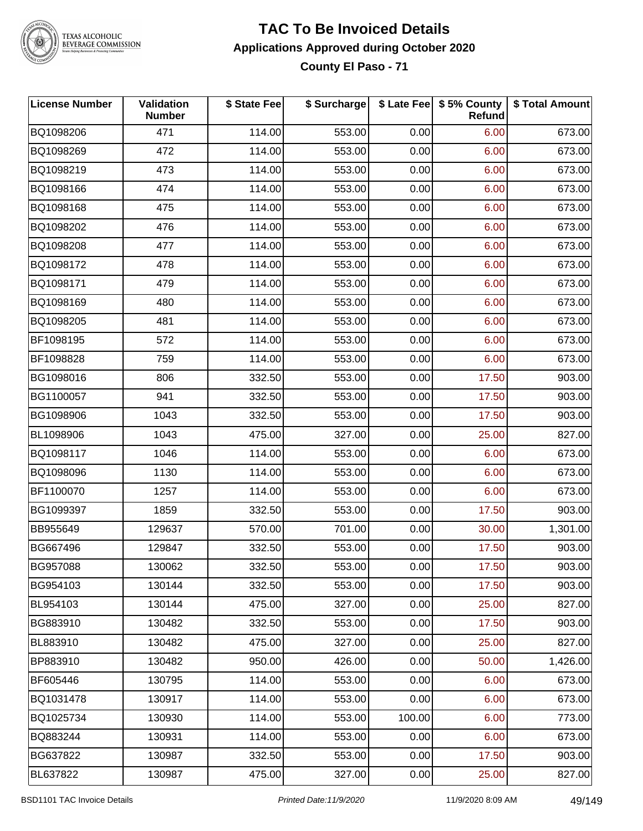

#### **TAC To Be Invoiced Details Applications Approved during October 2020 County El Paso - 71**

| <b>License Number</b> | <b>Validation</b><br><b>Number</b> | \$ State Fee | \$ Surcharge |        | \$ Late Fee   \$5% County<br>Refund | \$ Total Amount |
|-----------------------|------------------------------------|--------------|--------------|--------|-------------------------------------|-----------------|
| BQ1098206             | 471                                | 114.00       | 553.00       | 0.00   | 6.00                                | 673.00          |
| BQ1098269             | 472                                | 114.00       | 553.00       | 0.00   | 6.00                                | 673.00          |
| BQ1098219             | 473                                | 114.00       | 553.00       | 0.00   | 6.00                                | 673.00          |
| BQ1098166             | 474                                | 114.00       | 553.00       | 0.00   | 6.00                                | 673.00          |
| BQ1098168             | 475                                | 114.00       | 553.00       | 0.00   | 6.00                                | 673.00          |
| BQ1098202             | 476                                | 114.00       | 553.00       | 0.00   | 6.00                                | 673.00          |
| BQ1098208             | 477                                | 114.00       | 553.00       | 0.00   | 6.00                                | 673.00          |
| BQ1098172             | 478                                | 114.00       | 553.00       | 0.00   | 6.00                                | 673.00          |
| BQ1098171             | 479                                | 114.00       | 553.00       | 0.00   | 6.00                                | 673.00          |
| BQ1098169             | 480                                | 114.00       | 553.00       | 0.00   | 6.00                                | 673.00          |
| BQ1098205             | 481                                | 114.00       | 553.00       | 0.00   | 6.00                                | 673.00          |
| BF1098195             | 572                                | 114.00       | 553.00       | 0.00   | 6.00                                | 673.00          |
| BF1098828             | 759                                | 114.00       | 553.00       | 0.00   | 6.00                                | 673.00          |
| BG1098016             | 806                                | 332.50       | 553.00       | 0.00   | 17.50                               | 903.00          |
| BG1100057             | 941                                | 332.50       | 553.00       | 0.00   | 17.50                               | 903.00          |
| BG1098906             | 1043                               | 332.50       | 553.00       | 0.00   | 17.50                               | 903.00          |
| BL1098906             | 1043                               | 475.00       | 327.00       | 0.00   | 25.00                               | 827.00          |
| BQ1098117             | 1046                               | 114.00       | 553.00       | 0.00   | 6.00                                | 673.00          |
| BQ1098096             | 1130                               | 114.00       | 553.00       | 0.00   | 6.00                                | 673.00          |
| BF1100070             | 1257                               | 114.00       | 553.00       | 0.00   | 6.00                                | 673.00          |
| BG1099397             | 1859                               | 332.50       | 553.00       | 0.00   | 17.50                               | 903.00          |
| BB955649              | 129637                             | 570.00       | 701.00       | 0.00   | 30.00                               | 1,301.00        |
| BG667496              | 129847                             | 332.50       | 553.00       | 0.00   | 17.50                               | 903.00          |
| BG957088              | 130062                             | 332.50       | 553.00       | 0.00   | 17.50                               | 903.00          |
| BG954103              | 130144                             | 332.50       | 553.00       | 0.00   | 17.50                               | 903.00          |
| BL954103              | 130144                             | 475.00       | 327.00       | 0.00   | 25.00                               | 827.00          |
| BG883910              | 130482                             | 332.50       | 553.00       | 0.00   | 17.50                               | 903.00          |
| BL883910              | 130482                             | 475.00       | 327.00       | 0.00   | 25.00                               | 827.00          |
| BP883910              | 130482                             | 950.00       | 426.00       | 0.00   | 50.00                               | 1,426.00        |
| BF605446              | 130795                             | 114.00       | 553.00       | 0.00   | 6.00                                | 673.00          |
| BQ1031478             | 130917                             | 114.00       | 553.00       | 0.00   | 6.00                                | 673.00          |
| BQ1025734             | 130930                             | 114.00       | 553.00       | 100.00 | 6.00                                | 773.00          |
| BQ883244              | 130931                             | 114.00       | 553.00       | 0.00   | 6.00                                | 673.00          |
| BG637822              | 130987                             | 332.50       | 553.00       | 0.00   | 17.50                               | 903.00          |
| BL637822              | 130987                             | 475.00       | 327.00       | 0.00   | 25.00                               | 827.00          |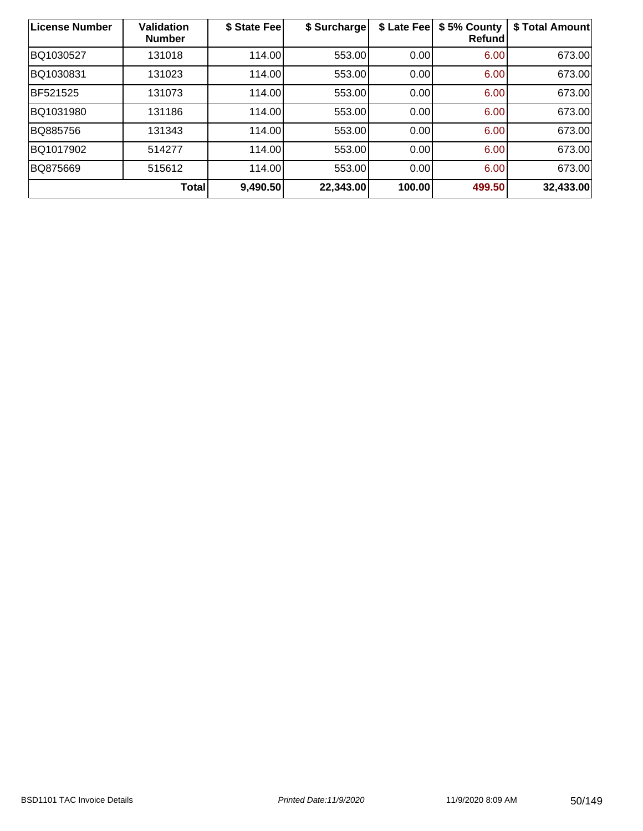| License Number | <b>Validation</b><br><b>Number</b> | \$ State Fee | \$ Surcharge | \$ Late Fee | \$5% County<br><b>Refund</b> | \$ Total Amount |
|----------------|------------------------------------|--------------|--------------|-------------|------------------------------|-----------------|
| BQ1030527      | 131018                             | 114.00       | 553.00       | 0.00        | 6.00                         | 673.00          |
| BQ1030831      | 131023                             | 114.00       | 553.00       | 0.00        | 6.00                         | 673.00          |
| BF521525       | 131073                             | 114.00       | 553.00       | 0.00        | 6.00                         | 673.00          |
| BQ1031980      | 131186                             | 114.00       | 553.00       | 0.00        | 6.00                         | 673.00          |
| BQ885756       | 131343                             | 114.00       | 553.00       | 0.00        | 6.00                         | 673.00          |
| BQ1017902      | 514277                             | 114.00       | 553.00       | 0.00        | 6.00                         | 673.00          |
| BQ875669       | 515612                             | 114.00       | 553.00       | 0.00        | 6.00                         | 673.00          |
|                | Total                              | 9,490.50     | 22,343.00    | 100.00      | 499.50                       | 32,433.00       |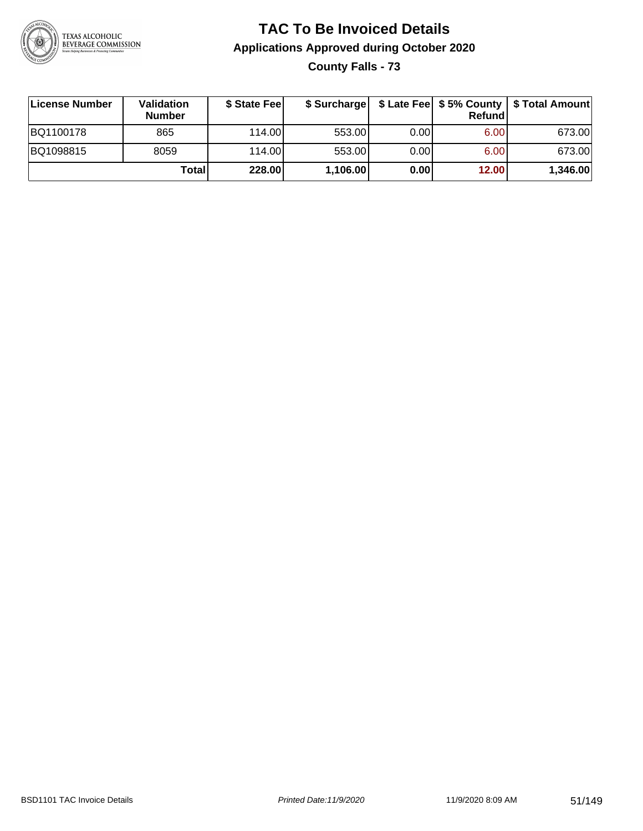

**County Falls - 73**

| License Number | <b>Validation</b><br><b>Number</b> | \$ State Fee | \$ Surcharge |      | <b>Refund</b> | \$ Late Fee   \$5% County   \$ Total Amount |
|----------------|------------------------------------|--------------|--------------|------|---------------|---------------------------------------------|
| BQ1100178      | 865                                | 114.00       | 553.00       | 0.00 | 6.00          | 673.00                                      |
| BQ1098815      | 8059                               | 114.00       | 553.00       | 0.00 | 6.00          | 673.00                                      |
|                | Totall                             | 228.00       | 1,106.00     | 0.00 | 12.00         | 1,346.00                                    |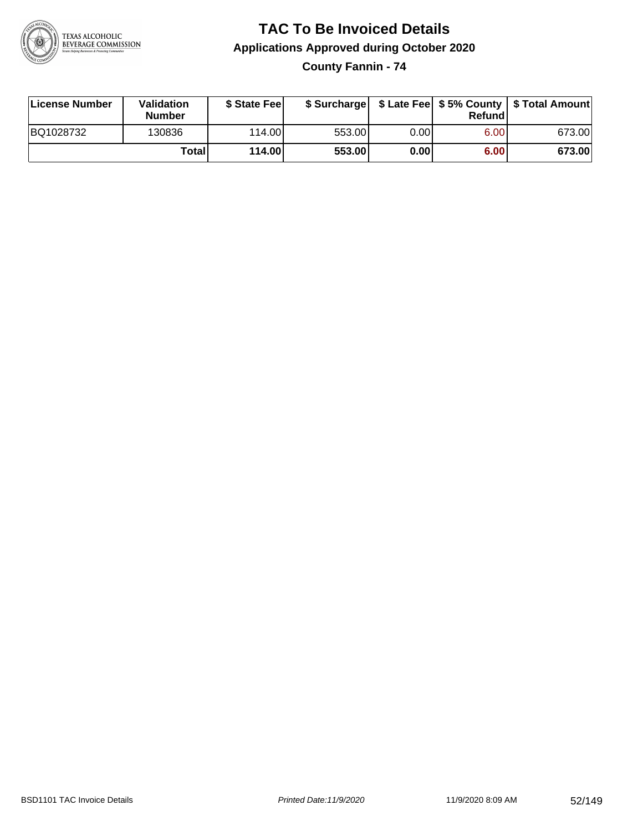

**County Fannin - 74**

| License Number | Validation<br><b>Number</b> | \$ State Feel   |        |      | Refundl | \$ Surcharge   \$ Late Fee   \$5% County   \$ Total Amount |
|----------------|-----------------------------|-----------------|--------|------|---------|------------------------------------------------------------|
| BQ1028732      | 130836                      | 114.00 <b>1</b> | 553.00 | 0.00 | 6.00    | 673.00                                                     |
|                | Totall                      | 114.00          | 553.00 | 0.00 | 6.00    | 673.00                                                     |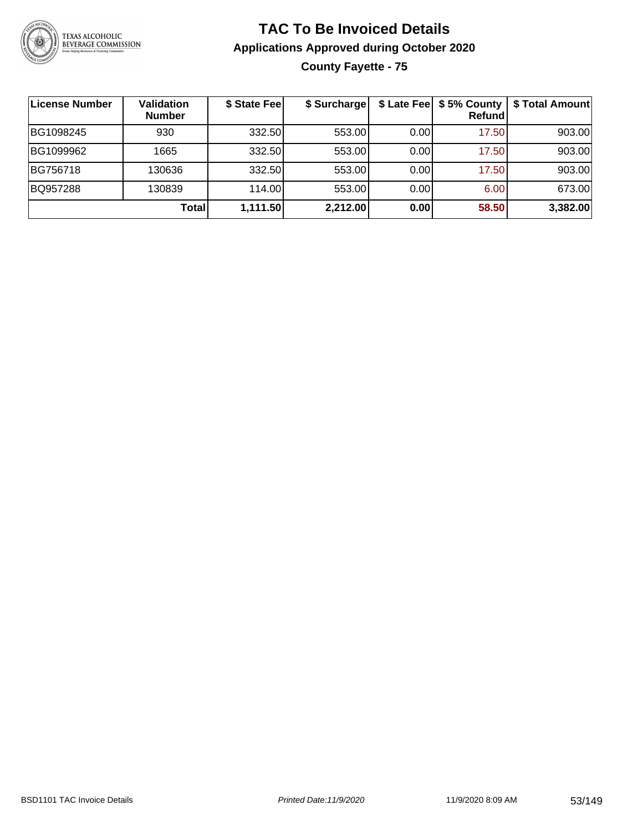

## **TAC To Be Invoiced Details Applications Approved during October 2020 County Fayette - 75**

| License Number | <b>Validation</b><br><b>Number</b> | \$ State Fee | \$ Surcharge |       | \$ Late Fee   \$5% County<br>Refund | \$ Total Amount |
|----------------|------------------------------------|--------------|--------------|-------|-------------------------------------|-----------------|
| BG1098245      | 930                                | 332.50       | 553.00       | 0.001 | 17.50                               | 903.00          |
| BG1099962      | 1665                               | 332.50       | 553.00       | 0.00  | 17.50                               | 903.00          |
| BG756718       | 130636                             | 332.50       | 553.00       | 0.00  | 17.50                               | 903.00          |
| BQ957288       | 130839                             | 114.00       | 553.00       | 0.00  | 6.00                                | 673.00          |
|                | Total                              | 1,111.50     | 2,212.00     | 0.00  | 58.50                               | 3,382.00        |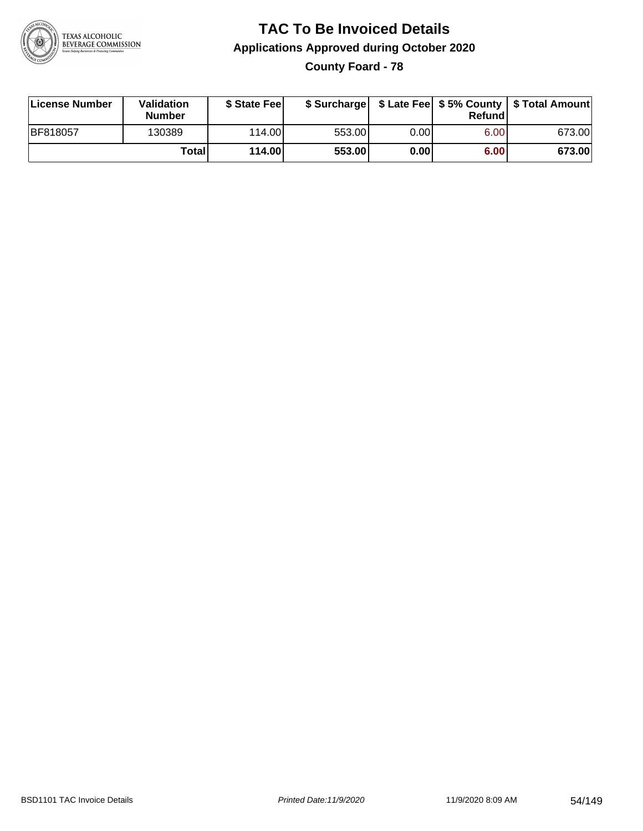

## **TAC To Be Invoiced Details Applications Approved during October 2020 County Foard - 78**

| License Number  | Validation<br><b>Number</b> | \$ State Fee |        |      | Refund | \$ Surcharge   \$ Late Fee   \$5% County   \$ Total Amount |
|-----------------|-----------------------------|--------------|--------|------|--------|------------------------------------------------------------|
| <b>BF818057</b> | 130389                      | 114.00       | 553.00 | 0.00 | 6.00   | 673.00                                                     |
|                 | Total                       | 114.00       | 553.00 | 0.00 | 6.00   | 673.00                                                     |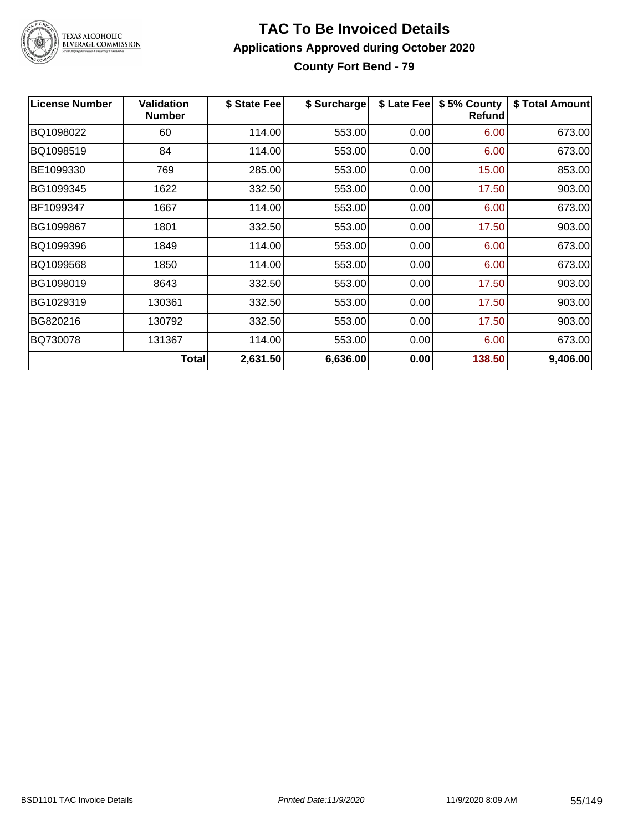

#### **TAC To Be Invoiced Details Applications Approved during October 2020 County Fort Bend - 79**

| <b>License Number</b> | Validation<br><b>Number</b> | \$ State Fee | \$ Surcharge | \$ Late Fee | \$5% County<br>Refund | \$ Total Amount |
|-----------------------|-----------------------------|--------------|--------------|-------------|-----------------------|-----------------|
| BQ1098022             | 60                          | 114.00       | 553.00       | 0.00        | 6.00                  | 673.00          |
| BQ1098519             | 84                          | 114.00       | 553.00       | 0.00        | 6.00                  | 673.00          |
| BE1099330             | 769                         | 285.00       | 553.00       | 0.00        | 15.00                 | 853.00          |
| BG1099345             | 1622                        | 332.50       | 553.00       | 0.00        | 17.50                 | 903.00          |
| BF1099347             | 1667                        | 114.00       | 553.00       | 0.00        | 6.00                  | 673.00          |
| BG1099867             | 1801                        | 332.50       | 553.00       | 0.00        | 17.50                 | 903.00          |
| BQ1099396             | 1849                        | 114.00       | 553.00       | 0.00        | 6.00                  | 673.00          |
| BQ1099568             | 1850                        | 114.00       | 553.00       | 0.00        | 6.00                  | 673.00          |
| BG1098019             | 8643                        | 332.50       | 553.00       | 0.00        | 17.50                 | 903.00          |
| BG1029319             | 130361                      | 332.50       | 553.00       | 0.00        | 17.50                 | 903.00          |
| BG820216              | 130792                      | 332.50       | 553.00       | 0.00        | 17.50                 | 903.00          |
| BQ730078              | 131367                      | 114.00       | 553.00       | 0.00        | 6.00                  | 673.00          |
|                       | <b>Total</b>                | 2,631.50     | 6,636.00     | 0.00        | 138.50                | 9,406.00        |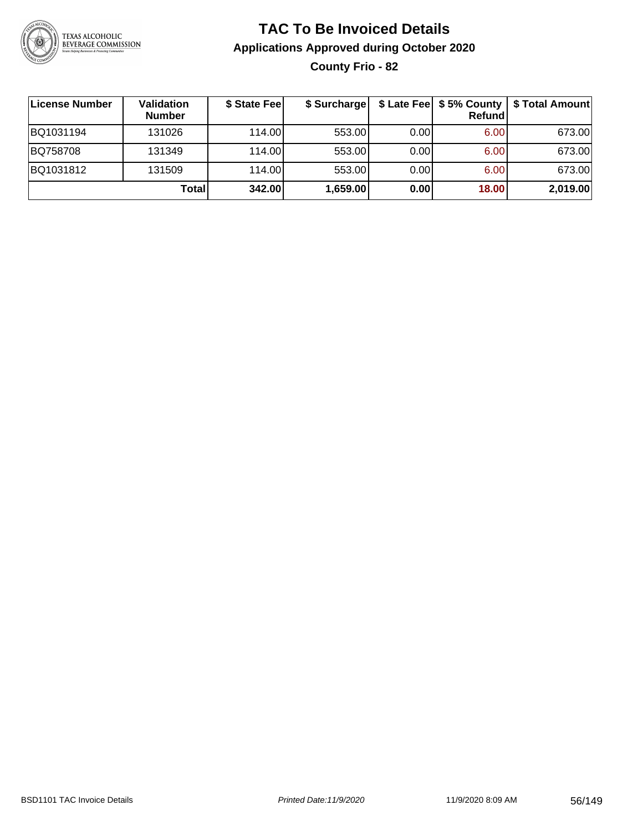

## **TAC To Be Invoiced Details Applications Approved during October 2020 County Frio - 82**

| License Number | <b>Validation</b><br><b>Number</b> | \$ State Fee | \$ Surcharge |      | \$ Late Fee   \$5% County  <br>Refund | \$ Total Amount |
|----------------|------------------------------------|--------------|--------------|------|---------------------------------------|-----------------|
| BQ1031194      | 131026                             | 114.00       | 553.00       | 0.00 | 6.00                                  | 673.00          |
| BQ758708       | 131349                             | 114.00       | 553.00       | 0.00 | 6.00                                  | 673.00          |
| BQ1031812      | 131509                             | 114.00       | 553.00       | 0.00 | 6.00                                  | 673.00          |
|                | Totall                             | 342.00       | 1,659.00     | 0.00 | 18.00                                 | 2,019.00        |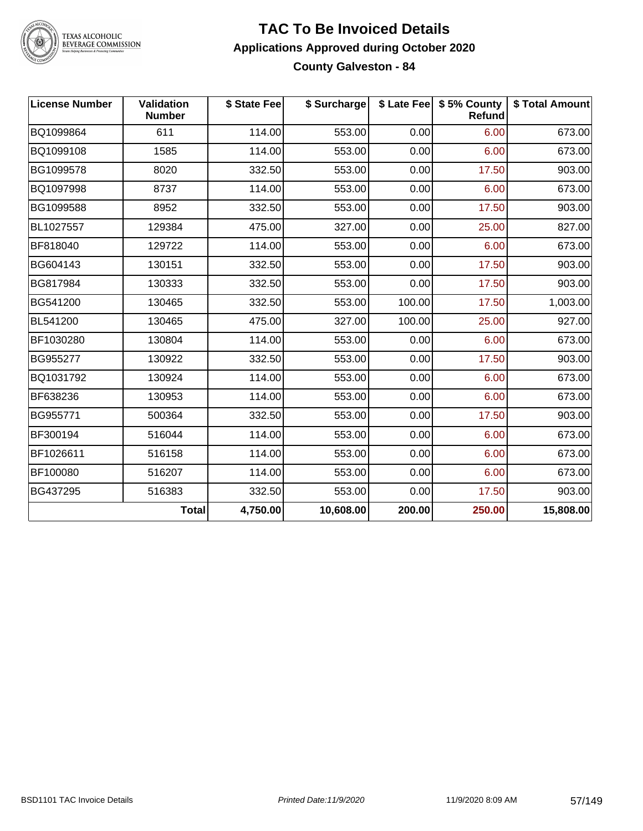

#### **TAC To Be Invoiced Details Applications Approved during October 2020 County Galveston - 84**

| <b>License Number</b> | <b>Validation</b><br><b>Number</b> | \$ State Fee | \$ Surcharge |        | \$ Late Fee   \$5% County<br>Refund | \$ Total Amount |
|-----------------------|------------------------------------|--------------|--------------|--------|-------------------------------------|-----------------|
| BQ1099864             | 611                                | 114.00       | 553.00       | 0.00   | 6.00                                | 673.00          |
| BQ1099108             | 1585                               | 114.00       | 553.00       | 0.00   | 6.00                                | 673.00          |
| BG1099578             | 8020                               | 332.50       | 553.00       | 0.00   | 17.50                               | 903.00          |
| BQ1097998             | 8737                               | 114.00       | 553.00       | 0.00   | 6.00                                | 673.00          |
| BG1099588             | 8952                               | 332.50       | 553.00       | 0.00   | 17.50                               | 903.00          |
| BL1027557             | 129384                             | 475.00       | 327.00       | 0.00   | 25.00                               | 827.00          |
| BF818040              | 129722                             | 114.00       | 553.00       | 0.00   | 6.00                                | 673.00          |
| BG604143              | 130151                             | 332.50       | 553.00       | 0.00   | 17.50                               | 903.00          |
| BG817984              | 130333                             | 332.50       | 553.00       | 0.00   | 17.50                               | 903.00          |
| BG541200              | 130465                             | 332.50       | 553.00       | 100.00 | 17.50                               | 1,003.00        |
| BL541200              | 130465                             | 475.00       | 327.00       | 100.00 | 25.00                               | 927.00          |
| BF1030280             | 130804                             | 114.00       | 553.00       | 0.00   | 6.00                                | 673.00          |
| BG955277              | 130922                             | 332.50       | 553.00       | 0.00   | 17.50                               | 903.00          |
| BQ1031792             | 130924                             | 114.00       | 553.00       | 0.00   | 6.00                                | 673.00          |
| BF638236              | 130953                             | 114.00       | 553.00       | 0.00   | 6.00                                | 673.00          |
| BG955771              | 500364                             | 332.50       | 553.00       | 0.00   | 17.50                               | 903.00          |
| BF300194              | 516044                             | 114.00       | 553.00       | 0.00   | 6.00                                | 673.00          |
| BF1026611             | 516158                             | 114.00       | 553.00       | 0.00   | 6.00                                | 673.00          |
| BF100080              | 516207                             | 114.00       | 553.00       | 0.00   | 6.00                                | 673.00          |
| BG437295              | 516383                             | 332.50       | 553.00       | 0.00   | 17.50                               | 903.00          |
|                       | <b>Total</b>                       | 4,750.00     | 10,608.00    | 200.00 | 250.00                              | 15,808.00       |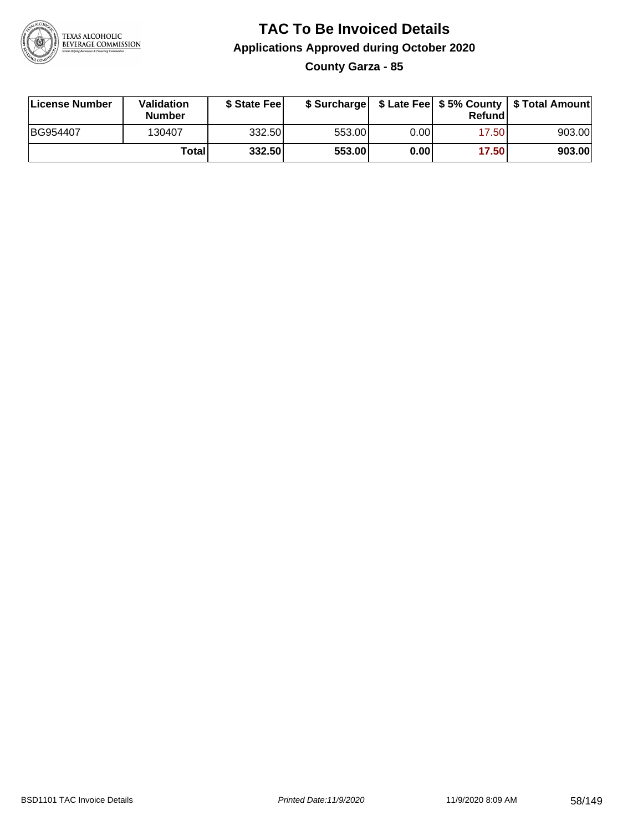

## **TAC To Be Invoiced Details Applications Approved during October 2020 County Garza - 85**

**License Number Validation Number \$ State Fee \$ Surcharge \$ Late Fee \$ 5% County Refund \$ Total Amount** BG954407 | 130407 | 332.50| 553.00| 0.00| 17.50| 903.00 **Total 332.50 553.00 0.00 17.50 903.00**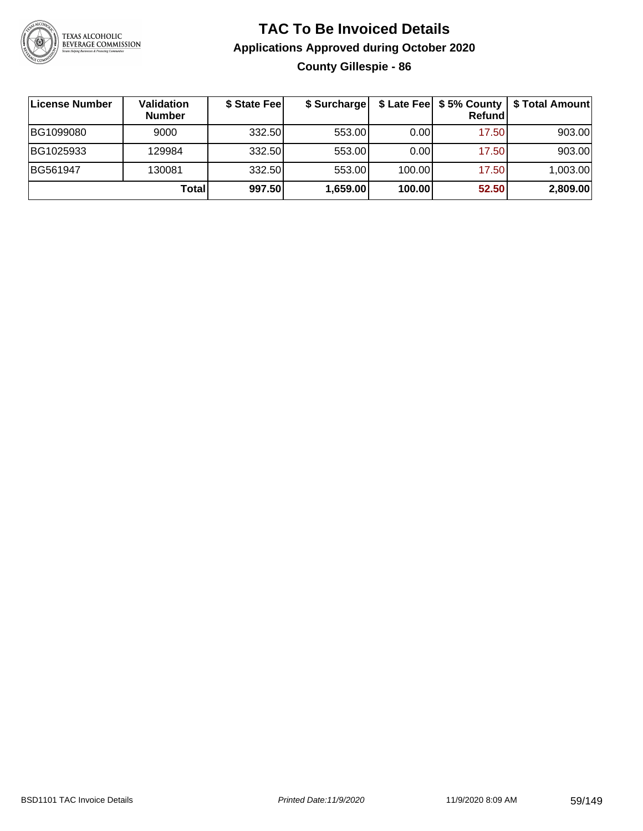

## **TAC To Be Invoiced Details Applications Approved during October 2020 County Gillespie - 86**

| ∣License Number | Validation<br><b>Number</b> | \$ State Fee | \$ Surcharge |        | Refundl | \$ Late Fee   \$5% County   \$ Total Amount |
|-----------------|-----------------------------|--------------|--------------|--------|---------|---------------------------------------------|
| BG1099080       | 9000                        | 332.50       | 553.00       | 0.00   | 17.50   | 903.00                                      |
| BG1025933       | 129984                      | 332.50       | 553.00       | 0.00   | 17.50   | 903.00                                      |
| BG561947        | 130081                      | 332.50       | 553.00       | 100.00 | 17.50   | 1,003.00                                    |
|                 | Totall                      | 997.50       | 1,659.00     | 100.00 | 52.50   | 2,809.00                                    |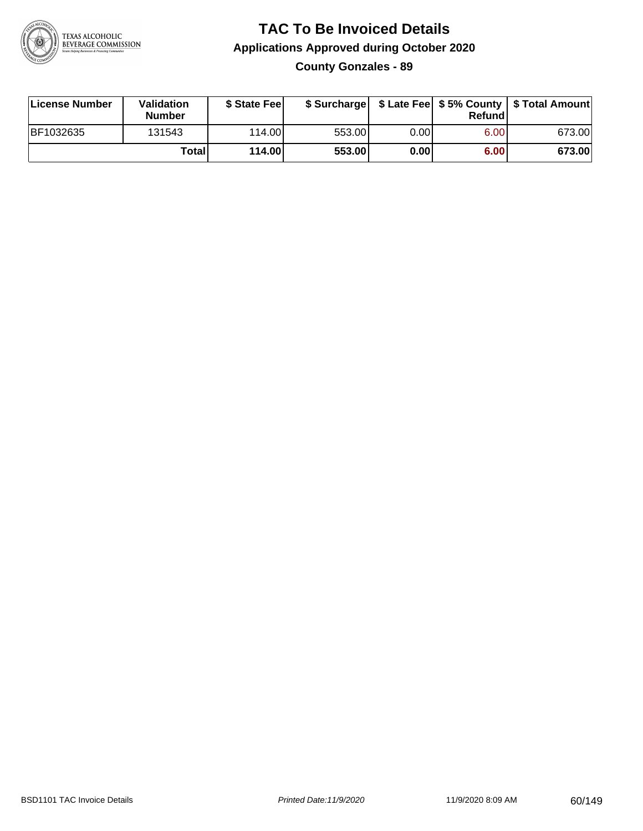

**County Gonzales - 89**

| License Number | Validation<br><b>Number</b> | \$ State Feel |        |      | Refundl | \$ Surcharge   \$ Late Fee   \$5% County   \$ Total Amount |
|----------------|-----------------------------|---------------|--------|------|---------|------------------------------------------------------------|
| BF1032635      | 131543                      | 114.00        | 553.00 | 0.00 | 6.00    | 673.00                                                     |
|                | <b>Total</b>                | 114.00        | 553.00 | 0.00 | 6.00    | 673.00                                                     |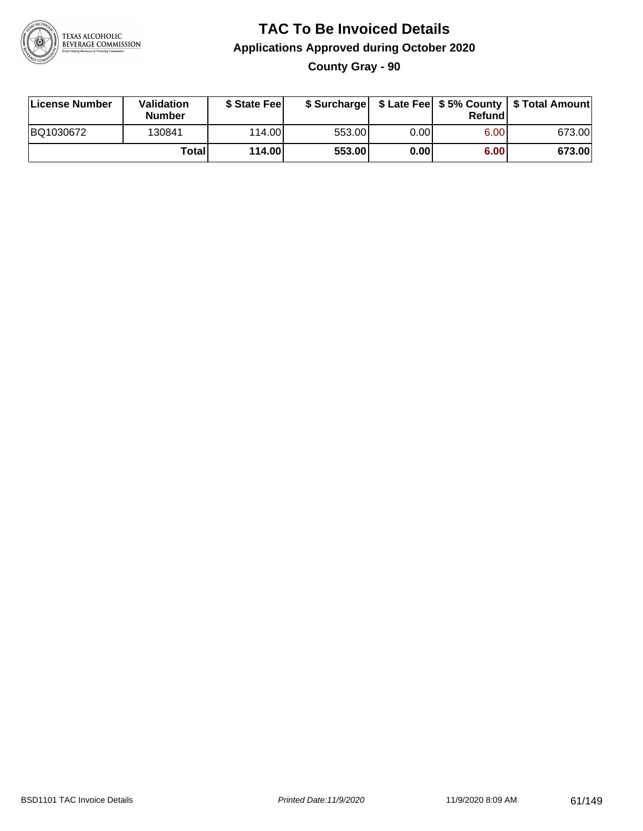

**County Gray - 90**

| License Number | Validation<br><b>Number</b> | \$ State Fee |        |      | Refundl | \$ Surcharge   \$ Late Fee   \$5% County   \$ Total Amount |
|----------------|-----------------------------|--------------|--------|------|---------|------------------------------------------------------------|
| BQ1030672      | 130841                      | 114.00       | 553.00 | 0.00 | 6.00    | 673.00                                                     |
|                | Totall                      | 114.00       | 553.00 | 0.00 | 6.00    | 673.00                                                     |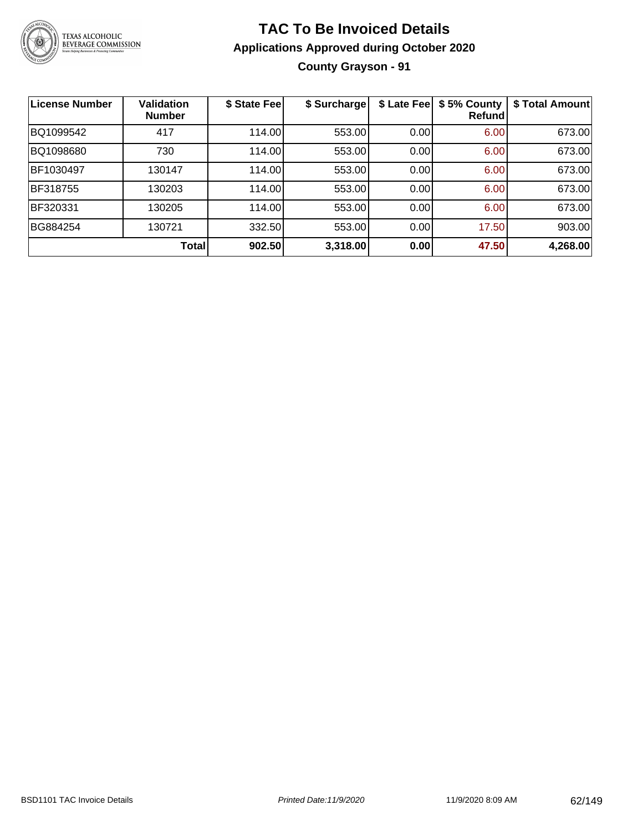

## **TAC To Be Invoiced Details Applications Approved during October 2020 County Grayson - 91**

| <b>License Number</b> | <b>Validation</b><br><b>Number</b> | \$ State Fee | \$ Surcharge | \$ Late Fee | \$5% County<br>Refundl | \$ Total Amount |
|-----------------------|------------------------------------|--------------|--------------|-------------|------------------------|-----------------|
| BQ1099542             | 417                                | 114.00       | 553.00       | 0.00        | 6.00                   | 673.00          |
| BQ1098680             | 730                                | 114.00       | 553.00       | 0.00        | 6.00                   | 673.00          |
| BF1030497             | 130147                             | 114.00       | 553.00       | 0.00        | 6.00                   | 673.00          |
| BF318755              | 130203                             | 114.00       | 553.00       | 0.00        | 6.00                   | 673.00          |
| BF320331              | 130205                             | 114.00       | 553.00       | 0.00        | 6.00                   | 673.00          |
| BG884254              | 130721                             | 332.50       | 553.00       | 0.00        | 17.50                  | 903.00          |
|                       | Total                              | 902.50       | 3,318.00     | 0.00        | 47.50                  | 4,268.00        |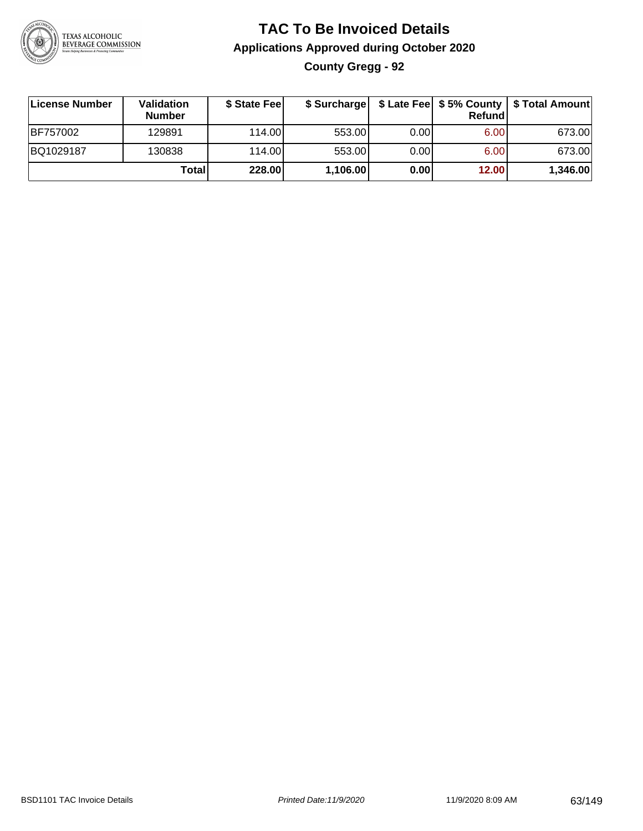

## **TAC To Be Invoiced Details Applications Approved during October 2020 County Gregg - 92**

| License Number | <b>Validation</b><br><b>Number</b> | \$ State Fee | \$ Surcharge |      | Refund | \$ Late Fee   \$5% County   \$ Total Amount |
|----------------|------------------------------------|--------------|--------------|------|--------|---------------------------------------------|
| BF757002       | 129891                             | 114.00L      | 553.00       | 0.00 | 6.00   | 673.00                                      |
| BQ1029187      | 130838                             | 114.00       | 553.00       | 0.00 | 6.00   | 673.00                                      |
|                | Total                              | 228.00       | 1,106.00     | 0.00 | 12.00  | 1,346.00                                    |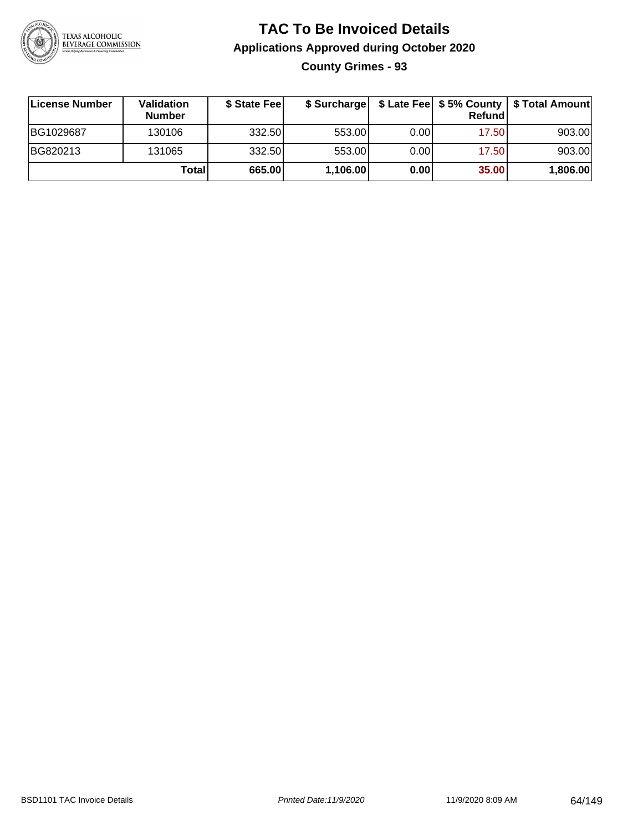

**County Grimes - 93**

| ∣License Number | <b>Validation</b><br><b>Number</b> | \$ State Fee | \$ Surcharge |      | Refundl | \$ Late Fee   \$5% County   \$ Total Amount |
|-----------------|------------------------------------|--------------|--------------|------|---------|---------------------------------------------|
| BG1029687       | 130106                             | 332.50       | 553.00       | 0.00 | 17.50   | 903.00                                      |
| BG820213        | 131065                             | 332.50       | 553.00       | 0.00 | 17.50   | 903.00                                      |
|                 | Totall                             | 665.00       | 1,106.00     | 0.00 | 35.00   | 1,806.00                                    |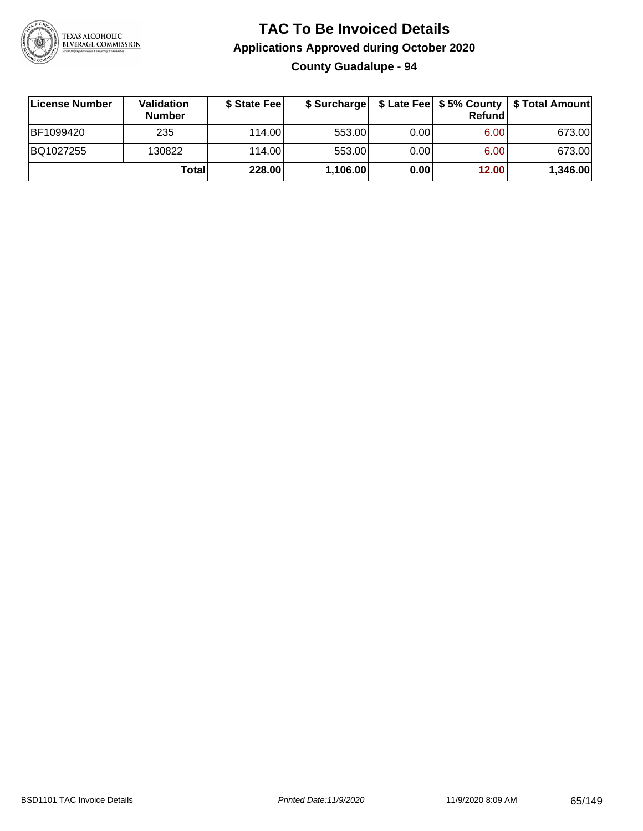

## **TAC To Be Invoiced Details Applications Approved during October 2020 County Guadalupe - 94**

| License Number | <b>Validation</b><br><b>Number</b> | \$ State Feel | \$ Surcharge |      | Refund | \$ Late Fee   \$5% County   \$ Total Amount |
|----------------|------------------------------------|---------------|--------------|------|--------|---------------------------------------------|
| BF1099420      | 235                                | 114.00L       | 553.00       | 0.00 | 6.00   | 673.00                                      |
| BQ1027255      | 130822                             | 114.00L       | 553.00       | 0.00 | 6.00   | 673.00                                      |
|                | Totall                             | 228.00        | 1,106.00     | 0.00 | 12.00  | 1,346.00                                    |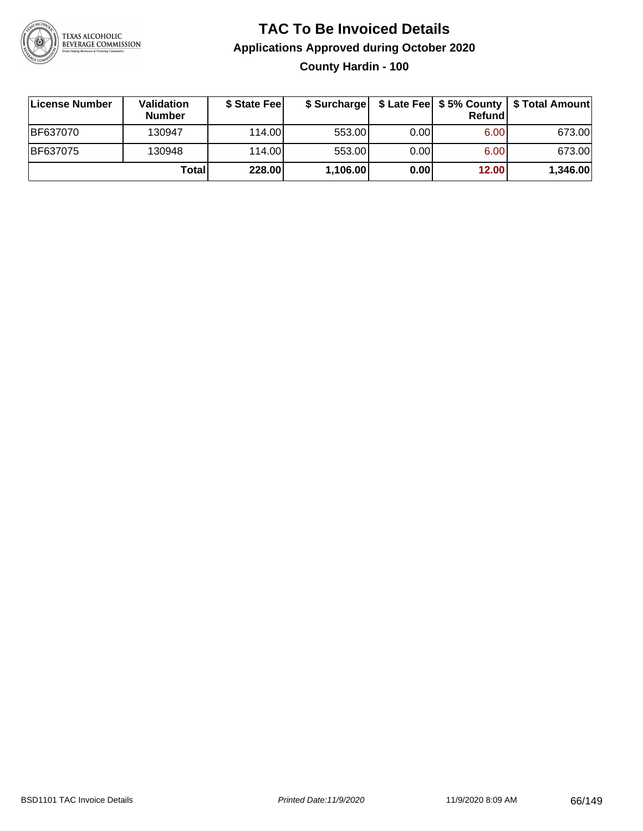

## **TAC To Be Invoiced Details Applications Approved during October 2020 County Hardin - 100**

| License Number | Validation<br><b>Number</b> | \$ State Fee |          |      | Refund | \$ Surcharge   \$ Late Fee   \$5% County   \$ Total Amount |
|----------------|-----------------------------|--------------|----------|------|--------|------------------------------------------------------------|
| IBF637070      | 130947                      | 114.00L      | 553.00   | 0.00 | 6.00   | 673.00                                                     |
| BF637075       | 130948                      | 114.00L      | 553.00   | 0.00 | 6.00   | 673.00                                                     |
|                | Total                       | 228.00       | 1,106.00 | 0.00 | 12.00  | 1,346.00                                                   |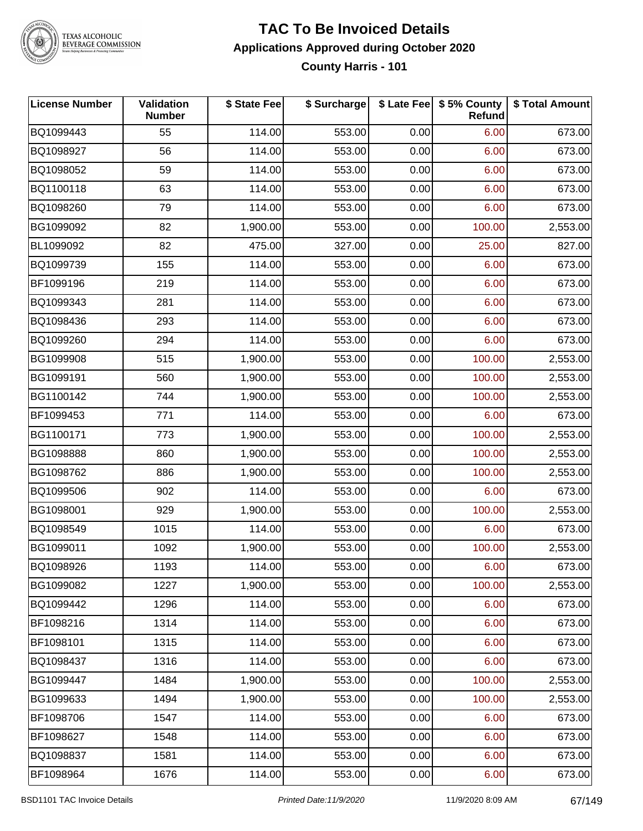

#### **TAC To Be Invoiced Details Applications Approved during October 2020 County Harris - 101**

| License Number | Validation<br><b>Number</b> | \$ State Fee | \$ Surcharge |      | \$ Late Fee   \$5% County<br>Refund | \$ Total Amount |
|----------------|-----------------------------|--------------|--------------|------|-------------------------------------|-----------------|
| BQ1099443      | 55                          | 114.00       | 553.00       | 0.00 | 6.00                                | 673.00          |
| BQ1098927      | 56                          | 114.00       | 553.00       | 0.00 | 6.00                                | 673.00          |
| BQ1098052      | 59                          | 114.00       | 553.00       | 0.00 | 6.00                                | 673.00          |
| BQ1100118      | 63                          | 114.00       | 553.00       | 0.00 | 6.00                                | 673.00          |
| BQ1098260      | 79                          | 114.00       | 553.00       | 0.00 | 6.00                                | 673.00          |
| BG1099092      | 82                          | 1,900.00     | 553.00       | 0.00 | 100.00                              | 2,553.00        |
| BL1099092      | 82                          | 475.00       | 327.00       | 0.00 | 25.00                               | 827.00          |
| BQ1099739      | 155                         | 114.00       | 553.00       | 0.00 | 6.00                                | 673.00          |
| BF1099196      | 219                         | 114.00       | 553.00       | 0.00 | 6.00                                | 673.00          |
| BQ1099343      | 281                         | 114.00       | 553.00       | 0.00 | 6.00                                | 673.00          |
| BQ1098436      | 293                         | 114.00       | 553.00       | 0.00 | 6.00                                | 673.00          |
| BQ1099260      | 294                         | 114.00       | 553.00       | 0.00 | 6.00                                | 673.00          |
| BG1099908      | 515                         | 1,900.00     | 553.00       | 0.00 | 100.00                              | 2,553.00        |
| BG1099191      | 560                         | 1,900.00     | 553.00       | 0.00 | 100.00                              | 2,553.00        |
| BG1100142      | 744                         | 1,900.00     | 553.00       | 0.00 | 100.00                              | 2,553.00        |
| BF1099453      | 771                         | 114.00       | 553.00       | 0.00 | 6.00                                | 673.00          |
| BG1100171      | 773                         | 1,900.00     | 553.00       | 0.00 | 100.00                              | 2,553.00        |
| BG1098888      | 860                         | 1,900.00     | 553.00       | 0.00 | 100.00                              | 2,553.00        |
| BG1098762      | 886                         | 1,900.00     | 553.00       | 0.00 | 100.00                              | 2,553.00        |
| BQ1099506      | 902                         | 114.00       | 553.00       | 0.00 | 6.00                                | 673.00          |
| BG1098001      | 929                         | 1,900.00     | 553.00       | 0.00 | 100.00                              | 2,553.00        |
| BQ1098549      | 1015                        | 114.00       | 553.00       | 0.00 | 6.00                                | 673.00          |
| BG1099011      | 1092                        | 1,900.00     | 553.00       | 0.00 | 100.00                              | 2,553.00        |
| BQ1098926      | 1193                        | 114.00       | 553.00       | 0.00 | 6.00                                | 673.00          |
| BG1099082      | 1227                        | 1,900.00     | 553.00       | 0.00 | 100.00                              | 2,553.00        |
| BQ1099442      | 1296                        | 114.00       | 553.00       | 0.00 | 6.00                                | 673.00          |
| BF1098216      | 1314                        | 114.00       | 553.00       | 0.00 | 6.00                                | 673.00          |
| BF1098101      | 1315                        | 114.00       | 553.00       | 0.00 | 6.00                                | 673.00          |
| BQ1098437      | 1316                        | 114.00       | 553.00       | 0.00 | 6.00                                | 673.00          |
| BG1099447      | 1484                        | 1,900.00     | 553.00       | 0.00 | 100.00                              | 2,553.00        |
| BG1099633      | 1494                        | 1,900.00     | 553.00       | 0.00 | 100.00                              | 2,553.00        |
| BF1098706      | 1547                        | 114.00       | 553.00       | 0.00 | 6.00                                | 673.00          |
| BF1098627      | 1548                        | 114.00       | 553.00       | 0.00 | 6.00                                | 673.00          |
| BQ1098837      | 1581                        | 114.00       | 553.00       | 0.00 | 6.00                                | 673.00          |
| BF1098964      | 1676                        | 114.00       | 553.00       | 0.00 | 6.00                                | 673.00          |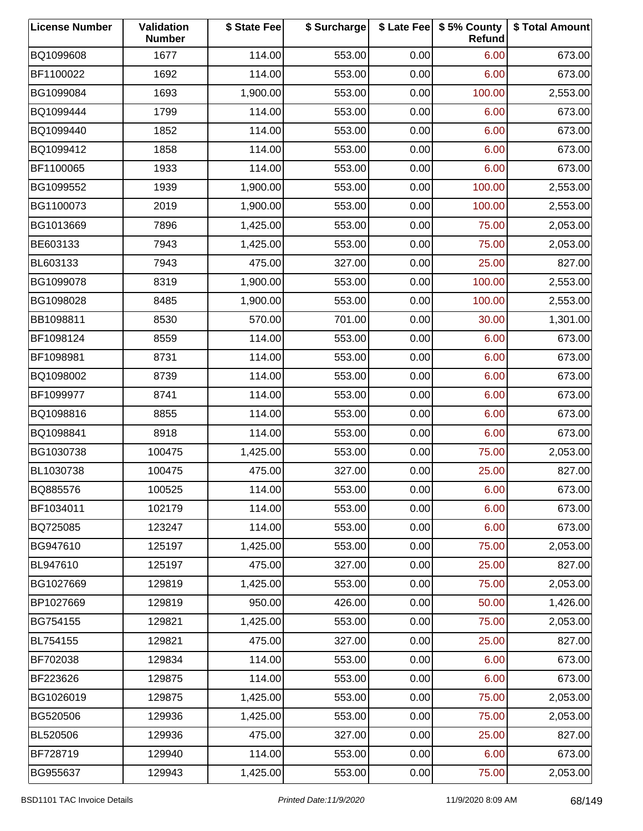| <b>License Number</b> | Validation<br><b>Number</b> | \$ State Fee | \$ Surcharge |      | \$ Late Fee   \$5% County<br>Refund | \$ Total Amount |
|-----------------------|-----------------------------|--------------|--------------|------|-------------------------------------|-----------------|
| BQ1099608             | 1677                        | 114.00       | 553.00       | 0.00 | 6.00                                | 673.00          |
| BF1100022             | 1692                        | 114.00       | 553.00       | 0.00 | 6.00                                | 673.00          |
| BG1099084             | 1693                        | 1,900.00     | 553.00       | 0.00 | 100.00                              | 2,553.00        |
| BQ1099444             | 1799                        | 114.00       | 553.00       | 0.00 | 6.00                                | 673.00          |
| BQ1099440             | 1852                        | 114.00       | 553.00       | 0.00 | 6.00                                | 673.00          |
| BQ1099412             | 1858                        | 114.00       | 553.00       | 0.00 | 6.00                                | 673.00          |
| BF1100065             | 1933                        | 114.00       | 553.00       | 0.00 | 6.00                                | 673.00          |
| BG1099552             | 1939                        | 1,900.00     | 553.00       | 0.00 | 100.00                              | 2,553.00        |
| BG1100073             | 2019                        | 1,900.00     | 553.00       | 0.00 | 100.00                              | 2,553.00        |
| BG1013669             | 7896                        | 1,425.00     | 553.00       | 0.00 | 75.00                               | 2,053.00        |
| BE603133              | 7943                        | 1,425.00     | 553.00       | 0.00 | 75.00                               | 2,053.00        |
| BL603133              | 7943                        | 475.00       | 327.00       | 0.00 | 25.00                               | 827.00          |
| BG1099078             | 8319                        | 1,900.00     | 553.00       | 0.00 | 100.00                              | 2,553.00        |
| BG1098028             | 8485                        | 1,900.00     | 553.00       | 0.00 | 100.00                              | 2,553.00        |
| BB1098811             | 8530                        | 570.00       | 701.00       | 0.00 | 30.00                               | 1,301.00        |
| BF1098124             | 8559                        | 114.00       | 553.00       | 0.00 | 6.00                                | 673.00          |
| BF1098981             | 8731                        | 114.00       | 553.00       | 0.00 | 6.00                                | 673.00          |
| BQ1098002             | 8739                        | 114.00       | 553.00       | 0.00 | 6.00                                | 673.00          |
| BF1099977             | 8741                        | 114.00       | 553.00       | 0.00 | 6.00                                | 673.00          |
| BQ1098816             | 8855                        | 114.00       | 553.00       | 0.00 | 6.00                                | 673.00          |
| BQ1098841             | 8918                        | 114.00       | 553.00       | 0.00 | 6.00                                | 673.00          |
| BG1030738             | 100475                      | 1,425.00     | 553.00       | 0.00 | 75.00                               | 2,053.00        |
| BL1030738             | 100475                      | 475.00       | 327.00       | 0.00 | 25.00                               | 827.00          |
| BQ885576              | 100525                      | 114.00       | 553.00       | 0.00 | 6.00                                | 673.00          |
| BF1034011             | 102179                      | 114.00       | 553.00       | 0.00 | 6.00                                | 673.00          |
| BQ725085              | 123247                      | 114.00       | 553.00       | 0.00 | 6.00                                | 673.00          |
| BG947610              | 125197                      | 1,425.00     | 553.00       | 0.00 | 75.00                               | 2,053.00        |
| BL947610              | 125197                      | 475.00       | 327.00       | 0.00 | 25.00                               | 827.00          |
| BG1027669             | 129819                      | 1,425.00     | 553.00       | 0.00 | 75.00                               | 2,053.00        |
| BP1027669             | 129819                      | 950.00       | 426.00       | 0.00 | 50.00                               | 1,426.00        |
| BG754155              | 129821                      | 1,425.00     | 553.00       | 0.00 | 75.00                               | 2,053.00        |
| BL754155              | 129821                      | 475.00       | 327.00       | 0.00 | 25.00                               | 827.00          |
| BF702038              | 129834                      | 114.00       | 553.00       | 0.00 | 6.00                                | 673.00          |
| BF223626              | 129875                      | 114.00       | 553.00       | 0.00 | 6.00                                | 673.00          |
| BG1026019             | 129875                      | 1,425.00     | 553.00       | 0.00 | 75.00                               | 2,053.00        |
| BG520506              | 129936                      | 1,425.00     | 553.00       | 0.00 | 75.00                               | 2,053.00        |
| BL520506              | 129936                      | 475.00       | 327.00       | 0.00 | 25.00                               | 827.00          |
| BF728719              | 129940                      | 114.00       | 553.00       | 0.00 | 6.00                                | 673.00          |
| BG955637              | 129943                      | 1,425.00     | 553.00       | 0.00 | 75.00                               | 2,053.00        |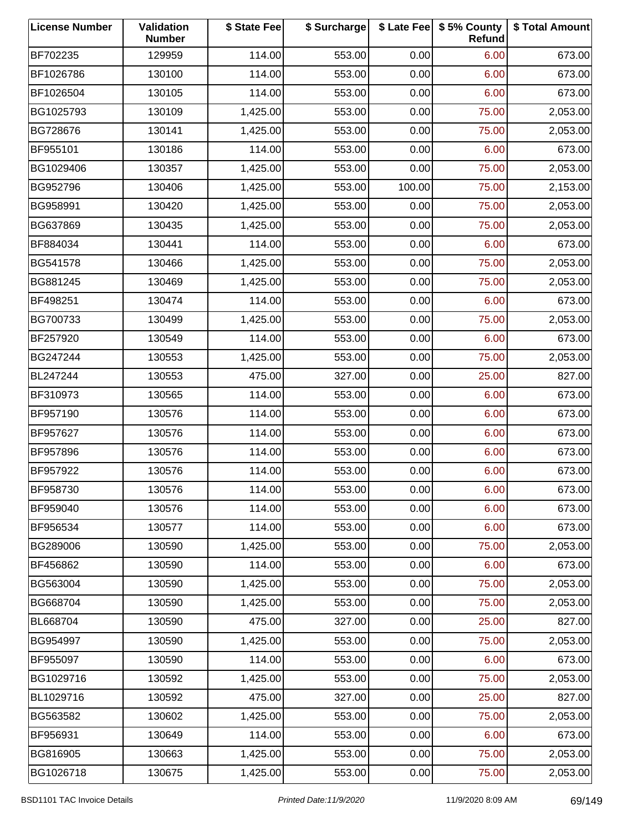| <b>License Number</b> | Validation<br><b>Number</b> | \$ State Fee | \$ Surcharge |        | \$ Late Fee   \$5% County<br>Refund | \$ Total Amount |
|-----------------------|-----------------------------|--------------|--------------|--------|-------------------------------------|-----------------|
| BF702235              | 129959                      | 114.00       | 553.00       | 0.00   | 6.00                                | 673.00          |
| BF1026786             | 130100                      | 114.00       | 553.00       | 0.00   | 6.00                                | 673.00          |
| BF1026504             | 130105                      | 114.00       | 553.00       | 0.00   | 6.00                                | 673.00          |
| BG1025793             | 130109                      | 1,425.00     | 553.00       | 0.00   | 75.00                               | 2,053.00        |
| BG728676              | 130141                      | 1,425.00     | 553.00       | 0.00   | 75.00                               | 2,053.00        |
| BF955101              | 130186                      | 114.00       | 553.00       | 0.00   | 6.00                                | 673.00          |
| BG1029406             | 130357                      | 1,425.00     | 553.00       | 0.00   | 75.00                               | 2,053.00        |
| BG952796              | 130406                      | 1,425.00     | 553.00       | 100.00 | 75.00                               | 2,153.00        |
| BG958991              | 130420                      | 1,425.00     | 553.00       | 0.00   | 75.00                               | 2,053.00        |
| BG637869              | 130435                      | 1,425.00     | 553.00       | 0.00   | 75.00                               | 2,053.00        |
| BF884034              | 130441                      | 114.00       | 553.00       | 0.00   | 6.00                                | 673.00          |
| BG541578              | 130466                      | 1,425.00     | 553.00       | 0.00   | 75.00                               | 2,053.00        |
| BG881245              | 130469                      | 1,425.00     | 553.00       | 0.00   | 75.00                               | 2,053.00        |
| BF498251              | 130474                      | 114.00       | 553.00       | 0.00   | 6.00                                | 673.00          |
| BG700733              | 130499                      | 1,425.00     | 553.00       | 0.00   | 75.00                               | 2,053.00        |
| BF257920              | 130549                      | 114.00       | 553.00       | 0.00   | 6.00                                | 673.00          |
| BG247244              | 130553                      | 1,425.00     | 553.00       | 0.00   | 75.00                               | 2,053.00        |
| BL247244              | 130553                      | 475.00       | 327.00       | 0.00   | 25.00                               | 827.00          |
| BF310973              | 130565                      | 114.00       | 553.00       | 0.00   | 6.00                                | 673.00          |
| BF957190              | 130576                      | 114.00       | 553.00       | 0.00   | 6.00                                | 673.00          |
| BF957627              | 130576                      | 114.00       | 553.00       | 0.00   | 6.00                                | 673.00          |
| BF957896              | 130576                      | 114.00       | 553.00       | 0.00   | 6.00                                | 673.00          |
| BF957922              | 130576                      | 114.00       | 553.00       | 0.00   | 6.00                                | 673.00          |
| BF958730              | 130576                      | 114.00       | 553.00       | 0.00   | 6.00                                | 673.00          |
| BF959040              | 130576                      | 114.00       | 553.00       | 0.00   | 6.00                                | 673.00          |
| BF956534              | 130577                      | 114.00       | 553.00       | 0.00   | 6.00                                | 673.00          |
| BG289006              | 130590                      | 1,425.00     | 553.00       | 0.00   | 75.00                               | 2,053.00        |
| BF456862              | 130590                      | 114.00       | 553.00       | 0.00   | 6.00                                | 673.00          |
| BG563004              | 130590                      | 1,425.00     | 553.00       | 0.00   | 75.00                               | 2,053.00        |
| BG668704              | 130590                      | 1,425.00     | 553.00       | 0.00   | 75.00                               | 2,053.00        |
| BL668704              | 130590                      | 475.00       | 327.00       | 0.00   | 25.00                               | 827.00          |
| BG954997              | 130590                      | 1,425.00     | 553.00       | 0.00   | 75.00                               | 2,053.00        |
| BF955097              | 130590                      | 114.00       | 553.00       | 0.00   | 6.00                                | 673.00          |
| BG1029716             | 130592                      | 1,425.00     | 553.00       | 0.00   | 75.00                               | 2,053.00        |
| BL1029716             | 130592                      | 475.00       | 327.00       | 0.00   | 25.00                               | 827.00          |
| BG563582              | 130602                      | 1,425.00     | 553.00       | 0.00   | 75.00                               | 2,053.00        |
| BF956931              | 130649                      | 114.00       | 553.00       | 0.00   | 6.00                                | 673.00          |
| BG816905              | 130663                      | 1,425.00     | 553.00       | 0.00   | 75.00                               | 2,053.00        |
| BG1026718             | 130675                      | 1,425.00     | 553.00       | 0.00   | 75.00                               | 2,053.00        |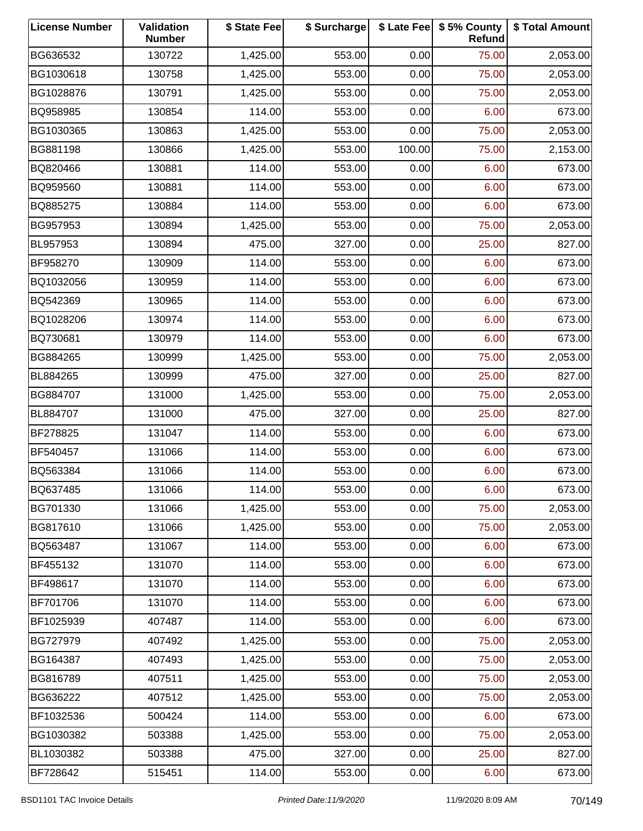| <b>License Number</b> | Validation<br><b>Number</b> | \$ State Fee | \$ Surcharge |        | \$ Late Fee   \$5% County<br>Refund | \$ Total Amount |
|-----------------------|-----------------------------|--------------|--------------|--------|-------------------------------------|-----------------|
| BG636532              | 130722                      | 1,425.00     | 553.00       | 0.00   | 75.00                               | 2,053.00        |
| BG1030618             | 130758                      | 1,425.00     | 553.00       | 0.00   | 75.00                               | 2,053.00        |
| BG1028876             | 130791                      | 1,425.00     | 553.00       | 0.00   | 75.00                               | 2,053.00        |
| BQ958985              | 130854                      | 114.00       | 553.00       | 0.00   | 6.00                                | 673.00          |
| BG1030365             | 130863                      | 1,425.00     | 553.00       | 0.00   | 75.00                               | 2,053.00        |
| BG881198              | 130866                      | 1,425.00     | 553.00       | 100.00 | 75.00                               | 2,153.00        |
| BQ820466              | 130881                      | 114.00       | 553.00       | 0.00   | 6.00                                | 673.00          |
| BQ959560              | 130881                      | 114.00       | 553.00       | 0.00   | 6.00                                | 673.00          |
| BQ885275              | 130884                      | 114.00       | 553.00       | 0.00   | 6.00                                | 673.00          |
| BG957953              | 130894                      | 1,425.00     | 553.00       | 0.00   | 75.00                               | 2,053.00        |
| BL957953              | 130894                      | 475.00       | 327.00       | 0.00   | 25.00                               | 827.00          |
| BF958270              | 130909                      | 114.00       | 553.00       | 0.00   | 6.00                                | 673.00          |
| BQ1032056             | 130959                      | 114.00       | 553.00       | 0.00   | 6.00                                | 673.00          |
| BQ542369              | 130965                      | 114.00       | 553.00       | 0.00   | 6.00                                | 673.00          |
| BQ1028206             | 130974                      | 114.00       | 553.00       | 0.00   | 6.00                                | 673.00          |
| BQ730681              | 130979                      | 114.00       | 553.00       | 0.00   | 6.00                                | 673.00          |
| BG884265              | 130999                      | 1,425.00     | 553.00       | 0.00   | 75.00                               | 2,053.00        |
| BL884265              | 130999                      | 475.00       | 327.00       | 0.00   | 25.00                               | 827.00          |
| BG884707              | 131000                      | 1,425.00     | 553.00       | 0.00   | 75.00                               | 2,053.00        |
| BL884707              | 131000                      | 475.00       | 327.00       | 0.00   | 25.00                               | 827.00          |
| BF278825              | 131047                      | 114.00       | 553.00       | 0.00   | 6.00                                | 673.00          |
| BF540457              | 131066                      | 114.00       | 553.00       | 0.00   | 6.00                                | 673.00          |
| BQ563384              | 131066                      | 114.00       | 553.00       | 0.00   | 6.00                                | 673.00          |
| BQ637485              | 131066                      | 114.00       | 553.00       | 0.00   | 6.00                                | 673.00          |
| BG701330              | 131066                      | 1,425.00     | 553.00       | 0.00   | 75.00                               | 2,053.00        |
| BG817610              | 131066                      | 1,425.00     | 553.00       | 0.00   | 75.00                               | 2,053.00        |
| BQ563487              | 131067                      | 114.00       | 553.00       | 0.00   | 6.00                                | 673.00          |
| BF455132              | 131070                      | 114.00       | 553.00       | 0.00   | 6.00                                | 673.00          |
| BF498617              | 131070                      | 114.00       | 553.00       | 0.00   | 6.00                                | 673.00          |
| BF701706              | 131070                      | 114.00       | 553.00       | 0.00   | 6.00                                | 673.00          |
| BF1025939             | 407487                      | 114.00       | 553.00       | 0.00   | 6.00                                | 673.00          |
| BG727979              | 407492                      | 1,425.00     | 553.00       | 0.00   | 75.00                               | 2,053.00        |
| BG164387              | 407493                      | 1,425.00     | 553.00       | 0.00   | 75.00                               | 2,053.00        |
| BG816789              | 407511                      | 1,425.00     | 553.00       | 0.00   | 75.00                               | 2,053.00        |
| BG636222              | 407512                      | 1,425.00     | 553.00       | 0.00   | 75.00                               | 2,053.00        |
| BF1032536             | 500424                      | 114.00       | 553.00       | 0.00   | 6.00                                | 673.00          |
| BG1030382             | 503388                      | 1,425.00     | 553.00       | 0.00   | 75.00                               | 2,053.00        |
| BL1030382             | 503388                      | 475.00       | 327.00       | 0.00   | 25.00                               | 827.00          |
| BF728642              | 515451                      | 114.00       | 553.00       | 0.00   | 6.00                                | 673.00          |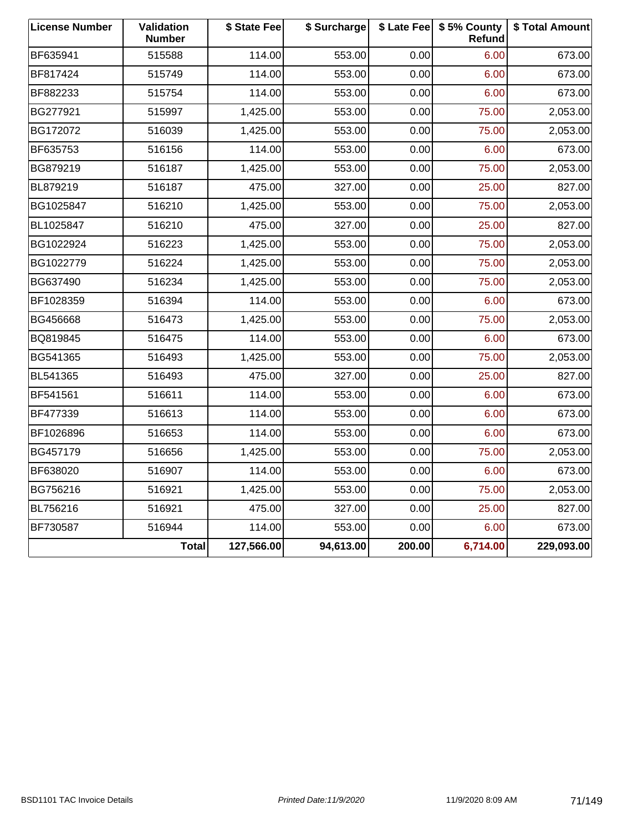| <b>License Number</b> | Validation<br><b>Number</b> | \$ State Fee | \$ Surcharge |        | \$ Late Fee   \$5% County<br>Refund | \$ Total Amount |
|-----------------------|-----------------------------|--------------|--------------|--------|-------------------------------------|-----------------|
| BF635941              | 515588                      | 114.00       | 553.00       | 0.00   | 6.00                                | 673.00          |
| BF817424              | 515749                      | 114.00       | 553.00       | 0.00   | 6.00                                | 673.00          |
| BF882233              | 515754                      | 114.00       | 553.00       | 0.00   | 6.00                                | 673.00          |
| BG277921              | 515997                      | 1,425.00     | 553.00       | 0.00   | 75.00                               | 2,053.00        |
| BG172072              | 516039                      | 1,425.00     | 553.00       | 0.00   | 75.00                               | 2,053.00        |
| BF635753              | 516156                      | 114.00       | 553.00       | 0.00   | 6.00                                | 673.00          |
| BG879219              | 516187                      | 1,425.00     | 553.00       | 0.00   | 75.00                               | 2,053.00        |
| BL879219              | 516187                      | 475.00       | 327.00       | 0.00   | 25.00                               | 827.00          |
| BG1025847             | 516210                      | 1,425.00     | 553.00       | 0.00   | 75.00                               | 2,053.00        |
| BL1025847             | 516210                      | 475.00       | 327.00       | 0.00   | 25.00                               | 827.00          |
| BG1022924             | 516223                      | 1,425.00     | 553.00       | 0.00   | 75.00                               | 2,053.00        |
| BG1022779             | 516224                      | 1,425.00     | 553.00       | 0.00   | 75.00                               | 2,053.00        |
| BG637490              | 516234                      | 1,425.00     | 553.00       | 0.00   | 75.00                               | 2,053.00        |
| BF1028359             | 516394                      | 114.00       | 553.00       | 0.00   | 6.00                                | 673.00          |
| BG456668              | 516473                      | 1,425.00     | 553.00       | 0.00   | 75.00                               | 2,053.00        |
| BQ819845              | 516475                      | 114.00       | 553.00       | 0.00   | 6.00                                | 673.00          |
| BG541365              | 516493                      | 1,425.00     | 553.00       | 0.00   | 75.00                               | 2,053.00        |
| BL541365              | 516493                      | 475.00       | 327.00       | 0.00   | 25.00                               | 827.00          |
| BF541561              | 516611                      | 114.00       | 553.00       | 0.00   | 6.00                                | 673.00          |
| BF477339              | 516613                      | 114.00       | 553.00       | 0.00   | 6.00                                | 673.00          |
| BF1026896             | 516653                      | 114.00       | 553.00       | 0.00   | 6.00                                | 673.00          |
| BG457179              | 516656                      | 1,425.00     | 553.00       | 0.00   | 75.00                               | 2,053.00        |
| BF638020              | 516907                      | 114.00       | 553.00       | 0.00   | 6.00                                | 673.00          |
| BG756216              | 516921                      | 1,425.00     | 553.00       | 0.00   | 75.00                               | 2,053.00        |
| BL756216              | 516921                      | 475.00       | 327.00       | 0.00   | 25.00                               | 827.00          |
| BF730587              | 516944                      | 114.00       | 553.00       | 0.00   | 6.00                                | 673.00          |
|                       | <b>Total</b>                | 127,566.00   | 94,613.00    | 200.00 | 6,714.00                            | 229,093.00      |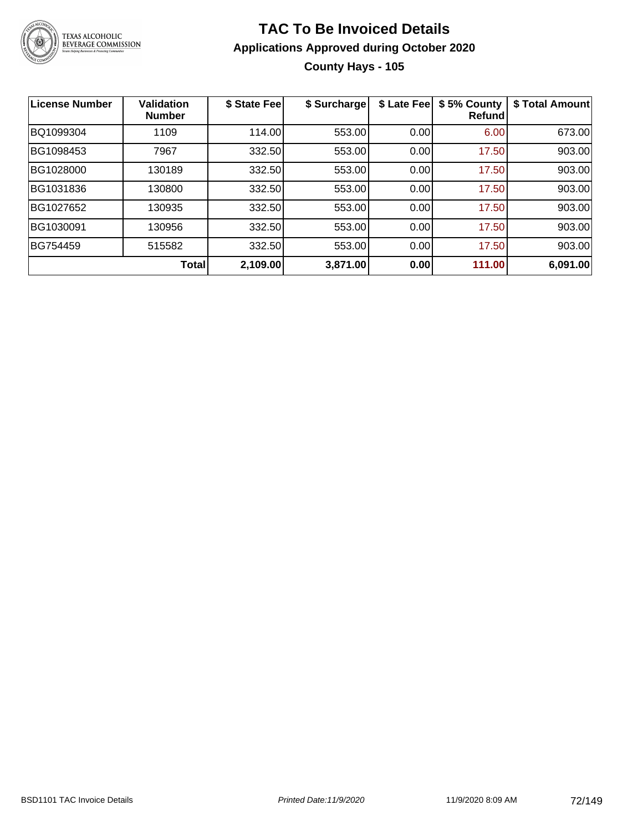

## **TAC To Be Invoiced Details Applications Approved during October 2020 County Hays - 105**

| <b>License Number</b> | <b>Validation</b><br><b>Number</b> | \$ State Fee | \$ Surcharge | \$ Late Fee | \$5% County<br><b>Refund</b> | \$ Total Amount |
|-----------------------|------------------------------------|--------------|--------------|-------------|------------------------------|-----------------|
| BQ1099304             | 1109                               | 114.00       | 553.00       | 0.00        | 6.00                         | 673.00          |
| BG1098453             | 7967                               | 332.50       | 553.00       | 0.00        | 17.50                        | 903.00          |
| BG1028000             | 130189                             | 332.50       | 553.00       | 0.00        | 17.50                        | 903.00          |
| BG1031836             | 130800                             | 332.50       | 553.00       | 0.00        | 17.50                        | 903.00          |
| BG1027652             | 130935                             | 332.50       | 553.00       | 0.00        | 17.50                        | 903.00          |
| BG1030091             | 130956                             | 332.50       | 553.00       | 0.00        | 17.50                        | 903.00          |
| BG754459              | 515582                             | 332.50       | 553.00       | 0.00        | 17.50                        | 903.00          |
|                       | Total                              | 2,109.00     | 3,871.00     | 0.00        | 111.00                       | 6,091.00        |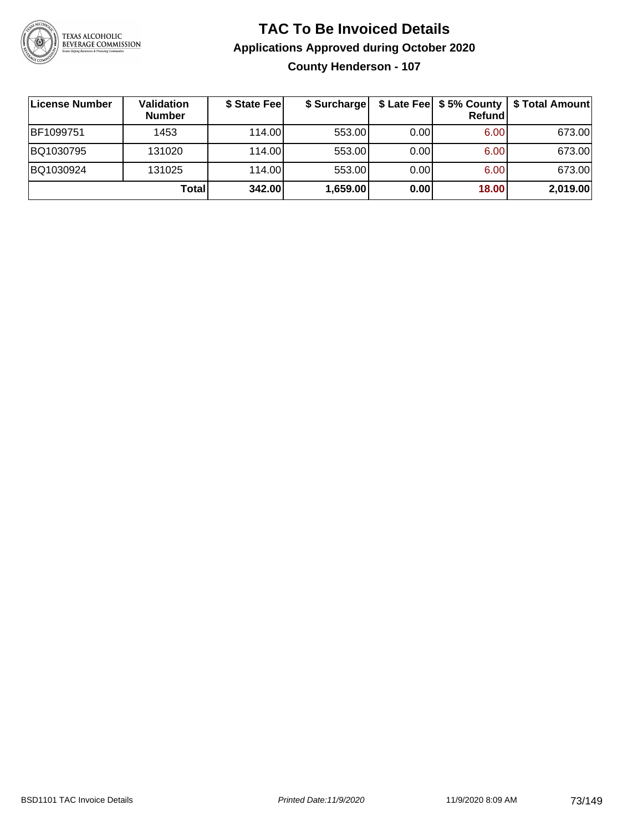

**County Henderson - 107**

| License Number | Validation<br><b>Number</b> | \$ State Fee | \$ Surcharge |      | <b>Refund</b> | \$ Late Fee   \$5% County   \$ Total Amount |
|----------------|-----------------------------|--------------|--------------|------|---------------|---------------------------------------------|
| BF1099751      | 1453                        | 114.00       | 553.00       | 0.00 | 6.00          | 673.00                                      |
| BQ1030795      | 131020                      | 114.00       | 553.00       | 0.00 | 6.00          | 673.00                                      |
| BQ1030924      | 131025                      | 114.00       | 553.00       | 0.00 | 6.00          | 673.00                                      |
|                | Totall                      | 342.00       | 1,659.00     | 0.00 | 18.00         | 2,019.00                                    |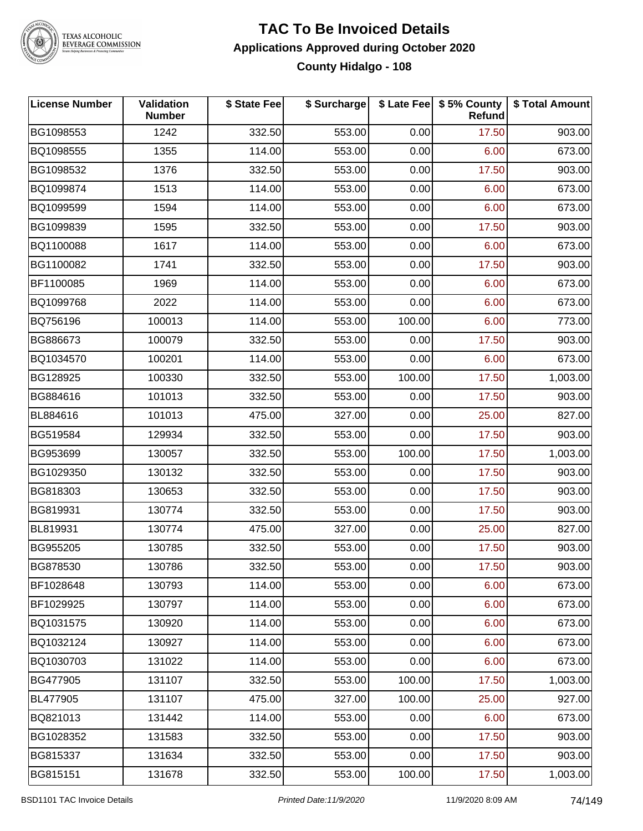

# TEXAS ALCOHOLIC<br>BEVERAGE COMMISSION

### **TAC To Be Invoiced Details Applications Approved during October 2020 County Hidalgo - 108**

| <b>License Number</b> | <b>Validation</b><br><b>Number</b> | \$ State Fee | \$ Surcharge |        | \$ Late Fee   \$5% County<br>Refund | \$ Total Amount |
|-----------------------|------------------------------------|--------------|--------------|--------|-------------------------------------|-----------------|
| BG1098553             | 1242                               | 332.50       | 553.00       | 0.00   | 17.50                               | 903.00          |
| BQ1098555             | 1355                               | 114.00       | 553.00       | 0.00   | 6.00                                | 673.00          |
| BG1098532             | 1376                               | 332.50       | 553.00       | 0.00   | 17.50                               | 903.00          |
| BQ1099874             | 1513                               | 114.00       | 553.00       | 0.00   | 6.00                                | 673.00          |
| BQ1099599             | 1594                               | 114.00       | 553.00       | 0.00   | 6.00                                | 673.00          |
| BG1099839             | 1595                               | 332.50       | 553.00       | 0.00   | 17.50                               | 903.00          |
| BQ1100088             | 1617                               | 114.00       | 553.00       | 0.00   | 6.00                                | 673.00          |
| BG1100082             | 1741                               | 332.50       | 553.00       | 0.00   | 17.50                               | 903.00          |
| BF1100085             | 1969                               | 114.00       | 553.00       | 0.00   | 6.00                                | 673.00          |
| BQ1099768             | 2022                               | 114.00       | 553.00       | 0.00   | 6.00                                | 673.00          |
| BQ756196              | 100013                             | 114.00       | 553.00       | 100.00 | 6.00                                | 773.00          |
| BG886673              | 100079                             | 332.50       | 553.00       | 0.00   | 17.50                               | 903.00          |
| BQ1034570             | 100201                             | 114.00       | 553.00       | 0.00   | 6.00                                | 673.00          |
| BG128925              | 100330                             | 332.50       | 553.00       | 100.00 | 17.50                               | 1,003.00        |
| BG884616              | 101013                             | 332.50       | 553.00       | 0.00   | 17.50                               | 903.00          |
| BL884616              | 101013                             | 475.00       | 327.00       | 0.00   | 25.00                               | 827.00          |
| BG519584              | 129934                             | 332.50       | 553.00       | 0.00   | 17.50                               | 903.00          |
| BG953699              | 130057                             | 332.50       | 553.00       | 100.00 | 17.50                               | 1,003.00        |
| BG1029350             | 130132                             | 332.50       | 553.00       | 0.00   | 17.50                               | 903.00          |
| BG818303              | 130653                             | 332.50       | 553.00       | 0.00   | 17.50                               | 903.00          |
| BG819931              | 130774                             | 332.50       | 553.00       | 0.00   | 17.50                               | 903.00          |
| BL819931              | 130774                             | 475.00       | 327.00       | 0.00   | 25.00                               | 827.00          |
| BG955205              | 130785                             | 332.50       | 553.00       | 0.00   | 17.50                               | 903.00          |
| BG878530              | 130786                             | 332.50       | 553.00       | 0.00   | 17.50                               | 903.00          |
| BF1028648             | 130793                             | 114.00       | 553.00       | 0.00   | 6.00                                | 673.00          |
| BF1029925             | 130797                             | 114.00       | 553.00       | 0.00   | 6.00                                | 673.00          |
| BQ1031575             | 130920                             | 114.00       | 553.00       | 0.00   | 6.00                                | 673.00          |
| BQ1032124             | 130927                             | 114.00       | 553.00       | 0.00   | 6.00                                | 673.00          |
| BQ1030703             | 131022                             | 114.00       | 553.00       | 0.00   | 6.00                                | 673.00          |
| BG477905              | 131107                             | 332.50       | 553.00       | 100.00 | 17.50                               | 1,003.00        |
| BL477905              | 131107                             | 475.00       | 327.00       | 100.00 | 25.00                               | 927.00          |
| BQ821013              | 131442                             | 114.00       | 553.00       | 0.00   | 6.00                                | 673.00          |
| BG1028352             | 131583                             | 332.50       | 553.00       | 0.00   | 17.50                               | 903.00          |
| BG815337              | 131634                             | 332.50       | 553.00       | 0.00   | 17.50                               | 903.00          |
| BG815151              | 131678                             | 332.50       | 553.00       | 100.00 | 17.50                               | 1,003.00        |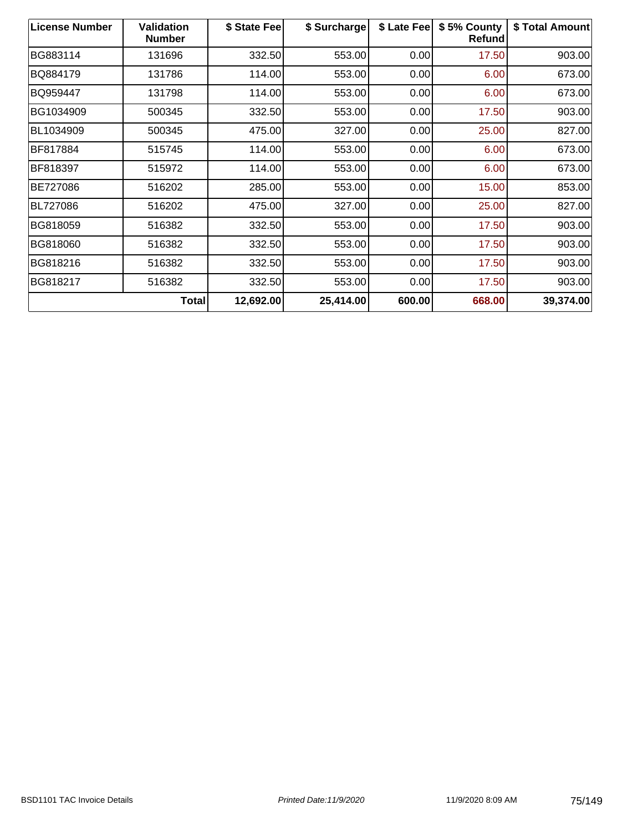| <b>License Number</b> | <b>Validation</b><br><b>Number</b> | \$ State Fee | \$ Surcharge | \$ Late Fee | \$5% County<br>Refund | \$ Total Amount |
|-----------------------|------------------------------------|--------------|--------------|-------------|-----------------------|-----------------|
| BG883114              | 131696                             | 332.50       | 553.00       | 0.00        | 17.50                 | 903.00          |
| BQ884179              | 131786                             | 114.00       | 553.00       | 0.00        | 6.00                  | 673.00          |
| BQ959447              | 131798                             | 114.00       | 553.00       | 0.00        | 6.00                  | 673.00          |
| BG1034909             | 500345                             | 332.50       | 553.00       | 0.00        | 17.50                 | 903.00          |
| BL1034909             | 500345                             | 475.00       | 327.00       | 0.00        | 25.00                 | 827.00          |
| BF817884              | 515745                             | 114.00       | 553.00       | 0.00        | 6.00                  | 673.00          |
| BF818397              | 515972                             | 114.00       | 553.00       | 0.00        | 6.00                  | 673.00          |
| BE727086              | 516202                             | 285.00       | 553.00       | 0.00        | 15.00                 | 853.00          |
| BL727086              | 516202                             | 475.00       | 327.00       | 0.00        | 25.00                 | 827.00          |
| BG818059              | 516382                             | 332.50       | 553.00       | 0.00        | 17.50                 | 903.00          |
| BG818060              | 516382                             | 332.50       | 553.00       | 0.00        | 17.50                 | 903.00          |
| BG818216              | 516382                             | 332.50       | 553.00       | 0.00        | 17.50                 | 903.00          |
| BG818217              | 516382                             | 332.50       | 553.00       | 0.00        | 17.50                 | 903.00          |
|                       | <b>Total</b>                       | 12,692.00    | 25,414.00    | 600.00      | 668.00                | 39,374.00       |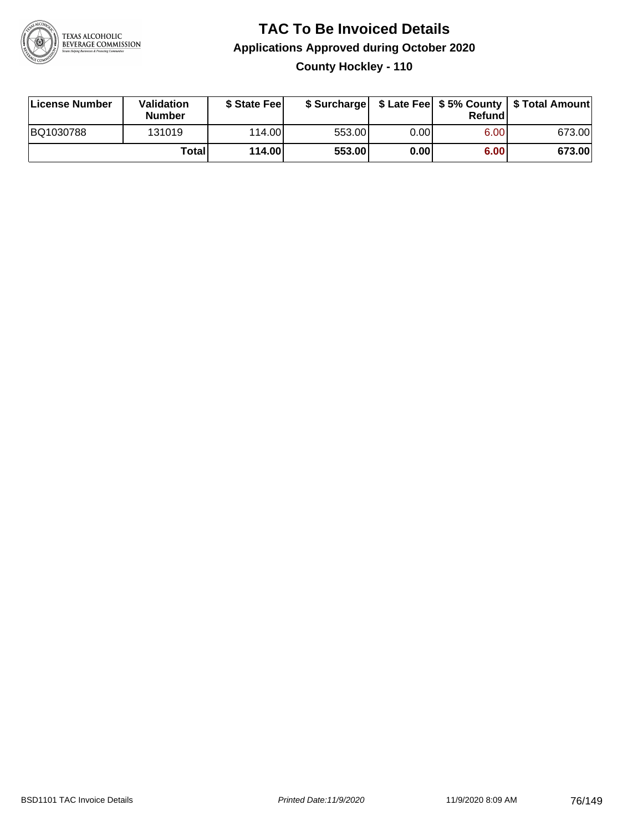

### **TAC To Be Invoiced Details Applications Approved during October 2020 County Hockley - 110**

| License Number | Validation<br><b>Number</b> | \$ State Fee |        |      | Refund | \$ Surcharge   \$ Late Fee   \$5% County   \$ Total Amount |
|----------------|-----------------------------|--------------|--------|------|--------|------------------------------------------------------------|
| BQ1030788      | 131019                      | 114.00L      | 553.00 | 0.00 | 6.00   | 673.00                                                     |
|                | Total                       | 114.00       | 553.00 | 0.00 | 6.00   | 673.00                                                     |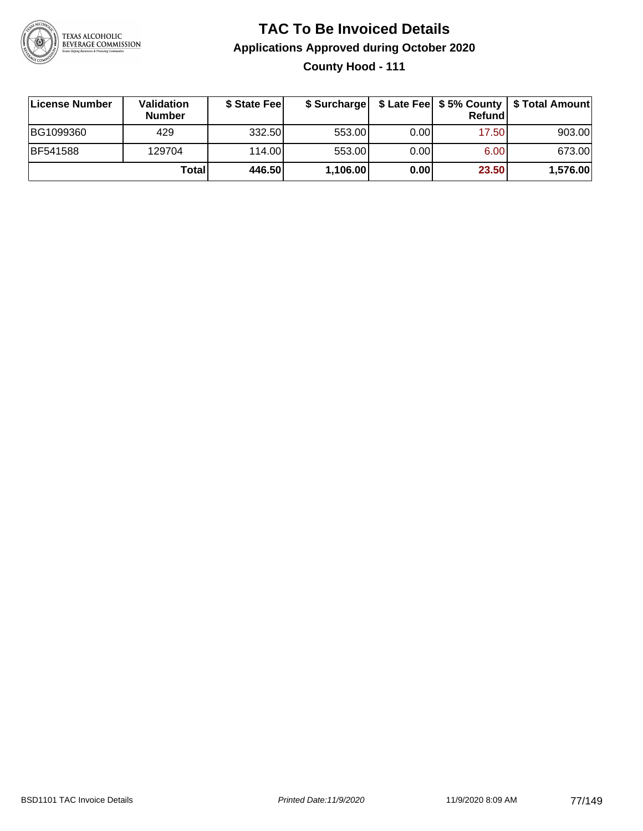

### **TAC To Be Invoiced Details Applications Approved during October 2020 County Hood - 111**

| License Number  | Validation<br><b>Number</b> | \$ State Fee | \$ Surcharge |      | Refund | \$ Late Fee   \$5% County   \$ Total Amount |
|-----------------|-----------------------------|--------------|--------------|------|--------|---------------------------------------------|
| BG1099360       | 429                         | 332.50       | 553.00       | 0.00 | 17.50  | 903.00                                      |
| <b>BF541588</b> | 129704                      | 114.00L      | 553.00       | 0.00 | 6.00   | 673.00                                      |
|                 | Total                       | 446.50       | 1,106.00     | 0.00 | 23.50  | 1,576.00                                    |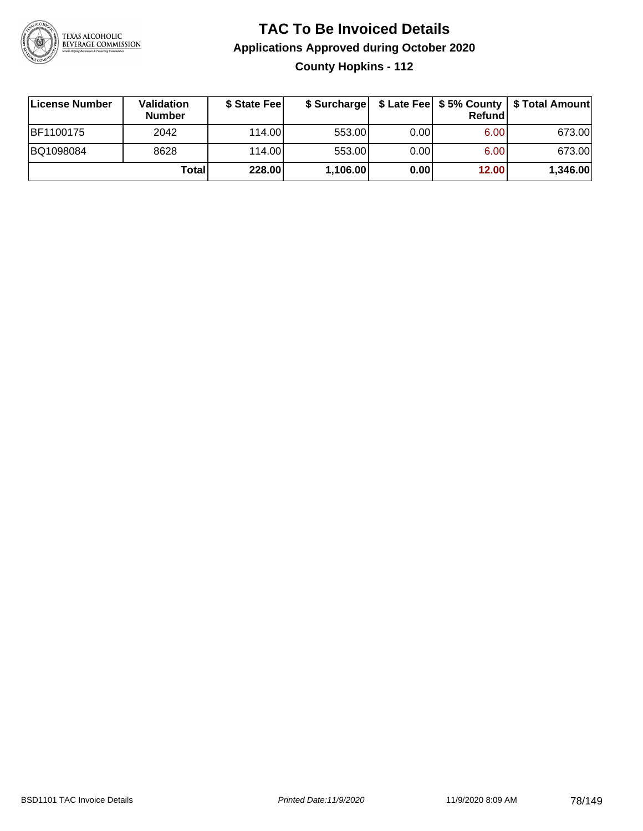

**County Hopkins - 112**

| License Number | <b>Validation</b><br><b>Number</b> | \$ State Fee | \$ Surcharge |       | Refundl           | \$ Late Fee   \$5% County   \$ Total Amount |
|----------------|------------------------------------|--------------|--------------|-------|-------------------|---------------------------------------------|
| BF1100175      | 2042                               | 114.00L      | 553.00       | 0.00  | 6.00 <sub>1</sub> | 673.00                                      |
| BQ1098084      | 8628                               | 114.00L      | 553.00       | 0.001 | 6.00 <sub>1</sub> | 673.00                                      |
|                | Totall                             | 228.00       | 1,106.00     | 0.00  | 12.00             | 1,346.00                                    |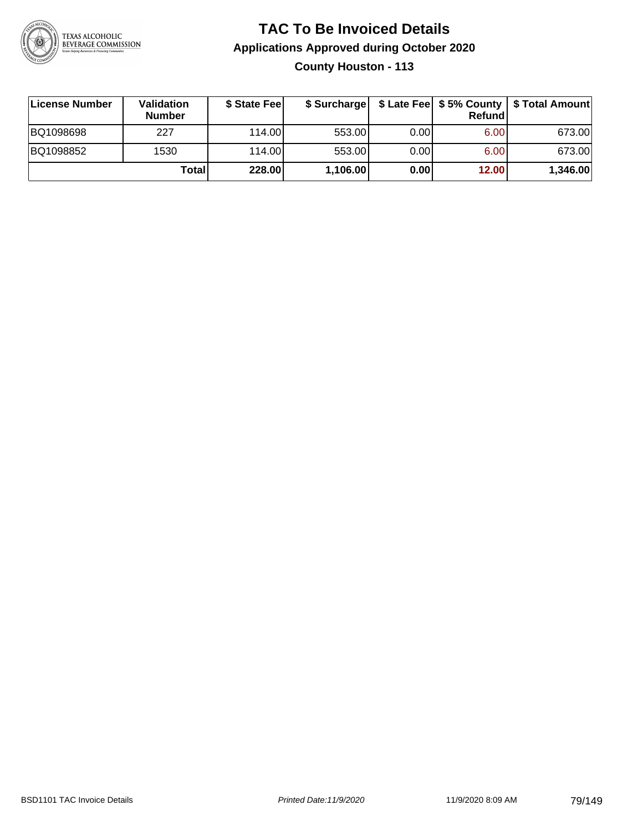

**County Houston - 113**

| License Number | Validation<br><b>Number</b> | \$ State Feel |          |      | Refundl | \$ Surcharge   \$ Late Fee   \$5% County   \$ Total Amount |
|----------------|-----------------------------|---------------|----------|------|---------|------------------------------------------------------------|
| BQ1098698      | 227                         | 114.00        | 553.00   | 0.00 | 6.00    | 673.00                                                     |
| BQ1098852      | 1530                        | 114.00        | 553.00   | 0.00 | 6.00    | 673.00                                                     |
|                | <b>Total</b>                | 228.00        | 1,106.00 | 0.00 | 12.00   | 1,346.00                                                   |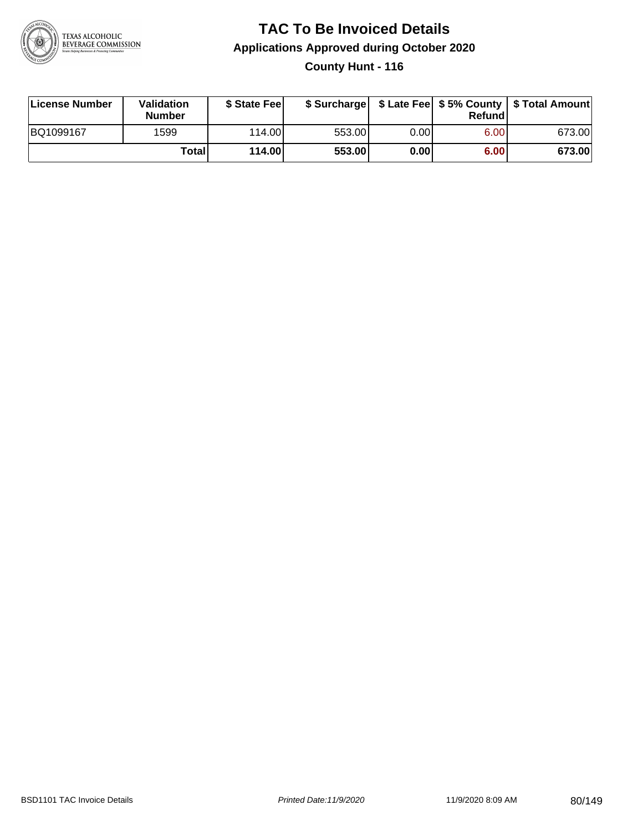

#### **TAC To Be Invoiced Details Applications Approved during October 2020 County Hunt - 116**

| License Number | Validation<br><b>Number</b> | \$ State Fee |        |      | Refund | \$ Surcharge   \$ Late Fee   \$5% County   \$ Total Amount |
|----------------|-----------------------------|--------------|--------|------|--------|------------------------------------------------------------|
| BQ1099167      | 1599                        | 114.00       | 553.00 | 0.00 | 6.00   | 673.00                                                     |
|                | Totall                      | 114.00       | 553.00 | 0.00 | 6.00   | 673.00                                                     |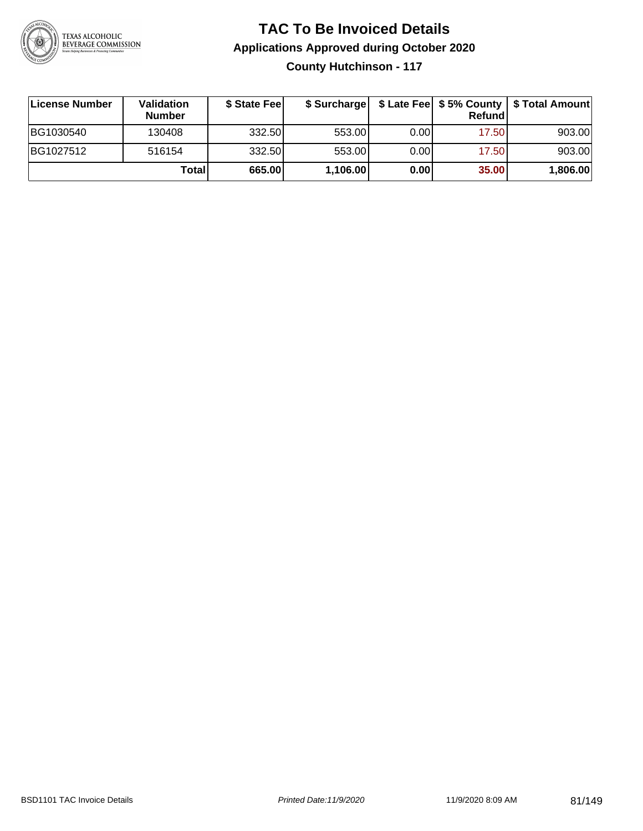

**County Hutchinson - 117**

| ∣License Number | Validation<br><b>Number</b> | \$ State Feel |          |      | Refundl | \$ Surcharge   \$ Late Fee   \$5% County   \$ Total Amount |
|-----------------|-----------------------------|---------------|----------|------|---------|------------------------------------------------------------|
| BG1030540       | 130408                      | 332.50        | 553.00   | 0.00 | 17.50   | 903.00                                                     |
| BG1027512       | 516154                      | 332.50        | 553.00   | 0.00 | 17.50   | 903.00                                                     |
|                 | Totall                      | 665.00        | 1,106.00 | 0.00 | 35.00   | 1,806.00                                                   |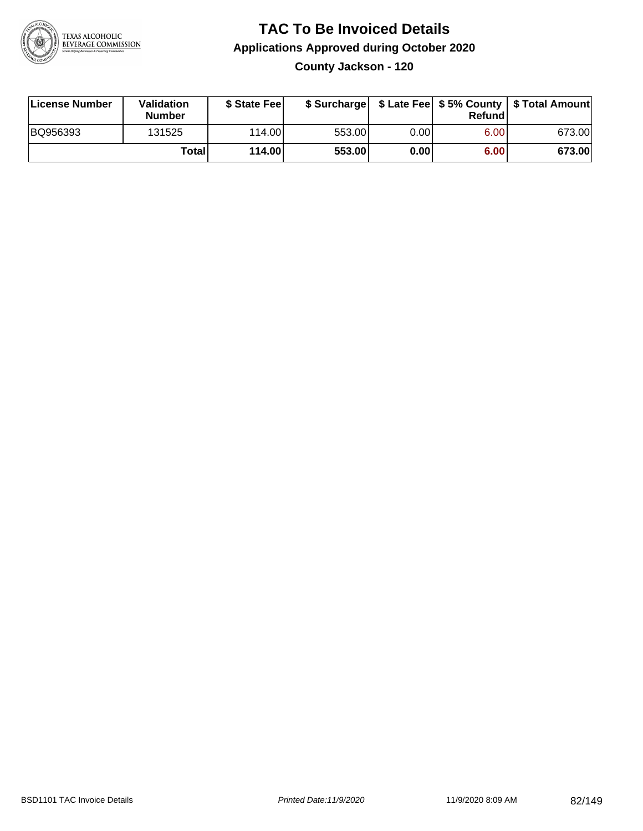

**County Jackson - 120**

| License Number | <b>Validation</b><br><b>Number</b> | \$ State Feel | \$ Surcharge |       | Refundl | \$ Late Fee   \$5% County   \$ Total Amount |
|----------------|------------------------------------|---------------|--------------|-------|---------|---------------------------------------------|
| BQ956393       | 131525                             | 114.00        | 553.00       | 0.001 | 6.00    | 673.00                                      |
|                | Totall                             | 114.00        | 553.00       | 0.001 | 6.00    | 673.00                                      |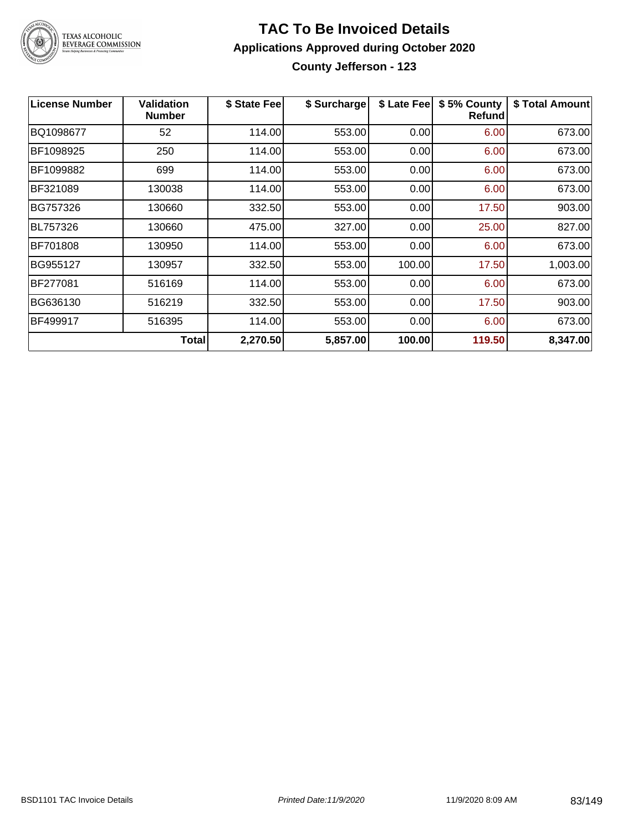

**County Jefferson - 123**

| <b>License Number</b> | <b>Validation</b><br><b>Number</b> | \$ State Fee | \$ Surcharge | \$ Late Fee | \$5% County<br>Refundl | \$ Total Amount |
|-----------------------|------------------------------------|--------------|--------------|-------------|------------------------|-----------------|
| BQ1098677             | 52                                 | 114.00       | 553.00       | 0.00        | 6.00                   | 673.00          |
| BF1098925             | 250                                | 114.00       | 553.00       | 0.00        | 6.00                   | 673.00          |
| BF1099882             | 699                                | 114.00       | 553.00       | 0.00        | 6.00                   | 673.00          |
| BF321089              | 130038                             | 114.00       | 553.00       | 0.00        | 6.00                   | 673.00          |
| BG757326              | 130660                             | 332.50       | 553.00       | 0.00        | 17.50                  | 903.00          |
| <b>BL757326</b>       | 130660                             | 475.00       | 327.00       | 0.00        | 25.00                  | 827.00          |
| BF701808              | 130950                             | 114.00       | 553.00       | 0.00        | 6.00                   | 673.00          |
| BG955127              | 130957                             | 332.50       | 553.00       | 100.00      | 17.50                  | 1,003.00        |
| BF277081              | 516169                             | 114.00       | 553.00       | 0.00        | 6.00                   | 673.00          |
| BG636130              | 516219                             | 332.50       | 553.00       | 0.00        | 17.50                  | 903.00          |
| BF499917              | 516395                             | 114.00       | 553.00       | 0.00        | 6.00                   | 673.00          |
|                       | Total                              | 2,270.50     | 5,857.00     | 100.00      | 119.50                 | 8,347.00        |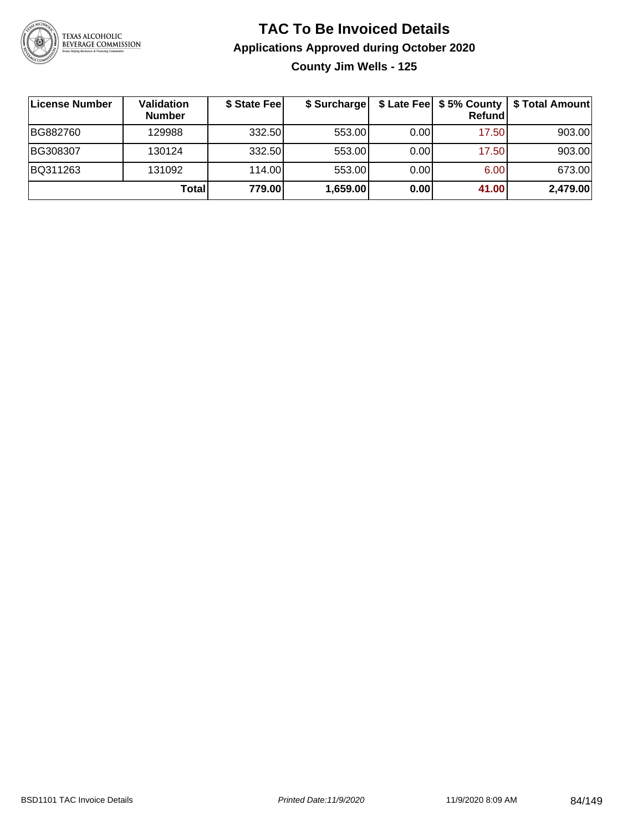

**County Jim Wells - 125**

| ∣License Number | <b>Validation</b><br><b>Number</b> | \$ State Fee | \$ Surcharge |       | Refundl | \$ Late Fee   \$5% County   \$ Total Amount |
|-----------------|------------------------------------|--------------|--------------|-------|---------|---------------------------------------------|
| BG882760        | 129988                             | 332.50       | 553.00       | 0.001 | 17.50   | 903.00                                      |
| BG308307        | 130124                             | 332.50       | 553.00       | 0.001 | 17.50   | 903.00                                      |
| BQ311263        | 131092                             | 114.00       | 553.00       | 0.001 | 6.00    | 673.00                                      |
|                 | Total                              | 779.00       | 1,659.00     | 0.00  | 41.00   | 2,479.00                                    |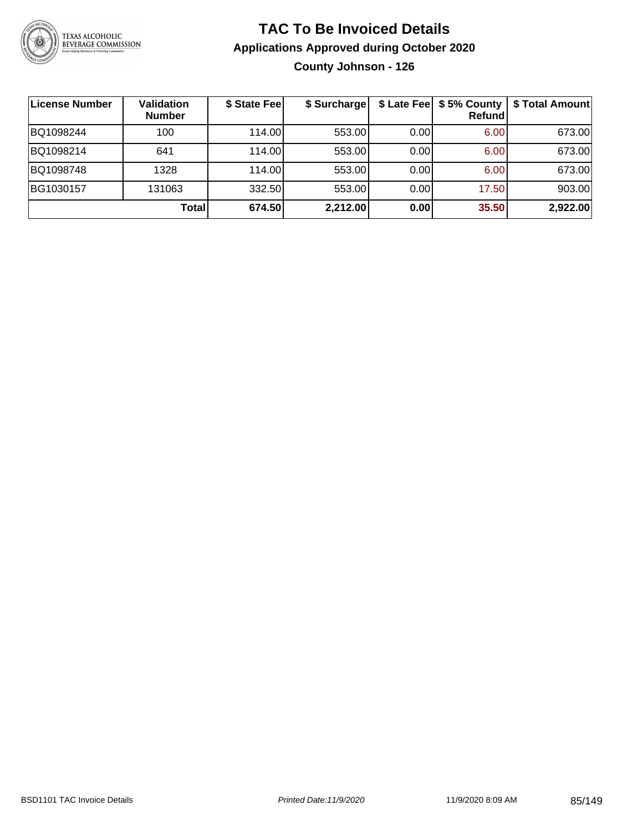

#### **TAC To Be Invoiced Details Applications Approved during October 2020 County Johnson - 126**

**License Number Validation Number \$ State Fee \$ Surcharge \$ Late Fee \$ 5% County Refund \$ Total Amount** BQ1098244 100 114.00 553.00 0.00 6.00 673.00 BQ1098214 641 114.00 553.00 0.00 6.00 673.00 BQ1098748 1328 114.00 553.00 0.00 6.00 673.00 BG1030157 | 131063 | 332.50| 553.00| 0.00| 17.50| 903.00 **Total 674.50 2,212.00 0.00 35.50 2,922.00**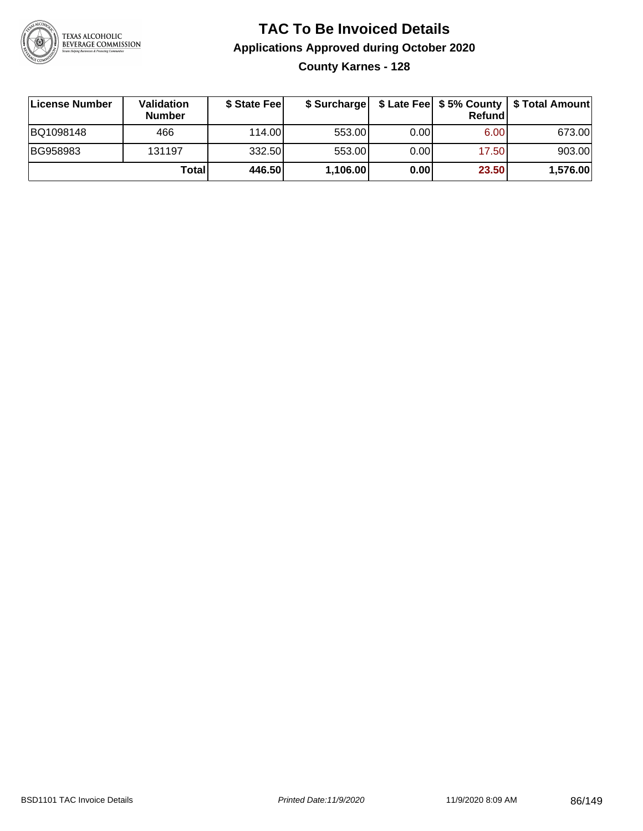

### **TAC To Be Invoiced Details Applications Approved during October 2020 County Karnes - 128**

| License Number | Validation<br><b>Number</b> | \$ State Feel |          |      | Refund | \$ Surcharge   \$ Late Fee   \$5% County   \$ Total Amount |
|----------------|-----------------------------|---------------|----------|------|--------|------------------------------------------------------------|
| BQ1098148      | 466                         | 114.00L       | 553.00   | 0.00 | 6.00   | 673.00                                                     |
| BG958983       | 131197                      | 332.50        | 553.00   | 0.00 | 17.50  | 903.00                                                     |
|                | Total                       | 446.50        | 1,106.00 | 0.00 | 23.50  | 1,576.00                                                   |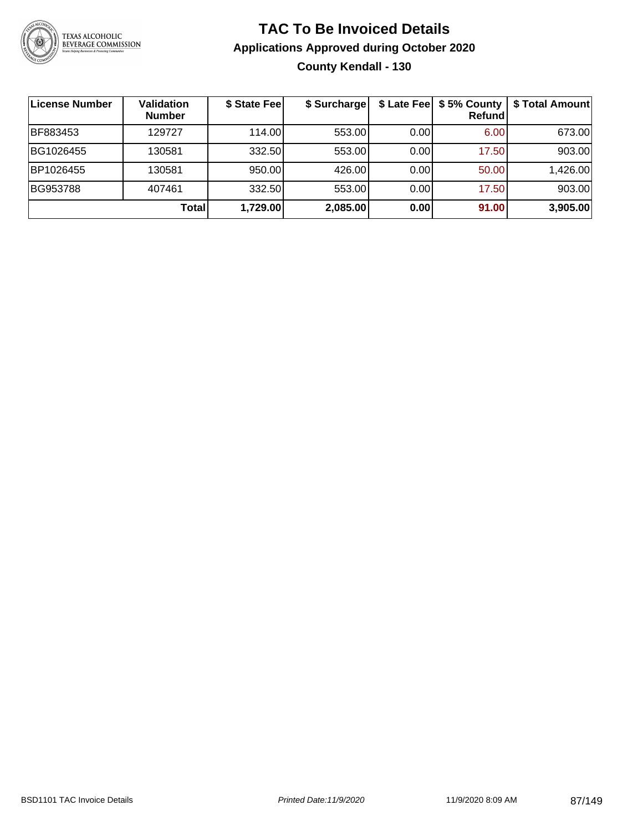

### **TAC To Be Invoiced Details Applications Approved during October 2020 County Kendall - 130**

| License Number | Validation<br><b>Number</b> | \$ State Fee | \$ Surcharge |      | <b>Refund</b> | \$ Late Fee   \$5% County   \$ Total Amount |
|----------------|-----------------------------|--------------|--------------|------|---------------|---------------------------------------------|
| BF883453       | 129727                      | 114.00       | 553.00       | 0.00 | 6.00          | 673.00                                      |
| BG1026455      | 130581                      | 332.50       | 553.00       | 0.00 | 17.50         | 903.00                                      |
| BP1026455      | 130581                      | 950.00       | 426.00       | 0.00 | 50.00         | 1,426.00                                    |
| BG953788       | 407461                      | 332.50       | 553.00       | 0.00 | 17.50         | 903.00                                      |
|                | Total                       | 1,729.00     | 2,085.00     | 0.00 | 91.00         | 3,905.00                                    |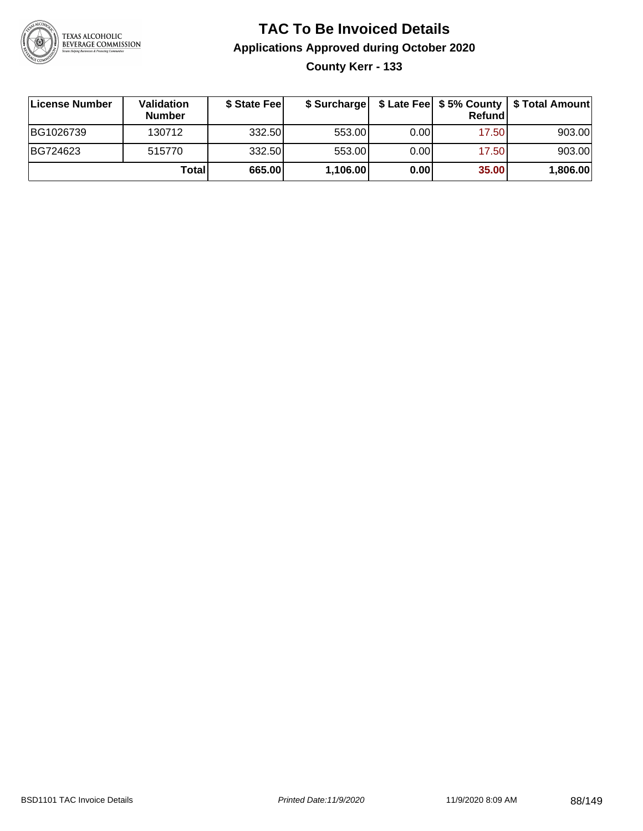

### **TAC To Be Invoiced Details Applications Approved during October 2020 County Kerr - 133**

| License Number | <b>Validation</b><br><b>Number</b> | \$ State Fee |          |      | Refund | \$ Surcharge   \$ Late Fee   \$5% County   \$ Total Amount |
|----------------|------------------------------------|--------------|----------|------|--------|------------------------------------------------------------|
| BG1026739      | 130712                             | 332.50       | 553.00   | 0.00 | 17.50  | 903.00                                                     |
| BG724623       | 515770                             | 332.50       | 553.00   | 0.00 | 17.50  | 903.00                                                     |
|                | Totall                             | 665.00       | 1,106.00 | 0.00 | 35.00  | 1,806.00                                                   |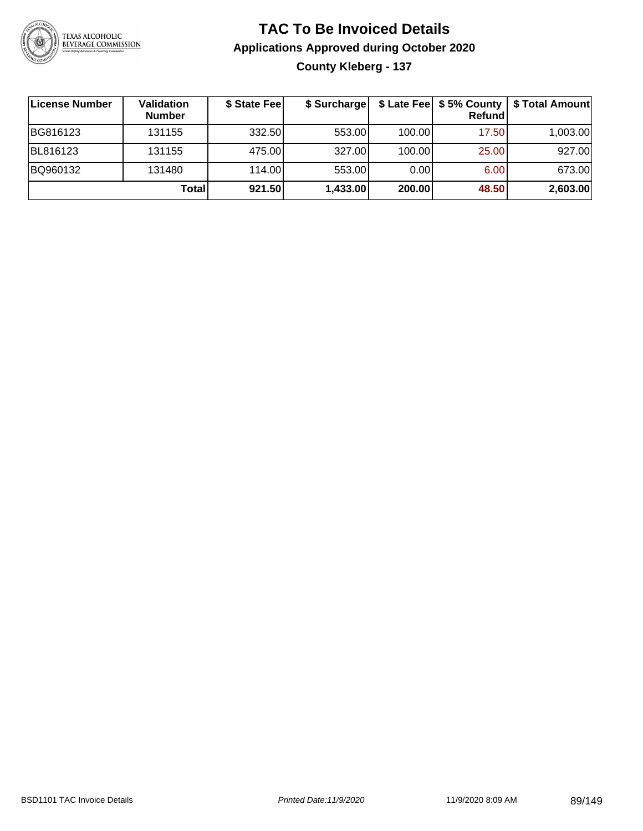

### **TAC To Be Invoiced Details Applications Approved during October 2020 County Kleberg - 137**

| ∣License Number | <b>Validation</b><br><b>Number</b> | \$ State Fee | \$ Surcharge |        | $$$ Late Fee $$$ 5% County  <br>Refund | \$ Total Amount |
|-----------------|------------------------------------|--------------|--------------|--------|----------------------------------------|-----------------|
| BG816123        | 131155                             | 332.50       | 553.00       | 100.00 | 17.50                                  | 1,003.00        |
| BL816123        | 131155                             | 475.00       | 327.00       | 100.00 | 25.00                                  | 927.00          |
| BQ960132        | 131480                             | 114.00       | 553.00       | 0.00   | 6.00                                   | 673.00          |
|                 | Total                              | 921.50       | 1,433.00     | 200.00 | 48.50                                  | 2,603.00        |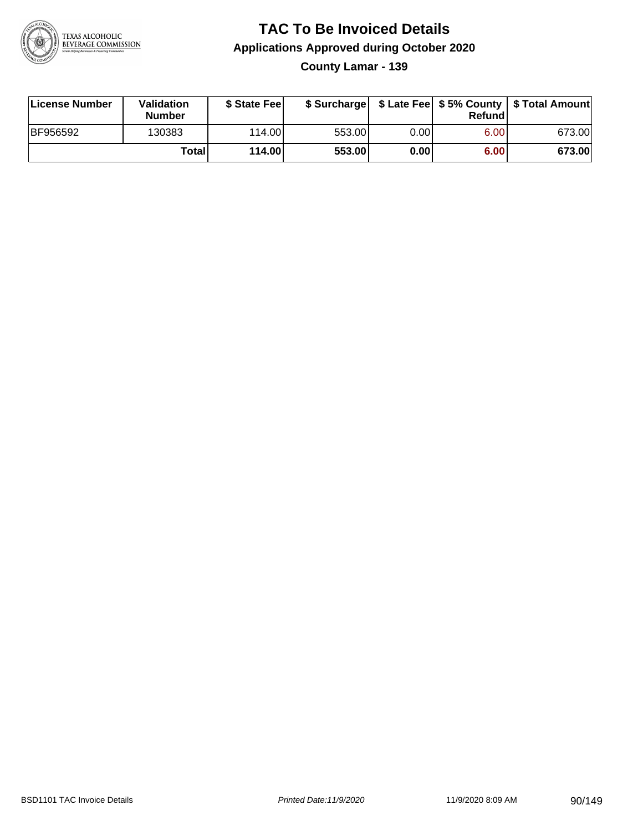

**County Lamar - 139**

| License Number | Validation<br><b>Number</b> | \$ State Fee |        |      | Refundl | \$ Surcharge   \$ Late Fee   \$5% County   \$ Total Amount |
|----------------|-----------------------------|--------------|--------|------|---------|------------------------------------------------------------|
| BF956592       | 130383                      | 114.00L      | 553.00 | 0.00 | 6.00    | 673.00                                                     |
|                | Totall                      | 114.00       | 553.00 | 0.00 | 6.00    | 673.00                                                     |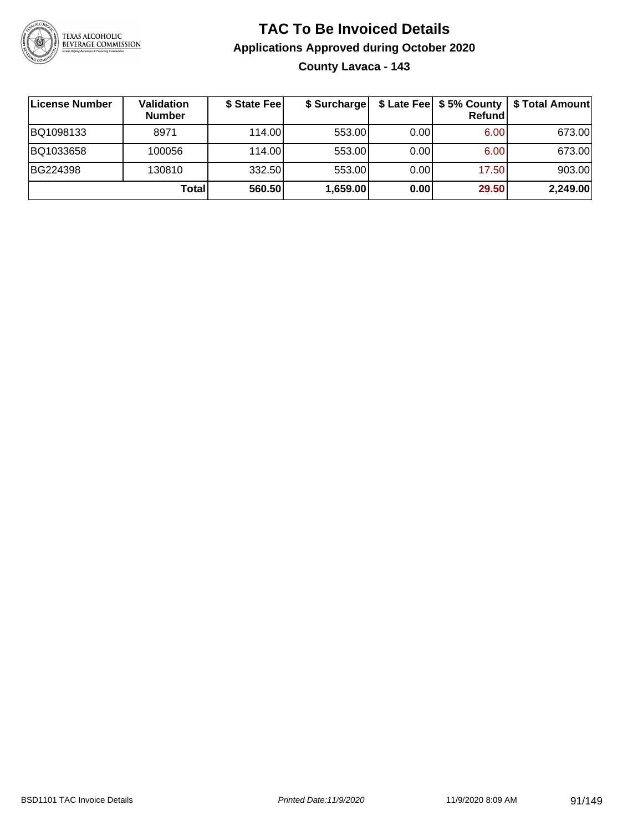

### **TAC To Be Invoiced Details Applications Approved during October 2020 County Lavaca - 143**

| License Number | <b>Validation</b><br><b>Number</b> | \$ State Fee | \$ Surcharge |      | Refund | \$ Late Fee   \$5% County   \$ Total Amount |
|----------------|------------------------------------|--------------|--------------|------|--------|---------------------------------------------|
| BQ1098133      | 8971                               | 114.00L      | 553.00       | 0.00 | 6.00   | 673.00                                      |
| BQ1033658      | 100056                             | 114.00L      | 553.00       | 0.00 | 6.00   | 673.00                                      |
| BG224398       | 130810                             | 332.50       | 553.00       | 0.00 | 17.50  | 903.00                                      |
|                | Total                              | 560.50       | 1,659.00     | 0.00 | 29.50  | 2,249.00                                    |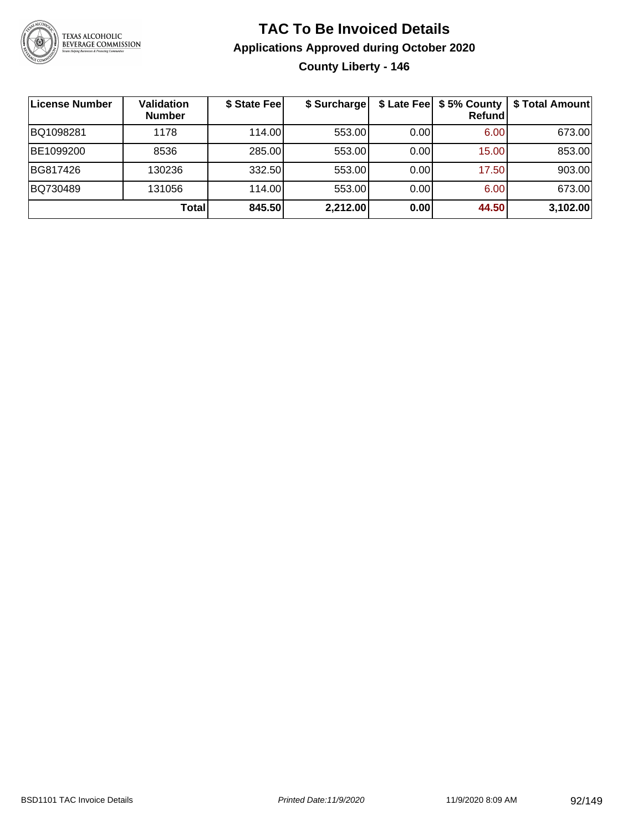

### **TAC To Be Invoiced Details Applications Approved during October 2020 County Liberty - 146**

| ∣License Number | Validation<br><b>Number</b> | \$ State Fee | \$ Surcharge |      | $$$ Late Fee $$5%$ County<br><b>Refund</b> | \$ Total Amount |
|-----------------|-----------------------------|--------------|--------------|------|--------------------------------------------|-----------------|
| BQ1098281       | 1178                        | 114.00       | 553.00       | 0.00 | 6.00                                       | 673.00          |
| BE1099200       | 8536                        | 285.00       | 553.00       | 0.00 | 15.00                                      | 853.00          |
| BG817426        | 130236                      | 332.50       | 553.00       | 0.00 | 17.50                                      | 903.00          |
| BQ730489        | 131056                      | 114.00       | 553.00       | 0.00 | 6.00                                       | 673.00          |
|                 | Total                       | 845.50       | 2,212.00     | 0.00 | 44.50                                      | 3,102.00        |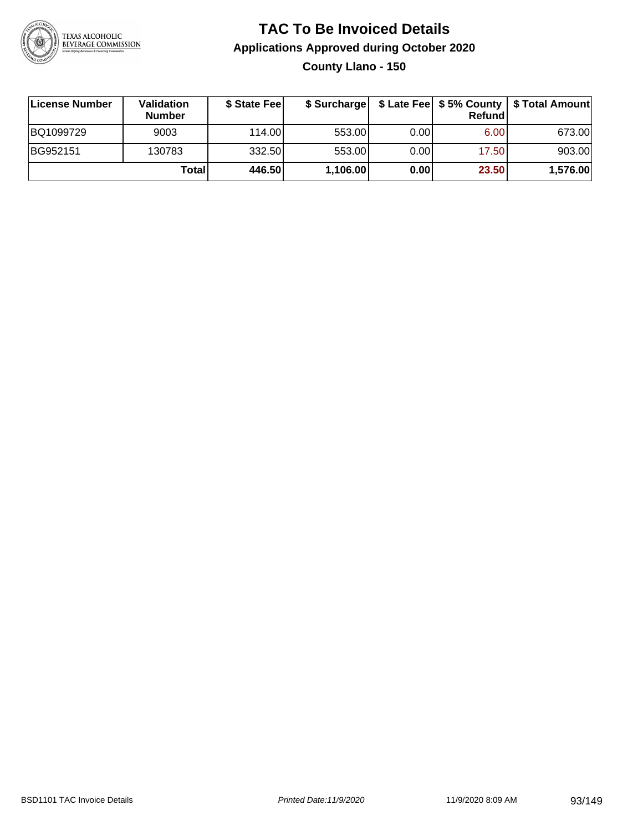

**County Llano - 150**

| License Number | Validation<br><b>Number</b> | \$ State Fee |          |      | Refundl | \$ Surcharge   \$ Late Fee   \$5% County   \$ Total Amount |
|----------------|-----------------------------|--------------|----------|------|---------|------------------------------------------------------------|
| BQ1099729      | 9003                        | 114.00       | 553.00   | 0.00 | 6.00    | 673.00                                                     |
| BG952151       | 130783                      | 332.50       | 553.00   | 0.00 | 17.50   | 903.00                                                     |
|                | Totall                      | 446.50       | 1,106.00 | 0.00 | 23.50   | 1,576.00                                                   |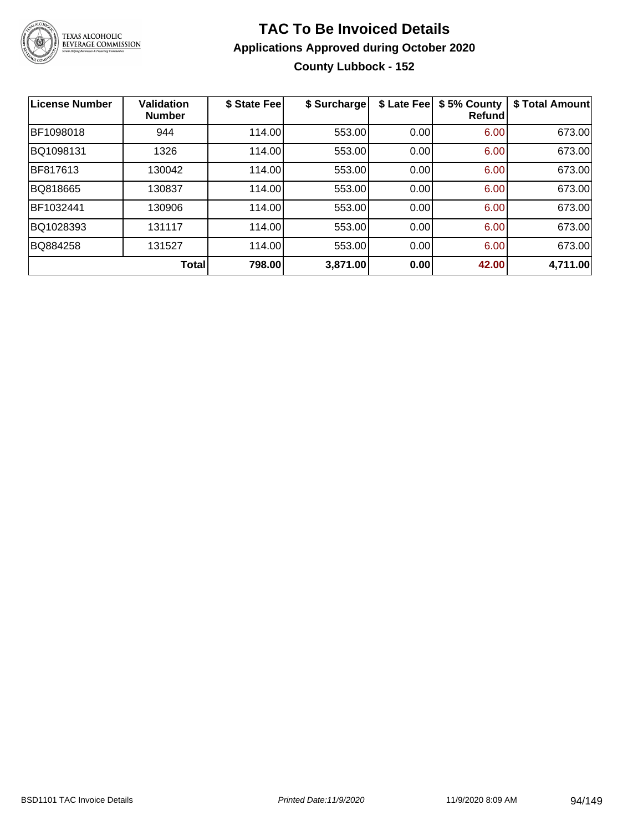

### **TAC To Be Invoiced Details Applications Approved during October 2020 County Lubbock - 152**

| <b>License Number</b> | <b>Validation</b><br><b>Number</b> | \$ State Fee | \$ Surcharge | \$ Late Fee | \$5% County<br>Refundl | \$ Total Amount |
|-----------------------|------------------------------------|--------------|--------------|-------------|------------------------|-----------------|
| BF1098018             | 944                                | 114.00       | 553.00       | 0.00        | 6.00                   | 673.00          |
| BQ1098131             | 1326                               | 114.00       | 553.00       | 0.00        | 6.00                   | 673.00          |
| BF817613              | 130042                             | 114.00       | 553.00       | 0.00        | 6.00                   | 673.00          |
| BQ818665              | 130837                             | 114.00       | 553.00       | 0.00        | 6.00                   | 673.00          |
| BF1032441             | 130906                             | 114.00       | 553.00       | 0.00        | 6.00                   | 673.00          |
| BQ1028393             | 131117                             | 114.00       | 553.00       | 0.00        | 6.00                   | 673.00          |
| BQ884258              | 131527                             | 114.00       | 553.00       | 0.00        | 6.00                   | 673.00          |
|                       | Total                              | 798.00       | 3,871.00     | 0.00        | 42.00                  | 4,711.00        |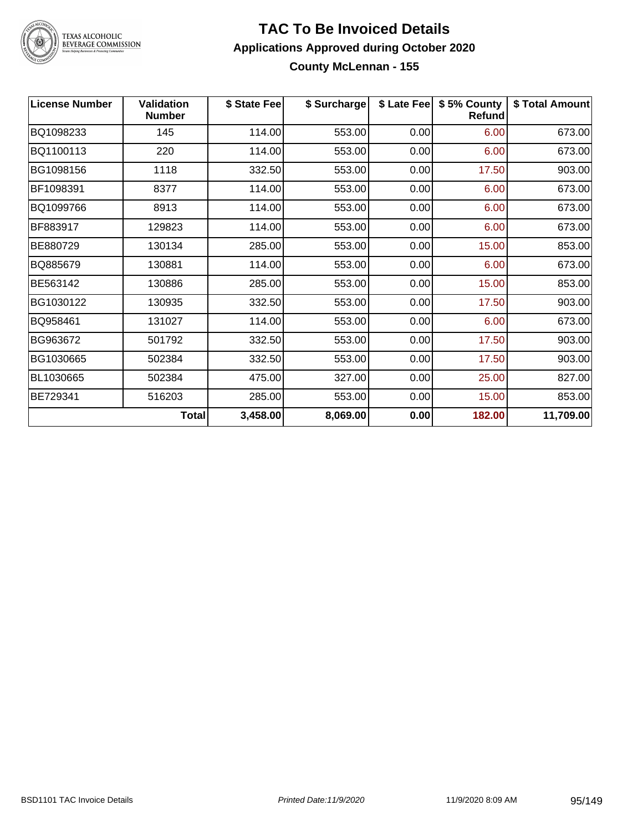

### TEXAS ALCOHOLIC<br>BEVERAGE COMMISSION

#### **TAC To Be Invoiced Details Applications Approved during October 2020 County McLennan - 155**

| <b>License Number</b> | <b>Validation</b><br><b>Number</b> | \$ State Fee | \$ Surcharge | \$ Late Fee | \$5% County<br>Refund | \$ Total Amount |
|-----------------------|------------------------------------|--------------|--------------|-------------|-----------------------|-----------------|
| BQ1098233             | 145                                | 114.00       | 553.00       | 0.00        | 6.00                  | 673.00          |
| BQ1100113             | 220                                | 114.00       | 553.00       | 0.00        | 6.00                  | 673.00          |
| BG1098156             | 1118                               | 332.50       | 553.00       | 0.00        | 17.50                 | 903.00          |
| BF1098391             | 8377                               | 114.00       | 553.00       | 0.00        | 6.00                  | 673.00          |
| BQ1099766             | 8913                               | 114.00       | 553.00       | 0.00        | 6.00                  | 673.00          |
| BF883917              | 129823                             | 114.00       | 553.00       | 0.00        | 6.00                  | 673.00          |
| BE880729              | 130134                             | 285.00       | 553.00       | 0.00        | 15.00                 | 853.00          |
| BQ885679              | 130881                             | 114.00       | 553.00       | 0.00        | 6.00                  | 673.00          |
| BE563142              | 130886                             | 285.00       | 553.00       | 0.00        | 15.00                 | 853.00          |
| BG1030122             | 130935                             | 332.50       | 553.00       | 0.00        | 17.50                 | 903.00          |
| BQ958461              | 131027                             | 114.00       | 553.00       | 0.00        | 6.00                  | 673.00          |
| BG963672              | 501792                             | 332.50       | 553.00       | 0.00        | 17.50                 | 903.00          |
| BG1030665             | 502384                             | 332.50       | 553.00       | 0.00        | 17.50                 | 903.00          |
| BL1030665             | 502384                             | 475.00       | 327.00       | 0.00        | 25.00                 | 827.00          |
| BE729341              | 516203                             | 285.00       | 553.00       | 0.00        | 15.00                 | 853.00          |
|                       | <b>Total</b>                       | 3,458.00     | 8,069.00     | 0.00        | 182.00                | 11,709.00       |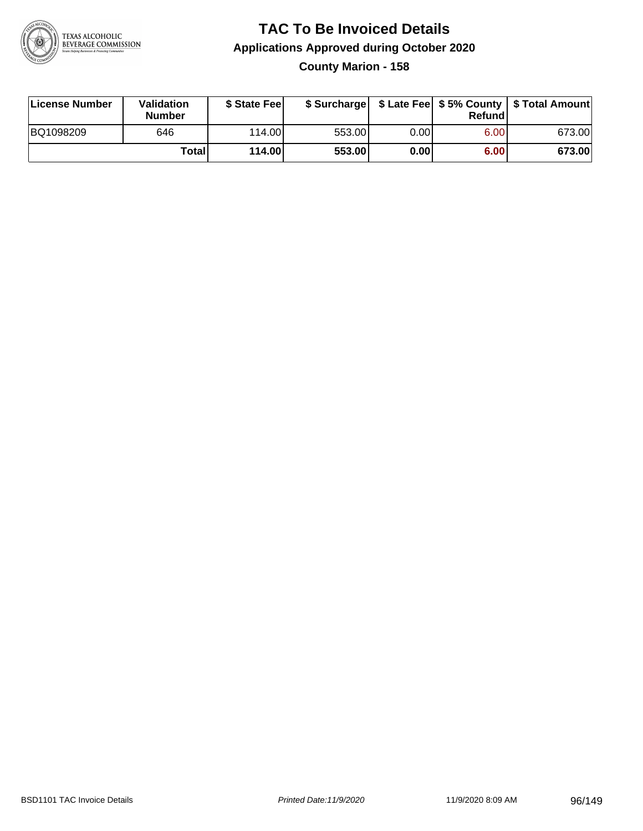

#### **TAC To Be Invoiced Details Applications Approved during October 2020 County Marion - 158**

| License Number | Validation<br><b>Number</b> | \$ State Fee |        |      | Refund | \$ Surcharge   \$ Late Fee   \$5% County   \$ Total Amount |
|----------------|-----------------------------|--------------|--------|------|--------|------------------------------------------------------------|
| BQ1098209      | 646                         | 114.00       | 553.00 | 0.00 | 6.00   | 673.00                                                     |
|                | <b>Total</b>                | 114.00       | 553.00 | 0.00 | 6.00   | 673.00                                                     |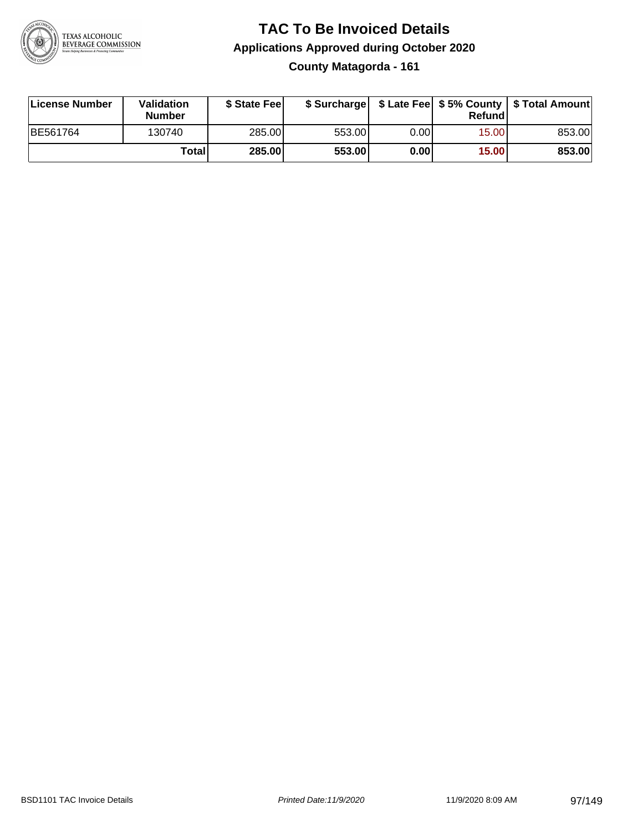

**County Matagorda - 161**

| License Number | Validation<br><b>Number</b> | \$ State Feel |        |      | Refundl | \$ Surcharge   \$ Late Fee   \$5% County   \$ Total Amount |
|----------------|-----------------------------|---------------|--------|------|---------|------------------------------------------------------------|
| BE561764       | 130740                      | 285.00        | 553.00 | 0.00 | 15.00   | 853.00                                                     |
|                | Totall                      | 285.00        | 553.00 | 0.00 | 15.00   | 853.00                                                     |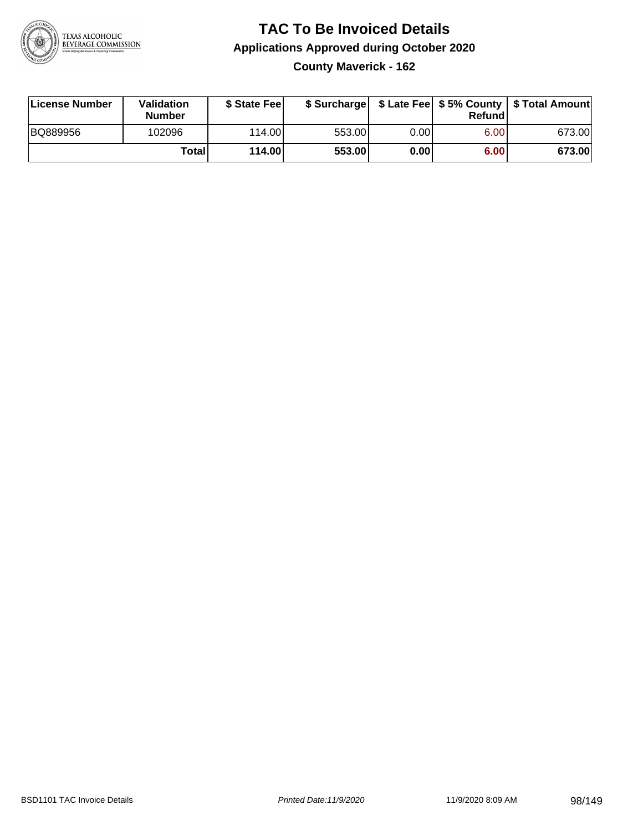

**County Maverick - 162**

| License Number | Validation<br><b>Number</b> | \$ State Feel |        |      | Refundl | \$ Surcharge   \$ Late Fee   \$5% County   \$ Total Amount |
|----------------|-----------------------------|---------------|--------|------|---------|------------------------------------------------------------|
| BQ889956       | 102096                      | 114.00        | 553.00 | 0.00 | 6.00    | 673.00                                                     |
|                | Totall                      | 114.00        | 553.00 | 0.00 | 6.00    | 673.00                                                     |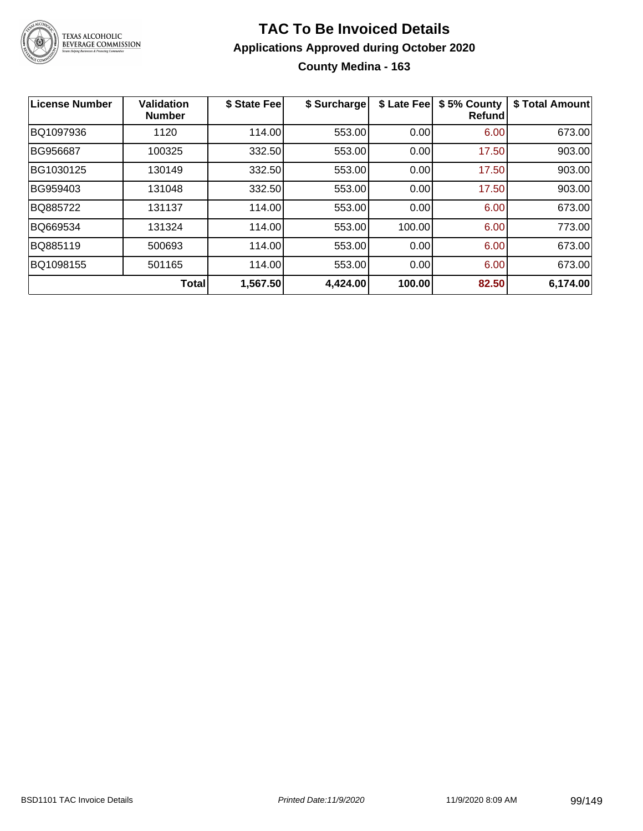

#### **TAC To Be Invoiced Details Applications Approved during October 2020 County Medina - 163**

| License Number | <b>Validation</b><br><b>Number</b> | \$ State Fee | \$ Surcharge | \$ Late Fee | \$5% County<br>Refundl | \$ Total Amount |
|----------------|------------------------------------|--------------|--------------|-------------|------------------------|-----------------|
| BQ1097936      | 1120                               | 114.00       | 553.00       | 0.00        | 6.00                   | 673.00          |
| BG956687       | 100325                             | 332.50       | 553.00       | 0.00        | 17.50                  | 903.00          |
| BG1030125      | 130149                             | 332.50       | 553.00       | 0.00        | 17.50                  | 903.00          |
| BG959403       | 131048                             | 332.50       | 553.00       | 0.00        | 17.50                  | 903.00          |
| BQ885722       | 131137                             | 114.00       | 553.00       | 0.00        | 6.00                   | 673.00          |
| BQ669534       | 131324                             | 114.00       | 553.00       | 100.00      | 6.00                   | 773.00          |
| BQ885119       | 500693                             | 114.00       | 553.00       | 0.00        | 6.00                   | 673.00          |
| BQ1098155      | 501165                             | 114.00       | 553.00       | 0.00        | 6.00                   | 673.00          |
|                | Total                              | 1,567.50     | 4,424.00     | 100.00      | 82.50                  | 6,174.00        |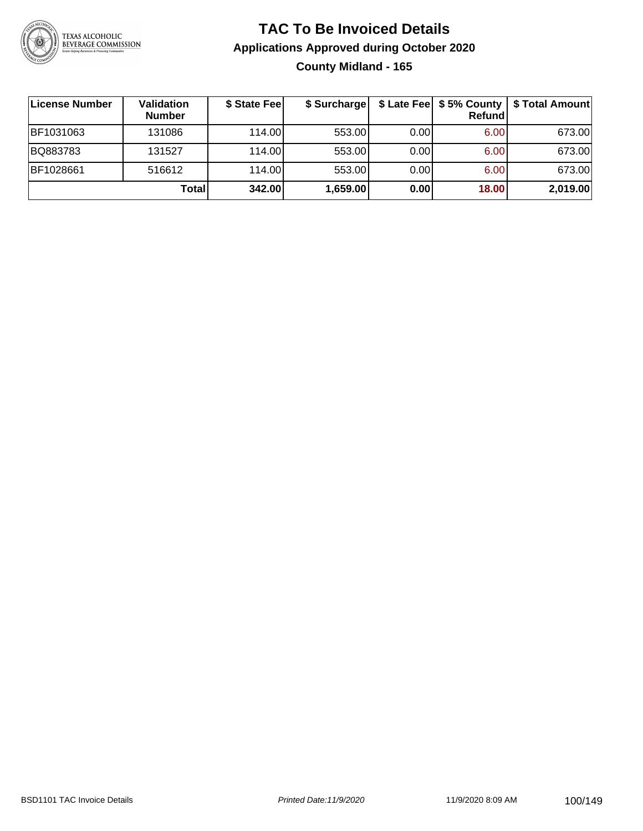

### **TAC To Be Invoiced Details Applications Approved during October 2020 County Midland - 165**

| ∣License Number | <b>Validation</b><br><b>Number</b> | \$ State Feel | \$ Surcharge |      | Refund | \$ Late Fee   \$5% County   \$ Total Amount |
|-----------------|------------------------------------|---------------|--------------|------|--------|---------------------------------------------|
| BF1031063       | 131086                             | 114.00L       | 553.00       | 0.00 | 6.00   | 673.00                                      |
| BQ883783        | 131527                             | 114.00        | 553.00       | 0.00 | 6.00   | 673.00                                      |
| BF1028661       | 516612                             | 114.00        | 553.00       | 0.00 | 6.00   | 673.00                                      |
|                 | Total                              | 342.00        | 1,659.00     | 0.00 | 18.00  | 2,019.00                                    |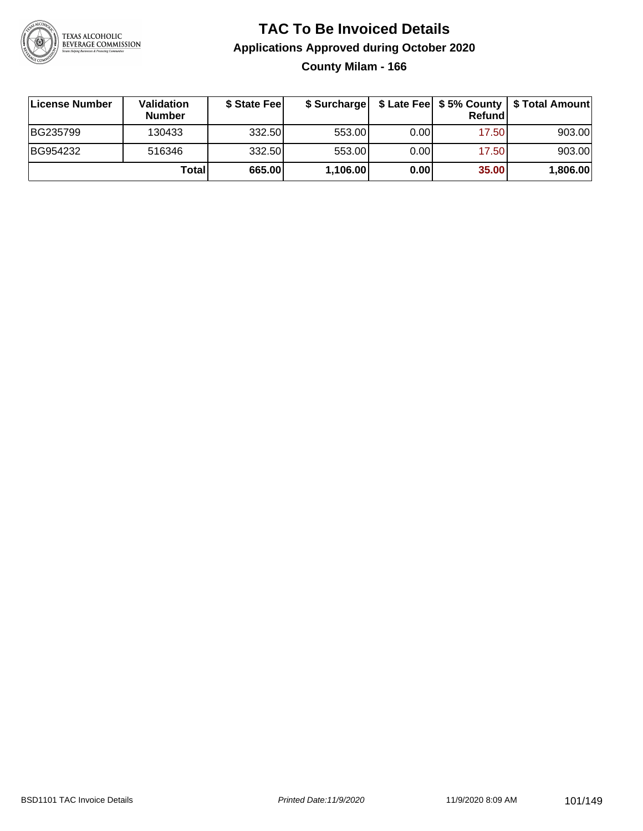

**County Milam - 166**

| License Number | <b>Validation</b><br><b>Number</b> | \$ State Feel |          |       | Refundl | \$ Surcharge   \$ Late Fee   \$5% County   \$ Total Amount |
|----------------|------------------------------------|---------------|----------|-------|---------|------------------------------------------------------------|
| BG235799       | 130433                             | 332.50        | 553.00   | 0.001 | 17.50   | 903.00                                                     |
| BG954232       | 516346                             | 332.50        | 553.00   | 0.001 | 17.50   | 903.00                                                     |
|                | Totall                             | 665.00        | 1,106.00 | 0.00  | 35.00   | 1,806.00                                                   |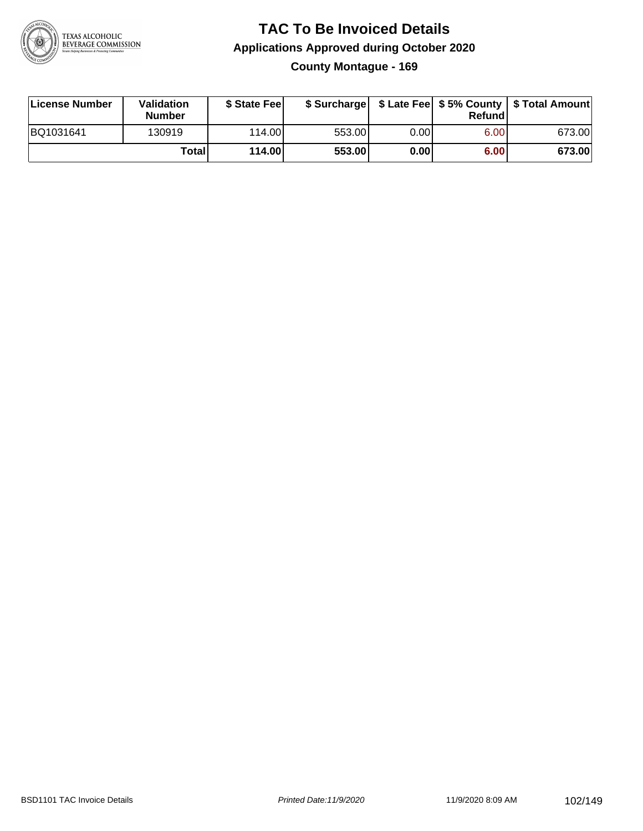

#### **TAC To Be Invoiced Details Applications Approved during October 2020 County Montague - 169**

| License Number | Validation<br><b>Number</b> | \$ State Fee |        |      | Refund | \$ Surcharge   \$ Late Fee   \$5% County   \$ Total Amount |
|----------------|-----------------------------|--------------|--------|------|--------|------------------------------------------------------------|
| BQ1031641      | 130919                      | 114.00L      | 553.00 | 0.00 | 6.00   | 673.00                                                     |
|                | Total                       | 114.00       | 553.00 | 0.00 | 6.00   | 673.00                                                     |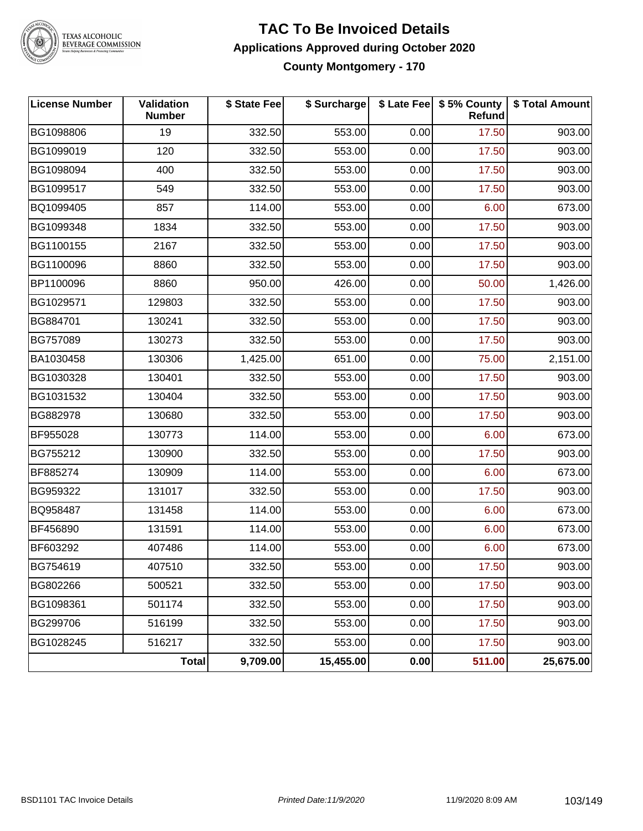

### TEXAS ALCOHOLIC<br>BEVERAGE COMMISSION

#### **TAC To Be Invoiced Details Applications Approved during October 2020 County Montgomery - 170**

| <b>License Number</b> | Validation<br><b>Number</b> | \$ State Fee | \$ Surcharge |      | \$ Late Fee   \$5% County<br>Refund | \$ Total Amount |
|-----------------------|-----------------------------|--------------|--------------|------|-------------------------------------|-----------------|
| BG1098806             | 19                          | 332.50       | 553.00       | 0.00 | 17.50                               | 903.00          |
| BG1099019             | 120                         | 332.50       | 553.00       | 0.00 | 17.50                               | 903.00          |
| BG1098094             | 400                         | 332.50       | 553.00       | 0.00 | 17.50                               | 903.00          |
| BG1099517             | 549                         | 332.50       | 553.00       | 0.00 | 17.50                               | 903.00          |
| BQ1099405             | 857                         | 114.00       | 553.00       | 0.00 | 6.00                                | 673.00          |
| BG1099348             | 1834                        | 332.50       | 553.00       | 0.00 | 17.50                               | 903.00          |
| BG1100155             | 2167                        | 332.50       | 553.00       | 0.00 | 17.50                               | 903.00          |
| BG1100096             | 8860                        | 332.50       | 553.00       | 0.00 | 17.50                               | 903.00          |
| BP1100096             | 8860                        | 950.00       | 426.00       | 0.00 | 50.00                               | 1,426.00        |
| BG1029571             | 129803                      | 332.50       | 553.00       | 0.00 | 17.50                               | 903.00          |
| BG884701              | 130241                      | 332.50       | 553.00       | 0.00 | 17.50                               | 903.00          |
| BG757089              | 130273                      | 332.50       | 553.00       | 0.00 | 17.50                               | 903.00          |
| BA1030458             | 130306                      | 1,425.00     | 651.00       | 0.00 | 75.00                               | 2,151.00        |
| BG1030328             | 130401                      | 332.50       | 553.00       | 0.00 | 17.50                               | 903.00          |
| BG1031532             | 130404                      | 332.50       | 553.00       | 0.00 | 17.50                               | 903.00          |
| BG882978              | 130680                      | 332.50       | 553.00       | 0.00 | 17.50                               | 903.00          |
| BF955028              | 130773                      | 114.00       | 553.00       | 0.00 | 6.00                                | 673.00          |
| BG755212              | 130900                      | 332.50       | 553.00       | 0.00 | 17.50                               | 903.00          |
| BF885274              | 130909                      | 114.00       | 553.00       | 0.00 | 6.00                                | 673.00          |
| BG959322              | 131017                      | 332.50       | 553.00       | 0.00 | 17.50                               | 903.00          |
| BQ958487              | 131458                      | 114.00       | 553.00       | 0.00 | 6.00                                | 673.00          |
| BF456890              | 131591                      | 114.00       | 553.00       | 0.00 | 6.00                                | 673.00          |
| BF603292              | 407486                      | 114.00       | 553.00       | 0.00 | 6.00                                | 673.00          |
| BG754619              | 407510                      | 332.50       | 553.00       | 0.00 | 17.50                               | 903.00          |
| BG802266              | 500521                      | 332.50       | 553.00       | 0.00 | 17.50                               | 903.00          |
| BG1098361             | 501174                      | 332.50       | 553.00       | 0.00 | 17.50                               | 903.00          |
| BG299706              | 516199                      | 332.50       | 553.00       | 0.00 | 17.50                               | 903.00          |
| BG1028245             | 516217                      | 332.50       | 553.00       | 0.00 | 17.50                               | 903.00          |
|                       | <b>Total</b>                | 9,709.00     | 15,455.00    | 0.00 | 511.00                              | 25,675.00       |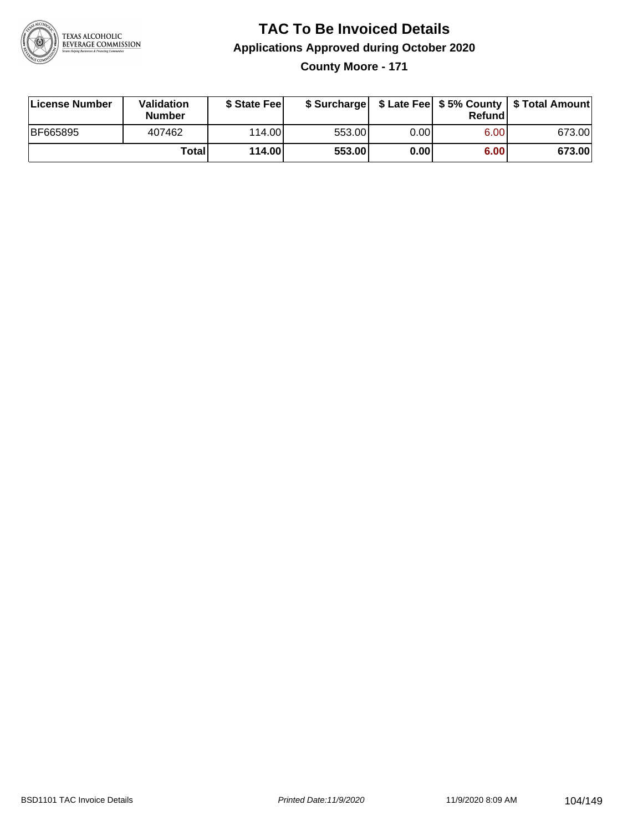

**County Moore - 171**

| License Number | <b>Validation</b><br><b>Number</b> | \$ State Feel | \$ Surcharge |       | Refundl | \$ Late Fee   \$5% County   \$ Total Amount |
|----------------|------------------------------------|---------------|--------------|-------|---------|---------------------------------------------|
| BF665895       | 407462                             | 114.00        | 553.00       | 0.001 | 6.00    | 673.00                                      |
|                | Totall                             | 114.00        | 553.00       | 0.001 | 6.00    | 673.00                                      |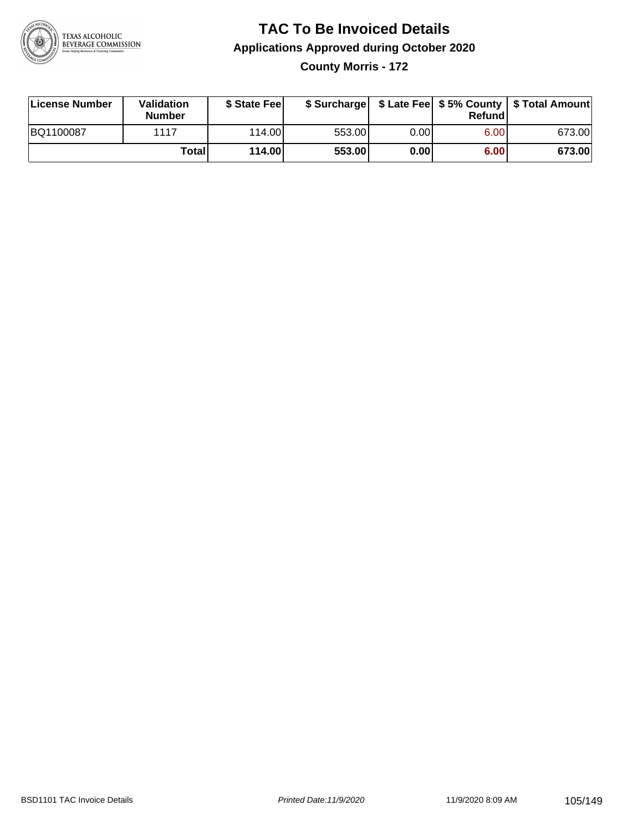

**County Morris - 172**

| License Number | <b>Validation</b><br><b>Number</b> | \$ State Feel | \$ Surcharge |       | Refundl | \$ Late Fee   \$5% County   \$ Total Amount |
|----------------|------------------------------------|---------------|--------------|-------|---------|---------------------------------------------|
| BQ1100087      | 1117                               | 114.00L       | 553.00       | 0.00I | 6.00    | 673.00                                      |
|                | Totall                             | 114.00        | 553.00       | 0.00  | 6.00    | 673.00                                      |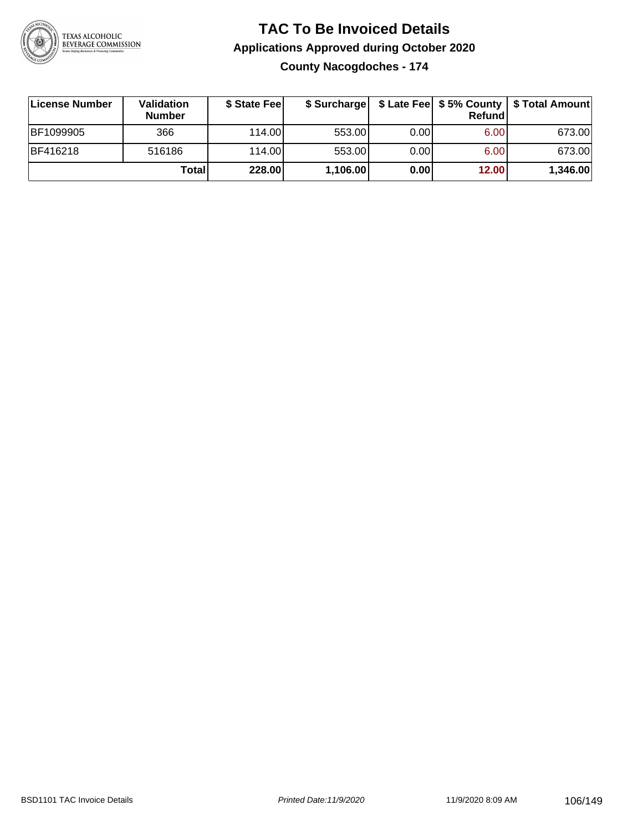

**County Nacogdoches - 174**

| License Number    | <b>Validation</b><br><b>Number</b> | \$ State Fee |          |      | Refundl | \$ Surcharge   \$ Late Fee   \$5% County   \$ Total Amount |
|-------------------|------------------------------------|--------------|----------|------|---------|------------------------------------------------------------|
| <b>IBF1099905</b> | 366                                | 114.00L      | 553.00   | 0.00 | 6.00    | 673.00                                                     |
| <b>BF416218</b>   | 516186                             | 114.00       | 553.00   | 0.00 | 6.00    | 673.00                                                     |
|                   | Total                              | 228.00       | 1,106.00 | 0.00 | 12.00   | 1,346.00                                                   |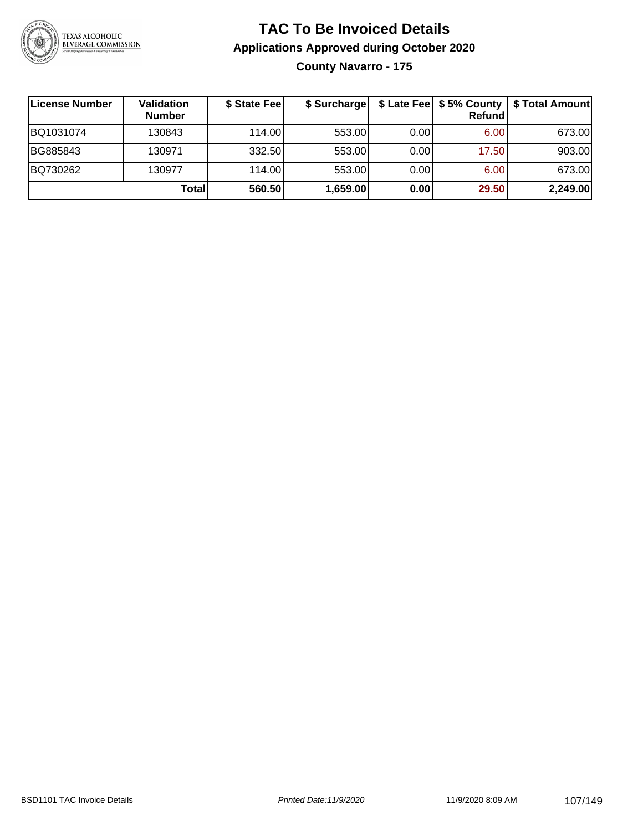

### **TAC To Be Invoiced Details Applications Approved during October 2020 County Navarro - 175**

| License Number | <b>Validation</b><br><b>Number</b> | \$ State Fee | \$ Surcharge |      | Refundl | \$ Late Fee   \$5% County   \$ Total Amount |
|----------------|------------------------------------|--------------|--------------|------|---------|---------------------------------------------|
| BQ1031074      | 130843                             | 114.00L      | 553.00       | 0.00 | 6.00    | 673.00                                      |
| BG885843       | 130971                             | 332.50       | 553.00       | 0.00 | 17.50   | 903.00                                      |
| BQ730262       | 130977                             | 114.00       | 553.00       | 0.00 | 6.00    | 673.00                                      |
|                | Total                              | 560.50       | 1,659.00     | 0.00 | 29.50   | 2,249.00                                    |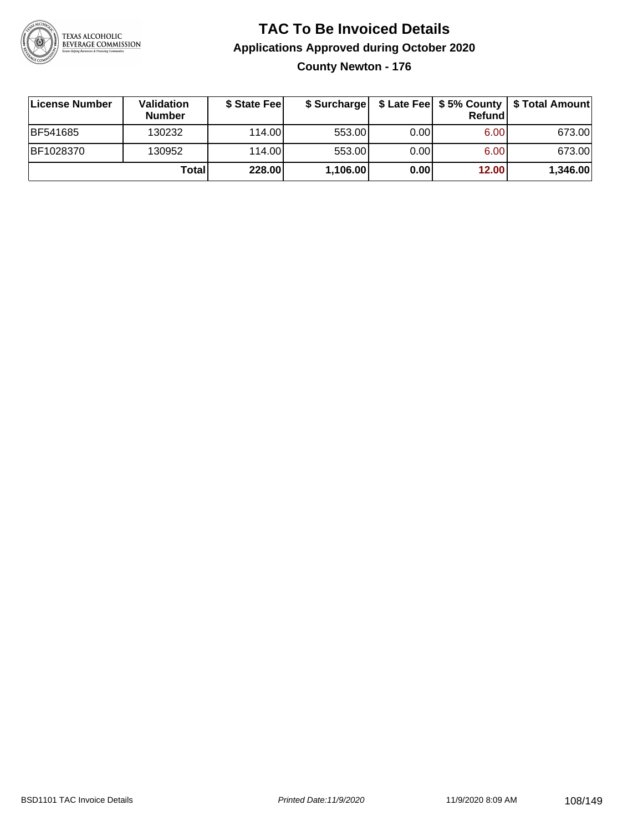

**County Newton - 176**

| ∣License Number | <b>Validation</b><br><b>Number</b> | \$ State Fee | \$ Surcharge |      | Refundl           | \$ Late Fee   \$5% County   \$ Total Amount |
|-----------------|------------------------------------|--------------|--------------|------|-------------------|---------------------------------------------|
| BF541685        | 130232                             | 114.00L      | 553.00       | 0.00 | 6.00 <sub>1</sub> | 673.00                                      |
| BF1028370       | 130952                             | 114.00L      | 553.00       | 0.00 | 6.00              | 673.00                                      |
|                 | Totall                             | 228.00       | 1,106.00     | 0.00 | 12.00             | 1,346.00                                    |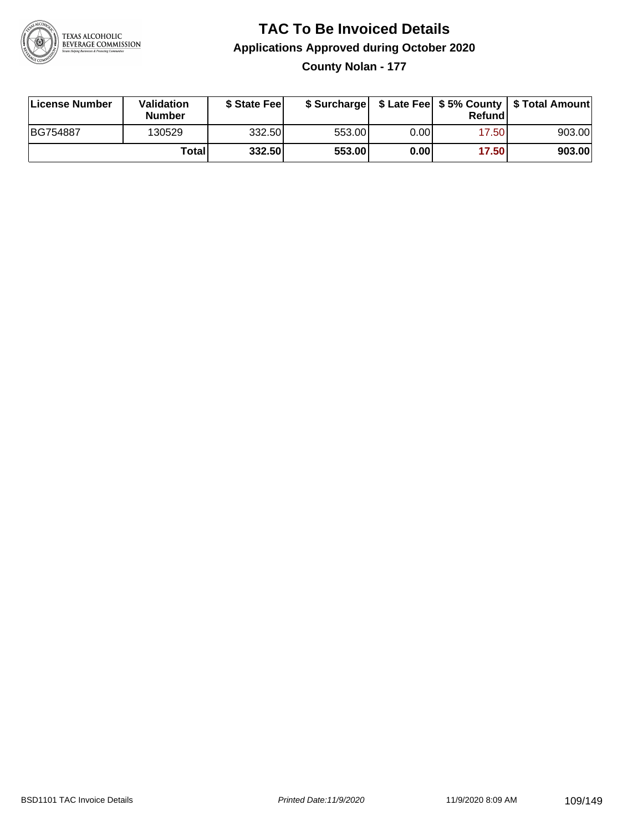

**County Nolan - 177**

| License Number | Validation<br><b>Number</b> | \$ State Feel |        |      | Refundl | \$ Surcharge   \$ Late Fee   \$5% County   \$ Total Amount |
|----------------|-----------------------------|---------------|--------|------|---------|------------------------------------------------------------|
| BG754887       | 130529                      | 332.50        | 553.00 | 0.00 | 17.50   | 903.00                                                     |
|                | Totall                      | 332.50        | 553.00 | 0.00 | 17.50   | 903.00                                                     |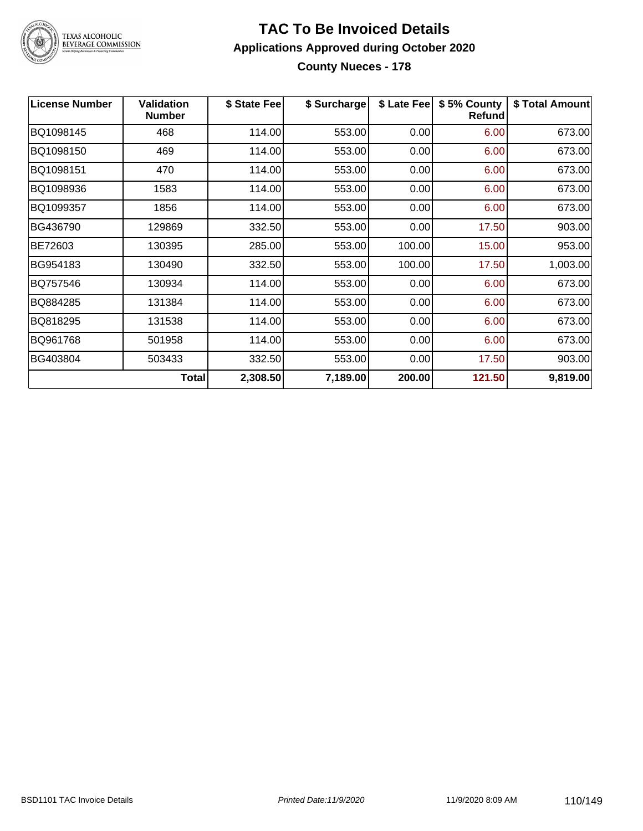

# TEXAS ALCOHOLIC<br>BEVERAGE COMMISSION

#### **TAC To Be Invoiced Details Applications Approved during October 2020 County Nueces - 178**

| <b>License Number</b> | <b>Validation</b><br><b>Number</b> | \$ State Fee | \$ Surcharge | \$ Late Fee | \$5% County<br>Refund | \$ Total Amount |
|-----------------------|------------------------------------|--------------|--------------|-------------|-----------------------|-----------------|
| BQ1098145             | 468                                | 114.00       | 553.00       | 0.00        | 6.00                  | 673.00          |
| BQ1098150             | 469                                | 114.00       | 553.00       | 0.00        | 6.00                  | 673.00          |
| BQ1098151             | 470                                | 114.00       | 553.00       | 0.00        | 6.00                  | 673.00          |
| BQ1098936             | 1583                               | 114.00       | 553.00       | 0.00        | 6.00                  | 673.00          |
| BQ1099357             | 1856                               | 114.00       | 553.00       | 0.00        | 6.00                  | 673.00          |
| BG436790              | 129869                             | 332.50       | 553.00       | 0.00        | 17.50                 | 903.00          |
| BE72603               | 130395                             | 285.00       | 553.00       | 100.00      | 15.00                 | 953.00          |
| BG954183              | 130490                             | 332.50       | 553.00       | 100.00      | 17.50                 | 1,003.00        |
| BQ757546              | 130934                             | 114.00       | 553.00       | 0.00        | 6.00                  | 673.00          |
| BQ884285              | 131384                             | 114.00       | 553.00       | 0.00        | 6.00                  | 673.00          |
| BQ818295              | 131538                             | 114.00       | 553.00       | 0.00        | 6.00                  | 673.00          |
| BQ961768              | 501958                             | 114.00       | 553.00       | 0.00        | 6.00                  | 673.00          |
| BG403804              | 503433                             | 332.50       | 553.00       | 0.00        | 17.50                 | 903.00          |
|                       | <b>Total</b>                       | 2,308.50     | 7,189.00     | 200.00      | 121.50                | 9,819.00        |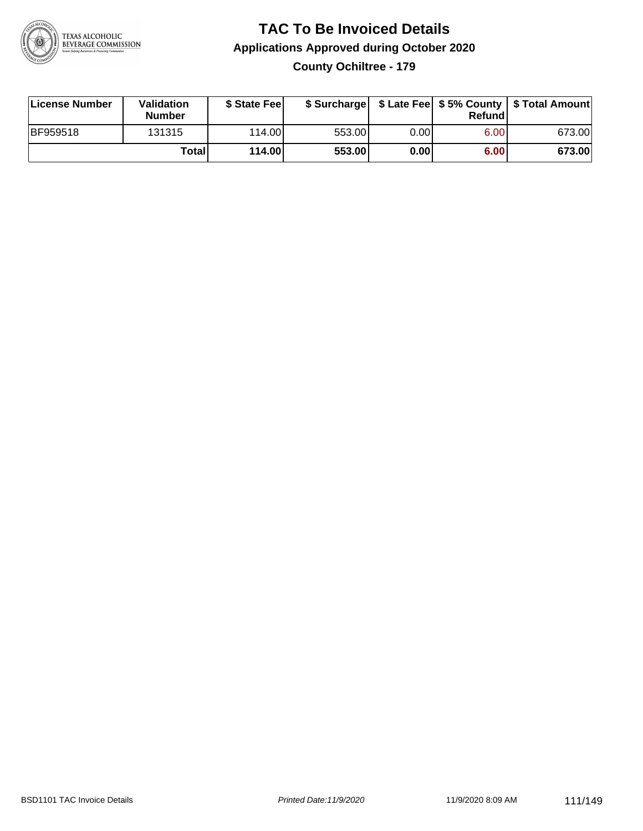

### **TAC To Be Invoiced Details Applications Approved during October 2020 County Ochiltree - 179**

| License Number  | Validation<br><b>Number</b> | \$ State Fee |        |      | Refund | \$ Surcharge   \$ Late Fee   \$5% County   \$ Total Amount |
|-----------------|-----------------------------|--------------|--------|------|--------|------------------------------------------------------------|
| <b>BF959518</b> | 131315                      | 114.00L      | 553.00 | 0.00 | 6.00   | 673.00                                                     |
|                 | Totall                      | 114.00       | 553.00 | 0.00 | 6.00   | 673.00                                                     |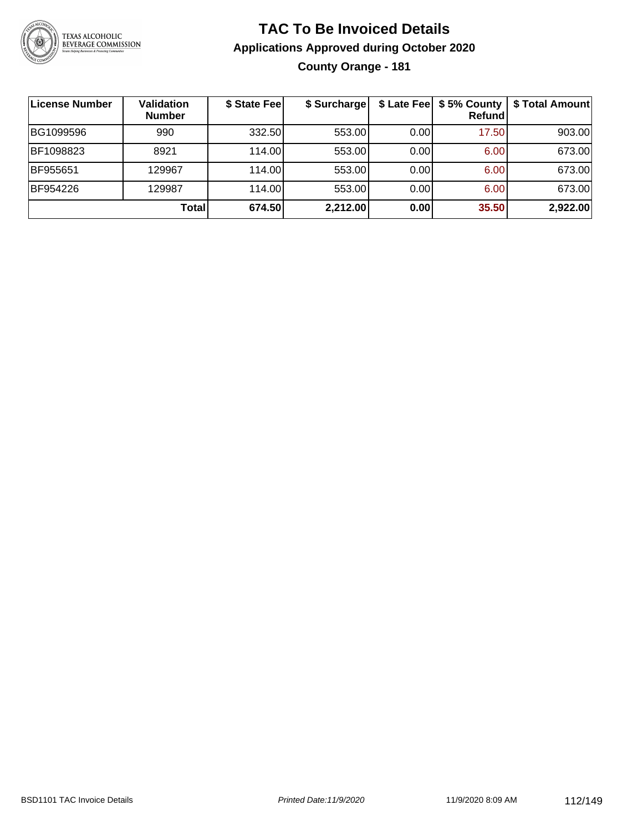

## **TAC To Be Invoiced Details Applications Approved during October 2020 County Orange - 181**

| License Number | <b>Validation</b><br><b>Number</b> | \$ State Fee | \$ Surcharge |      | \$ Late Fee   \$5% County  <br>Refund | \$ Total Amount |
|----------------|------------------------------------|--------------|--------------|------|---------------------------------------|-----------------|
| BG1099596      | 990                                | 332.50       | 553.00       | 0.00 | 17.50                                 | 903.00          |
| BF1098823      | 8921                               | 114.00       | 553.00       | 0.00 | 6.00                                  | 673.00          |
| BF955651       | 129967                             | 114.00       | 553.00       | 0.00 | 6.00                                  | 673.00          |
| BF954226       | 129987                             | 114.00       | 553.00       | 0.00 | 6.00                                  | 673.00          |
|                | <b>Total</b>                       | 674.50       | 2,212.00     | 0.00 | 35.50                                 | 2,922.00        |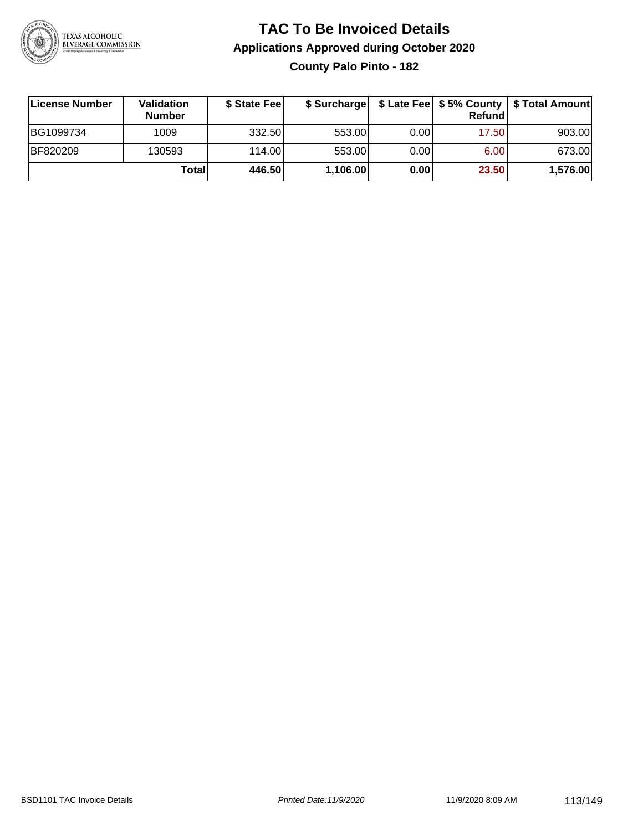

**County Palo Pinto - 182**

| ∣License Number | Validation<br><b>Number</b> | \$ State Fee |          |      | <b>Refund</b> | \$ Surcharge   \$ Late Fee   \$5% County   \$ Total Amount |
|-----------------|-----------------------------|--------------|----------|------|---------------|------------------------------------------------------------|
| BG1099734       | 1009                        | 332.50       | 553.00   | 0.00 | 17.50         | 903.00                                                     |
| BF820209        | 130593                      | 114.00       | 553.00   | 0.00 | 6.00          | 673.00                                                     |
|                 | Totall                      | 446.50       | 1,106.00 | 0.00 | 23.50         | 1,576.00                                                   |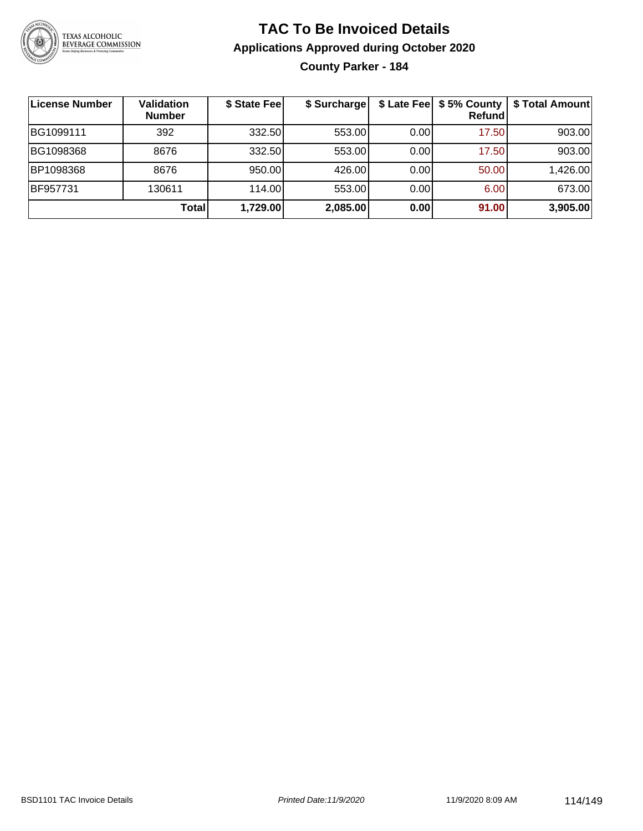

**County Parker - 184**

| License Number | <b>Validation</b><br><b>Number</b> | \$ State Fee | \$ Surcharge | \$ Late Fee | \$5% County<br><b>Refund</b> | \$ Total Amount |
|----------------|------------------------------------|--------------|--------------|-------------|------------------------------|-----------------|
| BG1099111      | 392                                | 332.50       | 553.00       | 0.00        | 17.50                        | 903.00          |
| BG1098368      | 8676                               | 332.50       | 553.00       | 0.00        | 17.50                        | 903.00          |
| BP1098368      | 8676                               | 950.00       | 426.00       | 0.00        | 50.00                        | 1,426.00        |
| BF957731       | 130611                             | 114.00       | 553.00       | 0.00        | 6.00                         | 673.00          |
|                | Total                              | 1,729.00     | 2,085.00     | 0.00        | 91.00                        | 3,905.00        |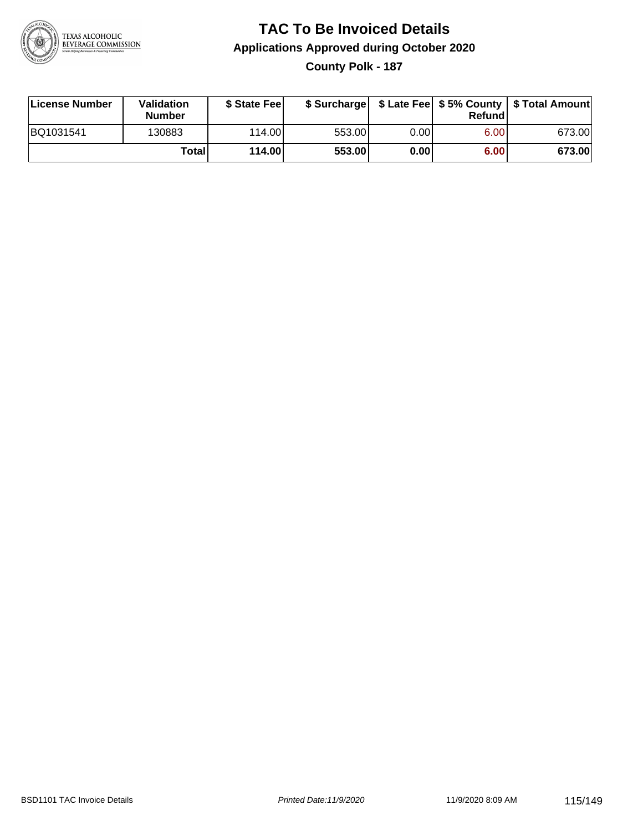

### **TAC To Be Invoiced Details Applications Approved during October 2020 County Polk - 187**

| License Number | Validation<br><b>Number</b> | \$ State Feel |        |      | Refund | \$ Surcharge   \$ Late Fee   \$5% County   \$ Total Amount |
|----------------|-----------------------------|---------------|--------|------|--------|------------------------------------------------------------|
| BQ1031541      | 130883                      | 114.00L       | 553.00 | 0.00 | 6.00   | 673.00                                                     |
|                | Totall                      | 114.00        | 553.00 | 0.00 | 6.00   | 673.00                                                     |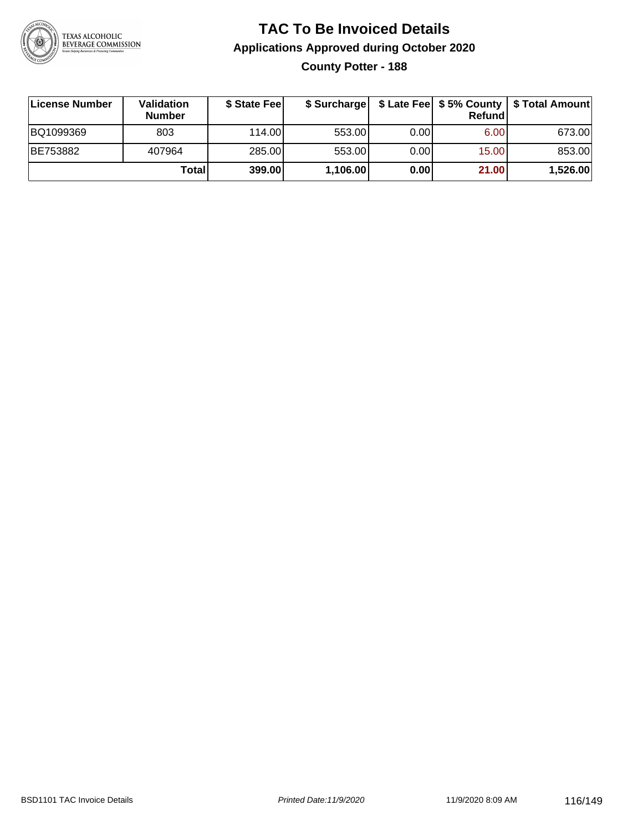

**County Potter - 188**

| License Number | Validation<br><b>Number</b> | \$ State Feel |          |      | Refundl | \$ Surcharge   \$ Late Fee   \$5% County   \$ Total Amount |
|----------------|-----------------------------|---------------|----------|------|---------|------------------------------------------------------------|
| BQ1099369      | 803                         | 114.00        | 553.00   | 0.00 | 6.00    | 673.00                                                     |
| BE753882       | 407964                      | 285.00        | 553.00   | 0.00 | 15.00   | 853.00                                                     |
|                | Totall                      | 399.00        | 1,106.00 | 0.00 | 21.00   | 1,526.00                                                   |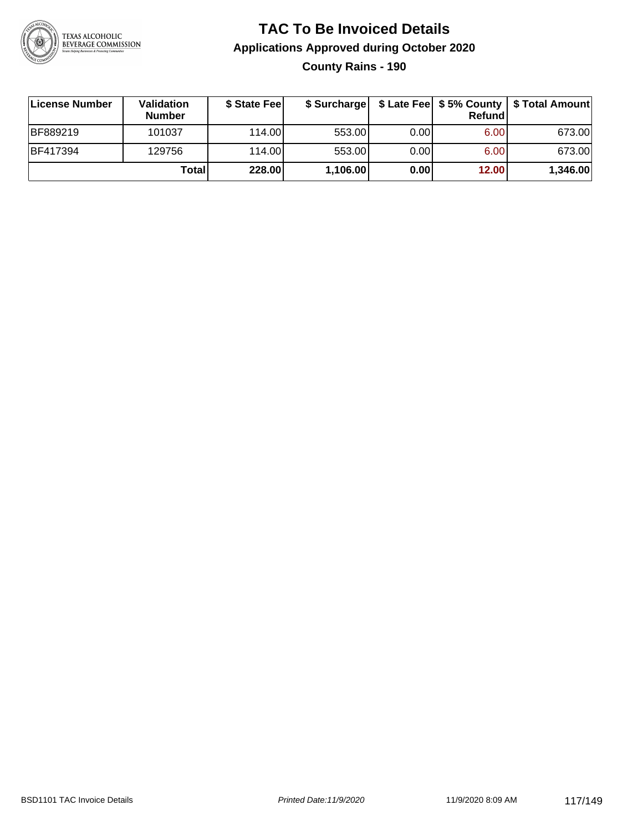

**County Rains - 190**

| License Number  | Validation<br><b>Number</b> | \$ State Feel |          |      | Refundl | \$ Surcharge   \$ Late Fee   \$5% County   \$ Total Amount |
|-----------------|-----------------------------|---------------|----------|------|---------|------------------------------------------------------------|
| <b>BF889219</b> | 101037                      | 114.00        | 553.00   | 0.00 | 6.00    | 673.00                                                     |
| <b>BF417394</b> | 129756                      | 114.00        | 553.00   | 0.00 | 6.00    | 673.00                                                     |
|                 | <b>Total</b>                | 228.00        | 1,106.00 | 0.00 | 12.00   | 1,346.00                                                   |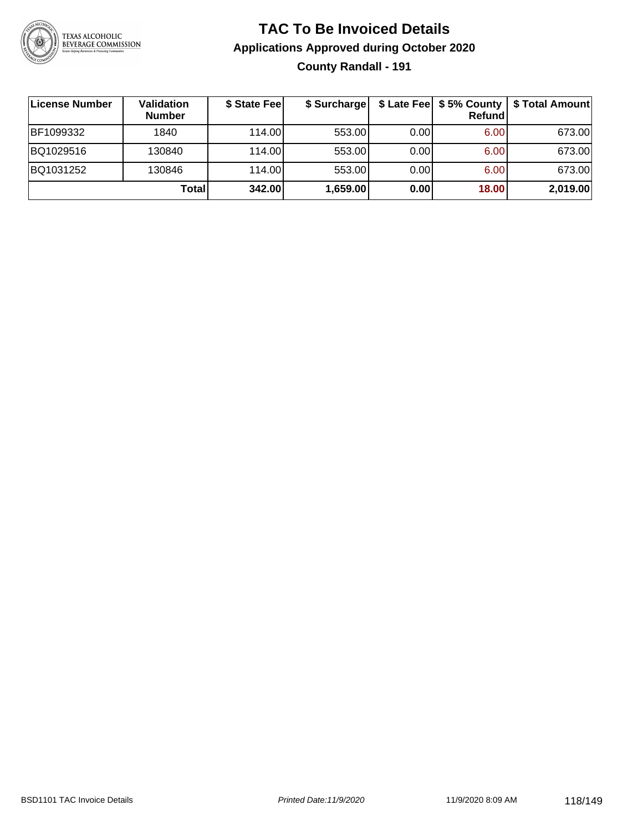

### **TAC To Be Invoiced Details Applications Approved during October 2020 County Randall - 191**

| ∣License Number | Validation<br><b>Number</b> | \$ State Fee | \$ Surcharge |       | Refundl | \$ Late Fee   \$5% County   \$ Total Amount |
|-----------------|-----------------------------|--------------|--------------|-------|---------|---------------------------------------------|
| BF1099332       | 1840                        | 114.00L      | 553.00       | 0.001 | 6.00    | 673.00                                      |
| BQ1029516       | 130840                      | 114.00L      | 553.00       | 0.00  | 6.00    | 673.00                                      |
| BQ1031252       | 130846                      | 114.00L      | 553.00       | 0.00  | 6.00    | 673.00                                      |
|                 | Total                       | 342.00       | 1,659.00     | 0.00  | 18.00   | 2,019.00                                    |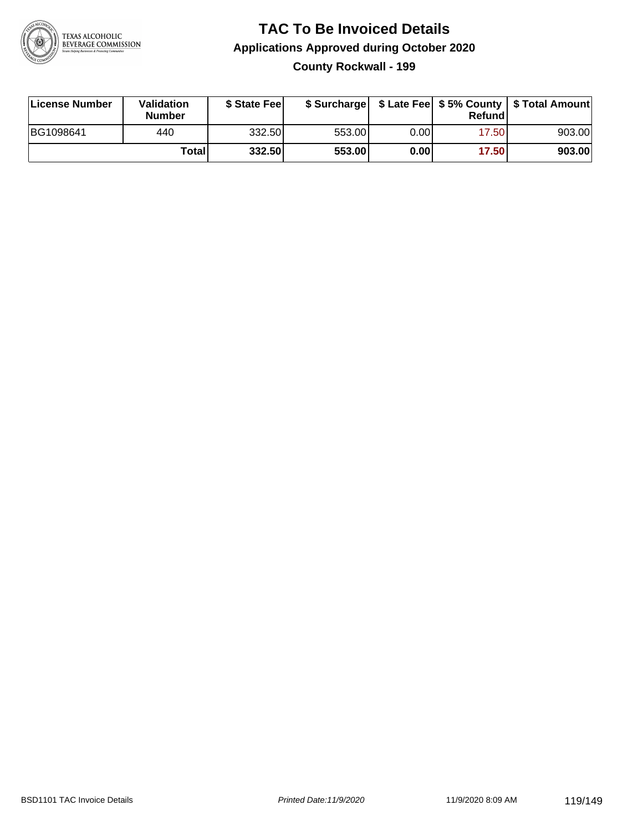

### **TAC To Be Invoiced Details Applications Approved during October 2020 County Rockwall - 199**

| License Number | Validation<br><b>Number</b> | \$ State Feel |        |      | Refund | \$ Surcharge   \$ Late Fee   \$5% County   \$ Total Amount |
|----------------|-----------------------------|---------------|--------|------|--------|------------------------------------------------------------|
| BG1098641      | 440                         | 332.50        | 553.00 | 0.00 | 17.50  | 903.00                                                     |
|                | Totall                      | 332.50        | 553.00 | 0.00 | 17.50  | 903.00                                                     |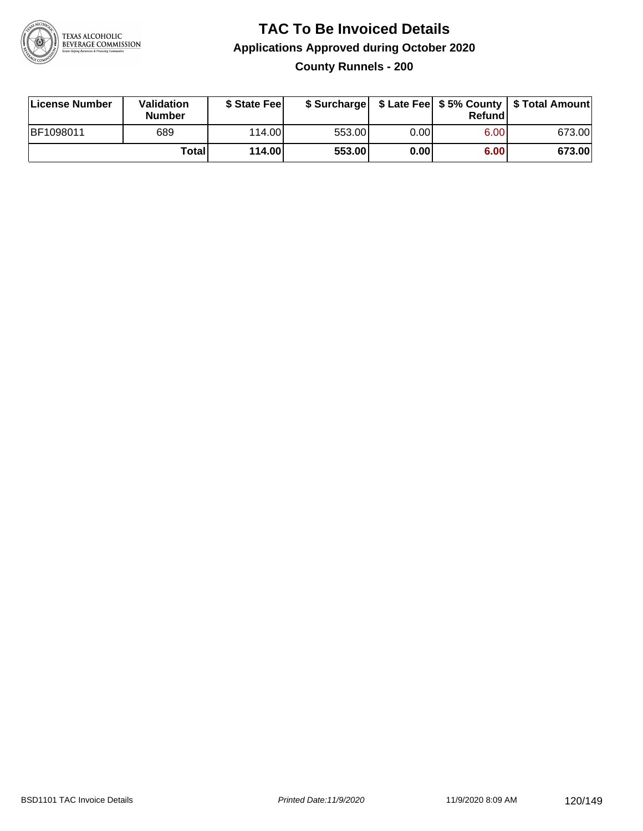

### **TAC To Be Invoiced Details Applications Approved during October 2020 County Runnels - 200**

| License Number | Validation<br><b>Number</b> | \$ State Fee |        |       | Refund | \$ Surcharge   \$ Late Fee   \$5% County   \$ Total Amount |
|----------------|-----------------------------|--------------|--------|-------|--------|------------------------------------------------------------|
| BF1098011      | 689                         | 114.00       | 553.00 | 0.001 | 6.00   | 673.00                                                     |
|                | Totall                      | 114.00       | 553.00 | 0.00  | 6.00   | 673.00                                                     |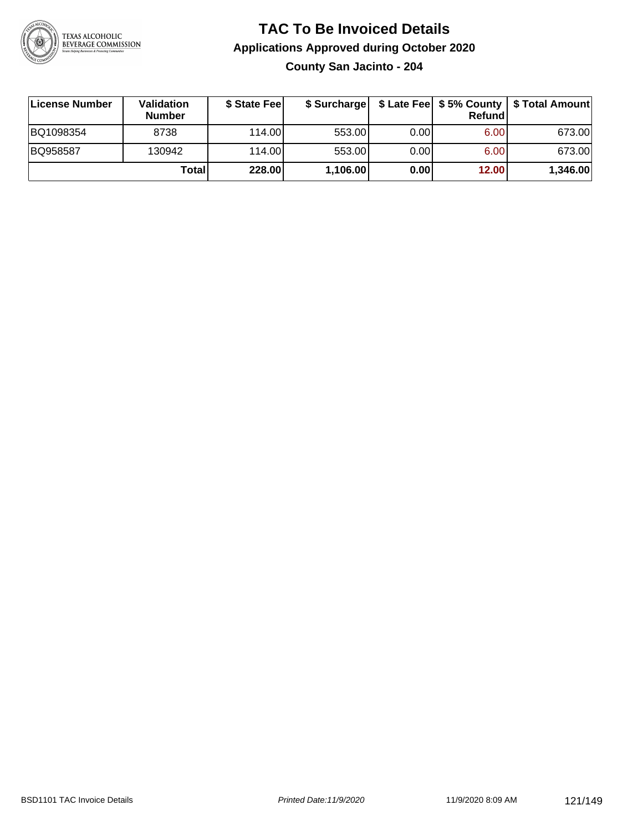

## **TAC To Be Invoiced Details Applications Approved during October 2020 County San Jacinto - 204**

**License Number Validation Number \$ State Fee \$ Surcharge \$ Late Fee \$ 5% County Refund \$ Total Amount** BQ1098354 | 8738 | 114.00| 553.00| 0.00| 6.00| 673.00 BQ958587 130942 114.00 553.00 0.00 6.00 673.00 **Total 228.00 1,106.00 0.00 12.00 1,346.00**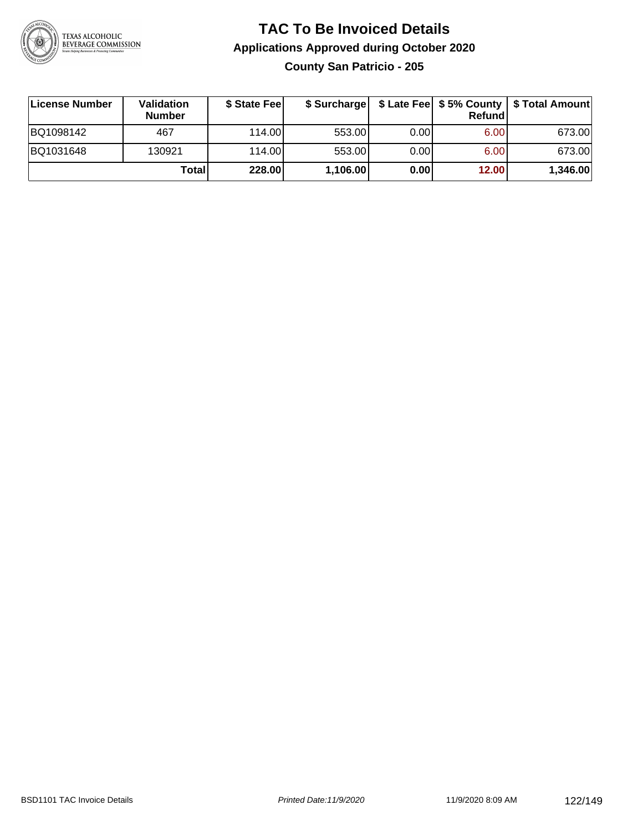

### **TAC To Be Invoiced Details Applications Approved during October 2020 County San Patricio - 205**

| License Number | Validation<br><b>Number</b> | \$ State Feel |          |      | <b>Refund</b> | \$ Surcharge   \$ Late Fee   \$5% County   \$ Total Amount |
|----------------|-----------------------------|---------------|----------|------|---------------|------------------------------------------------------------|
| BQ1098142      | 467                         | 114.00L       | 553.00   | 0.00 | 6.00          | 673.00                                                     |
| BQ1031648      | 130921                      | 114.00L       | 553.00   | 0.00 | 6.00          | 673.00                                                     |
|                | Total                       | <b>228.00</b> | 1,106.00 | 0.00 | 12.00         | 1,346.00                                                   |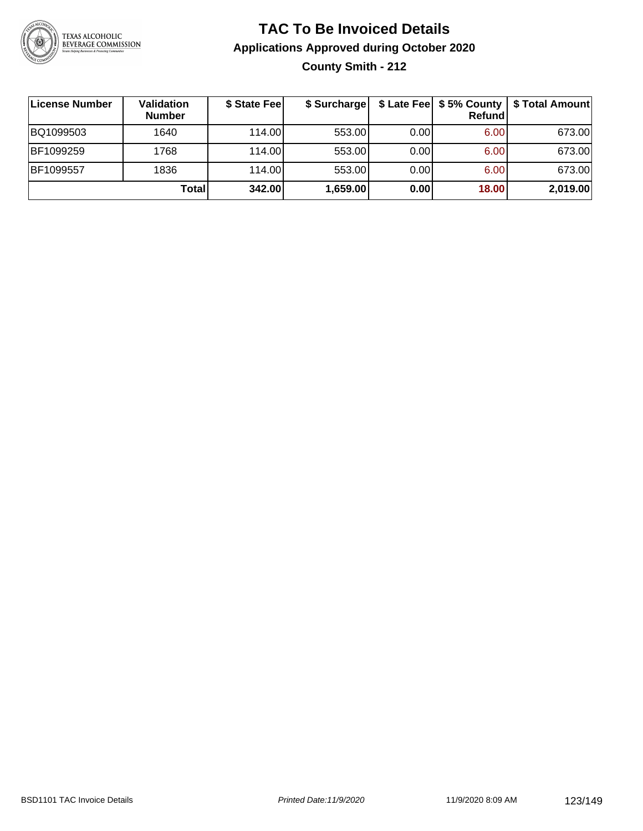

### **TAC To Be Invoiced Details Applications Approved during October 2020 County Smith - 212**

| License Number | Validation<br><b>Number</b> | \$ State Fee | \$ Surchargel |      | \$ Late Fee   \$5% County  <br><b>Refund</b> | \$ Total Amount |
|----------------|-----------------------------|--------------|---------------|------|----------------------------------------------|-----------------|
| BQ1099503      | 1640                        | 114.00       | 553.00        | 0.00 | 6.00                                         | 673.00          |
| BF1099259      | 1768                        | 114.00L      | 553.00        | 0.00 | 6.00                                         | 673.00          |
| BF1099557      | 1836                        | 114.00       | 553.00        | 0.00 | 6.00                                         | 673.00          |
|                | Total                       | 342.00       | 1,659.00      | 0.00 | 18.00                                        | 2,019.00        |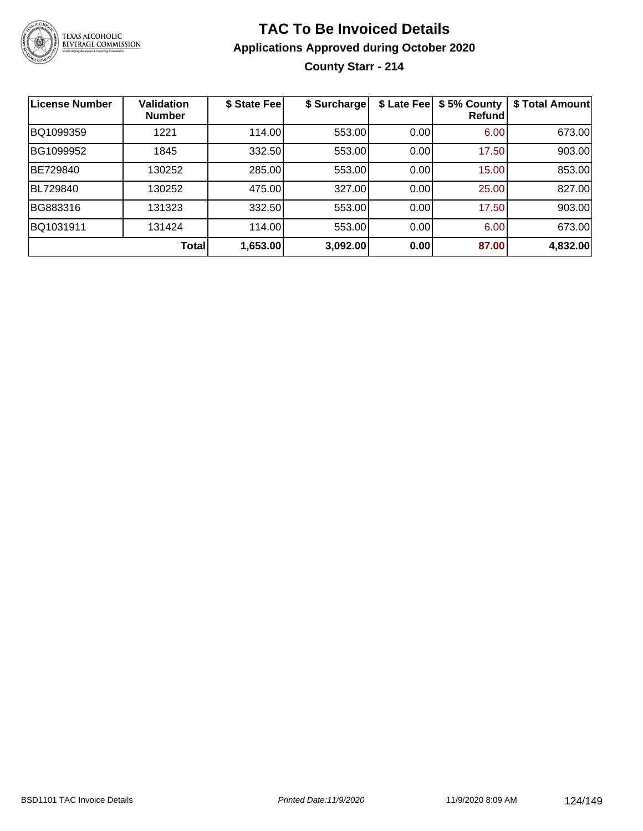

## **TAC To Be Invoiced Details Applications Approved during October 2020 County Starr - 214**

| <b>License Number</b> | <b>Validation</b><br><b>Number</b> | \$ State Fee | \$ Surcharge | \$ Late Fee | \$5% County<br>Refund | \$ Total Amount |
|-----------------------|------------------------------------|--------------|--------------|-------------|-----------------------|-----------------|
| BQ1099359             | 1221                               | 114.00       | 553.00       | 0.00        | 6.00                  | 673.00          |
| BG1099952             | 1845                               | 332.50       | 553.00       | 0.00        | 17.50                 | 903.00          |
| BE729840              | 130252                             | 285.00       | 553.00       | 0.00        | 15.00                 | 853.00          |
| BL729840              | 130252                             | 475.00       | 327.00       | 0.00        | 25.00                 | 827.00          |
| BG883316              | 131323                             | 332.50       | 553.00       | 0.00        | 17.50                 | 903.00          |
| BQ1031911             | 131424                             | 114.00       | 553.00       | 0.00        | 6.00                  | 673.00          |
|                       | <b>Total</b>                       | 1,653.00     | 3,092.00     | 0.00        | 87.00                 | 4,832.00        |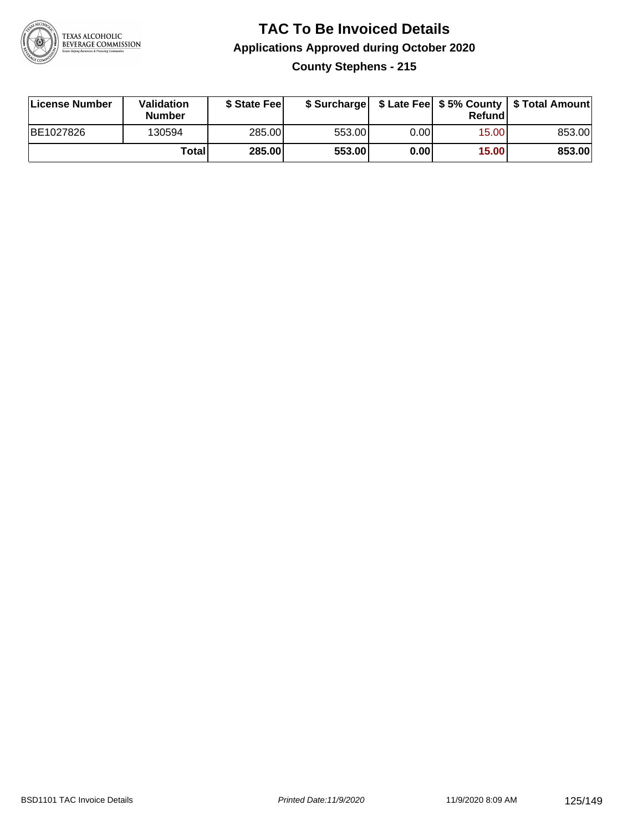

## **TAC To Be Invoiced Details Applications Approved during October 2020 County Stephens - 215**

| License Number | Validation<br><b>Number</b> | \$ State Fee  |        |      | Refund | \$ Surcharge   \$ Late Fee   \$5% County   \$ Total Amount |
|----------------|-----------------------------|---------------|--------|------|--------|------------------------------------------------------------|
| BE1027826      | 130594                      | 285.00        | 553.00 | 0.00 | 15.00  | 853.00                                                     |
|                | Total                       | <b>285.00</b> | 553.00 | 0.00 | 15.00  | 853.00                                                     |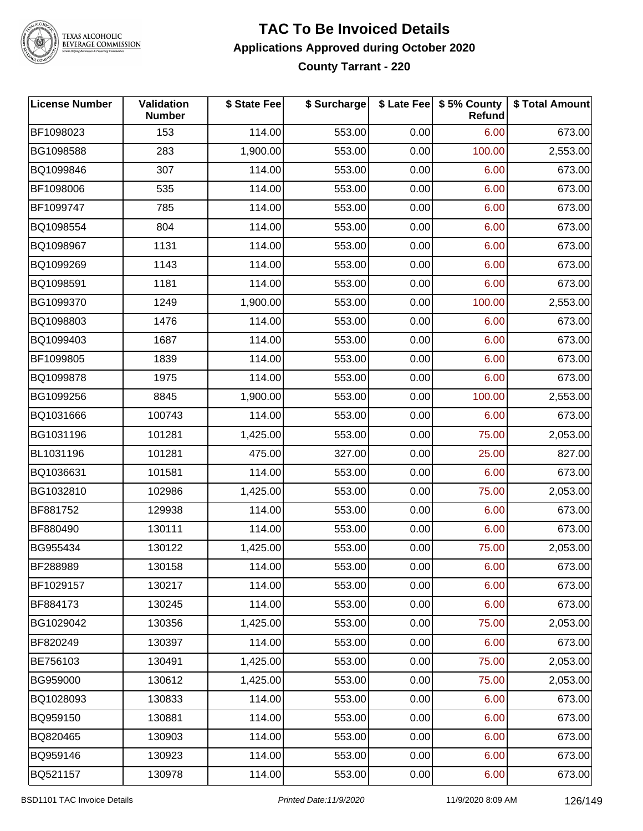

TEXAS ALCOHOLIC<br>BEVERAGE COMMISSION

#### **TAC To Be Invoiced Details Applications Approved during October 2020 County Tarrant - 220**

| <b>License Number</b> | <b>Validation</b><br><b>Number</b> | \$ State Fee | \$ Surcharge |      | \$ Late Fee   \$5% County<br><b>Refund</b> | \$ Total Amount |
|-----------------------|------------------------------------|--------------|--------------|------|--------------------------------------------|-----------------|
| BF1098023             | 153                                | 114.00       | 553.00       | 0.00 | 6.00                                       | 673.00          |
| BG1098588             | 283                                | 1,900.00     | 553.00       | 0.00 | 100.00                                     | 2,553.00        |
| BQ1099846             | 307                                | 114.00       | 553.00       | 0.00 | 6.00                                       | 673.00          |
| BF1098006             | 535                                | 114.00       | 553.00       | 0.00 | 6.00                                       | 673.00          |
| BF1099747             | 785                                | 114.00       | 553.00       | 0.00 | 6.00                                       | 673.00          |
| BQ1098554             | 804                                | 114.00       | 553.00       | 0.00 | 6.00                                       | 673.00          |
| BQ1098967             | 1131                               | 114.00       | 553.00       | 0.00 | 6.00                                       | 673.00          |
| BQ1099269             | 1143                               | 114.00       | 553.00       | 0.00 | 6.00                                       | 673.00          |
| BQ1098591             | 1181                               | 114.00       | 553.00       | 0.00 | 6.00                                       | 673.00          |
| BG1099370             | 1249                               | 1,900.00     | 553.00       | 0.00 | 100.00                                     | 2,553.00        |
| BQ1098803             | 1476                               | 114.00       | 553.00       | 0.00 | 6.00                                       | 673.00          |
| BQ1099403             | 1687                               | 114.00       | 553.00       | 0.00 | 6.00                                       | 673.00          |
| BF1099805             | 1839                               | 114.00       | 553.00       | 0.00 | 6.00                                       | 673.00          |
| BQ1099878             | 1975                               | 114.00       | 553.00       | 0.00 | 6.00                                       | 673.00          |
| BG1099256             | 8845                               | 1,900.00     | 553.00       | 0.00 | 100.00                                     | 2,553.00        |
| BQ1031666             | 100743                             | 114.00       | 553.00       | 0.00 | 6.00                                       | 673.00          |
| BG1031196             | 101281                             | 1,425.00     | 553.00       | 0.00 | 75.00                                      | 2,053.00        |
| BL1031196             | 101281                             | 475.00       | 327.00       | 0.00 | 25.00                                      | 827.00          |
| BQ1036631             | 101581                             | 114.00       | 553.00       | 0.00 | 6.00                                       | 673.00          |
| BG1032810             | 102986                             | 1,425.00     | 553.00       | 0.00 | 75.00                                      | 2,053.00        |
| BF881752              | 129938                             | 114.00       | 553.00       | 0.00 | 6.00                                       | 673.00          |
| BF880490              | 130111                             | 114.00       | 553.00       | 0.00 | 6.00                                       | 673.00          |
| BG955434              | 130122                             | 1,425.00     | 553.00       | 0.00 | 75.00                                      | 2,053.00        |
| BF288989              | 130158                             | 114.00       | 553.00       | 0.00 | 6.00                                       | 673.00          |
| BF1029157             | 130217                             | 114.00       | 553.00       | 0.00 | 6.00                                       | 673.00          |
| BF884173              | 130245                             | 114.00       | 553.00       | 0.00 | 6.00                                       | 673.00          |
| BG1029042             | 130356                             | 1,425.00     | 553.00       | 0.00 | 75.00                                      | 2,053.00        |
| BF820249              | 130397                             | 114.00       | 553.00       | 0.00 | 6.00                                       | 673.00          |
| BE756103              | 130491                             | 1,425.00     | 553.00       | 0.00 | 75.00                                      | 2,053.00        |
| BG959000              | 130612                             | 1,425.00     | 553.00       | 0.00 | 75.00                                      | 2,053.00        |
| BQ1028093             | 130833                             | 114.00       | 553.00       | 0.00 | 6.00                                       | 673.00          |
| BQ959150              | 130881                             | 114.00       | 553.00       | 0.00 | 6.00                                       | 673.00          |
| BQ820465              | 130903                             | 114.00       | 553.00       | 0.00 | 6.00                                       | 673.00          |
| BQ959146              | 130923                             | 114.00       | 553.00       | 0.00 | 6.00                                       | 673.00          |
| BQ521157              | 130978                             | 114.00       | 553.00       | 0.00 | 6.00                                       | 673.00          |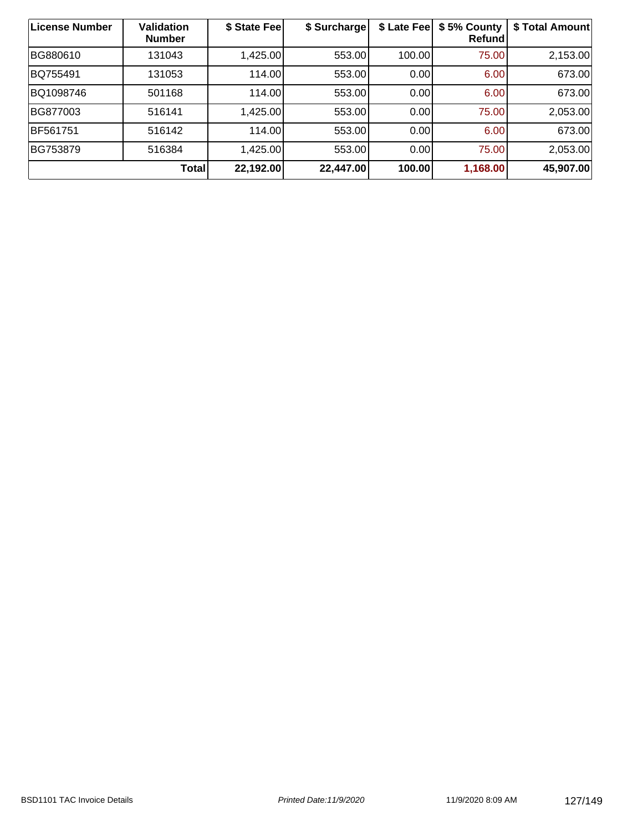| <b>License Number</b> | <b>Validation</b><br><b>Number</b> | \$ State Fee | \$ Surcharge | \$ Late Fee | \$5% County<br>Refund | \$ Total Amount |
|-----------------------|------------------------------------|--------------|--------------|-------------|-----------------------|-----------------|
| BG880610              | 131043                             | 1,425.00     | 553.00       | 100.00      | 75.00                 | 2,153.00        |
| BQ755491              | 131053                             | 114.00       | 553.00       | 0.00        | 6.00                  | 673.00          |
| BQ1098746             | 501168                             | 114.00       | 553.00       | 0.00        | 6.00                  | 673.00          |
| BG877003              | 516141                             | 1,425.00     | 553.00       | 0.00        | 75.00                 | 2,053.00        |
| BF561751              | 516142                             | 114.00       | 553.00       | 0.00        | 6.00                  | 673.00          |
| BG753879              | 516384                             | 1,425.00     | 553.00       | 0.00        | 75.00                 | 2,053.00        |
|                       | Total                              | 22,192.00    | 22,447.00    | 100.00      | 1,168.00              | 45,907.00       |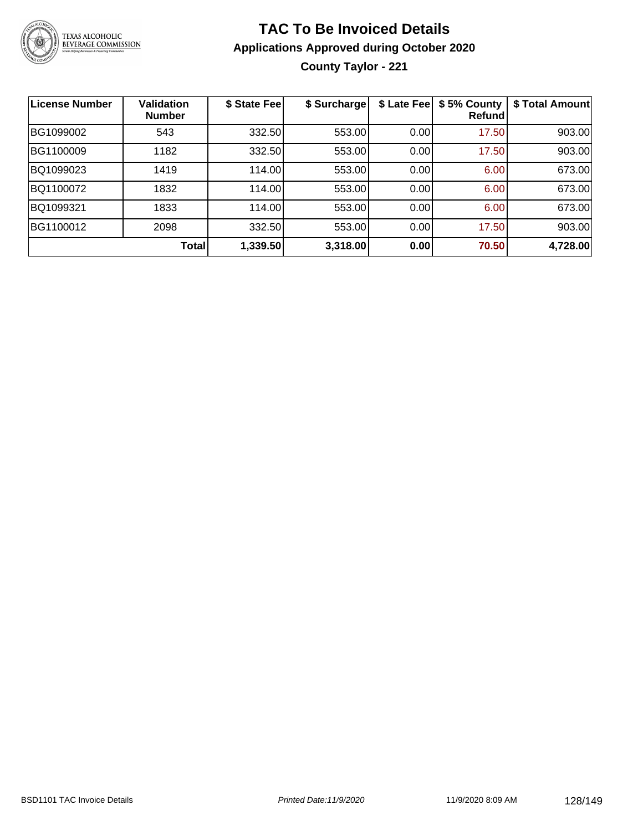

**County Taylor - 221**

| <b>License Number</b> | Validation<br><b>Number</b> | \$ State Fee | \$ Surcharge |      | \$ Late Fee   \$5% County<br>Refundl | \$ Total Amount |
|-----------------------|-----------------------------|--------------|--------------|------|--------------------------------------|-----------------|
| BG1099002             | 543                         | 332.50       | 553.00       | 0.00 | 17.50                                | 903.00          |
| BG1100009             | 1182                        | 332.50       | 553.00       | 0.00 | 17.50                                | 903.00          |
| BQ1099023             | 1419                        | 114.00       | 553.00       | 0.00 | 6.00                                 | 673.00          |
| BQ1100072             | 1832                        | 114.00       | 553.00       | 0.00 | 6.00                                 | 673.00          |
| BQ1099321             | 1833                        | 114.00       | 553.00       | 0.00 | 6.00                                 | 673.00          |
| BG1100012             | 2098                        | 332.50       | 553.00       | 0.00 | 17.50                                | 903.00          |
|                       | Total                       | 1,339.50     | 3,318.00     | 0.00 | 70.50                                | 4,728.00        |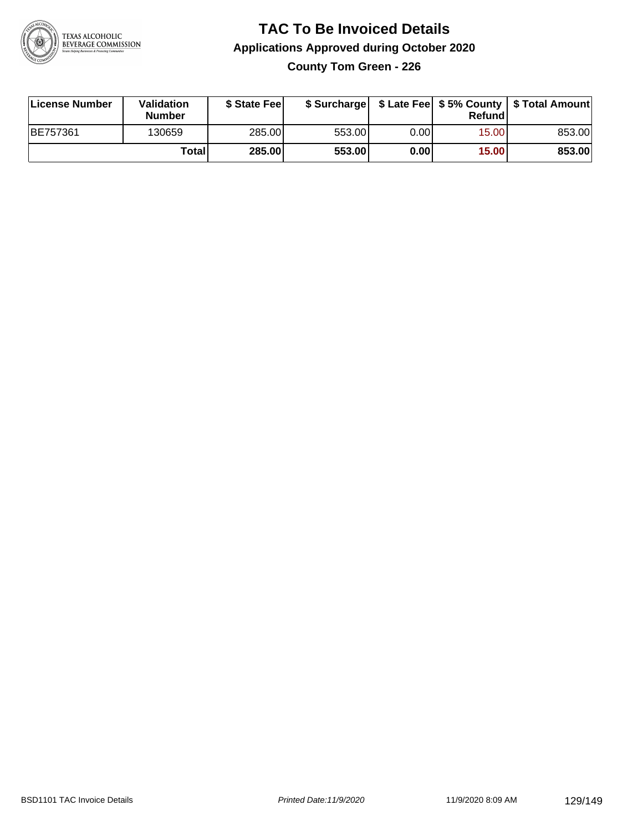

**County Tom Green - 226**

| License Number | <b>Validation</b><br><b>Number</b> | \$ State Fee  | \$ Surcharge |        | Refundl | \$ Late Fee   \$5% County   \$ Total Amount |
|----------------|------------------------------------|---------------|--------------|--------|---------|---------------------------------------------|
| BE757361       | 130659                             | 285.00        | 553.00       | 0.00 l | 15.00   | 853.00                                      |
|                | Totall                             | <b>285.00</b> | 553.00       | 0.00   | 15.00   | 853.00                                      |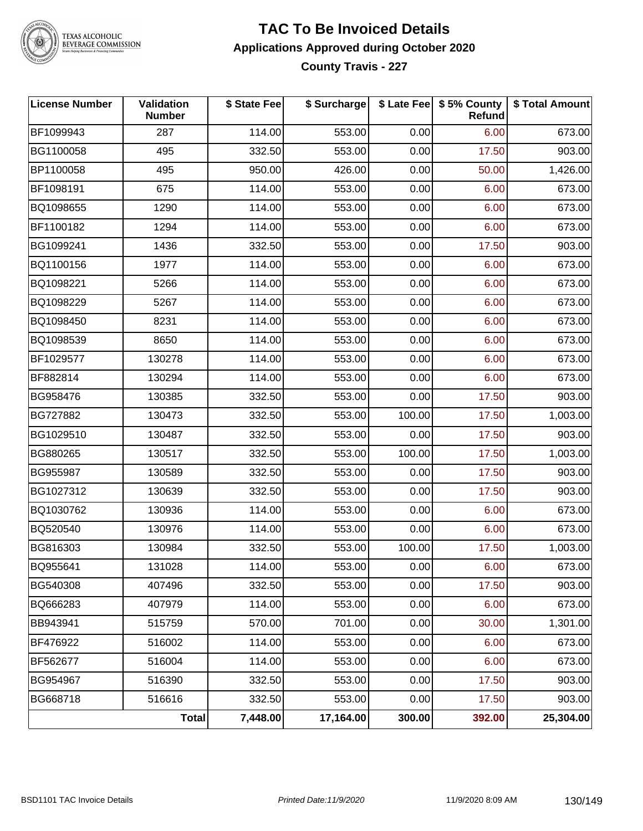

TEXAS ALCOHOLIC<br>BEVERAGE COMMISSION

#### **TAC To Be Invoiced Details Applications Approved during October 2020 County Travis - 227**

| <b>License Number</b> | Validation<br><b>Number</b> | \$ State Fee | \$ Surcharge |        | \$ Late Fee   \$5% County  <br><b>Refund</b> | \$ Total Amount |
|-----------------------|-----------------------------|--------------|--------------|--------|----------------------------------------------|-----------------|
| BF1099943             | 287                         | 114.00       | 553.00       | 0.00   | 6.00                                         | 673.00          |
| BG1100058             | 495                         | 332.50       | 553.00       | 0.00   | 17.50                                        | 903.00          |
| BP1100058             | 495                         | 950.00       | 426.00       | 0.00   | 50.00                                        | 1,426.00        |
| BF1098191             | 675                         | 114.00       | 553.00       | 0.00   | 6.00                                         | 673.00          |
| BQ1098655             | 1290                        | 114.00       | 553.00       | 0.00   | 6.00                                         | 673.00          |
| BF1100182             | 1294                        | 114.00       | 553.00       | 0.00   | 6.00                                         | 673.00          |
| BG1099241             | 1436                        | 332.50       | 553.00       | 0.00   | 17.50                                        | 903.00          |
| BQ1100156             | 1977                        | 114.00       | 553.00       | 0.00   | 6.00                                         | 673.00          |
| BQ1098221             | 5266                        | 114.00       | 553.00       | 0.00   | 6.00                                         | 673.00          |
| BQ1098229             | 5267                        | 114.00       | 553.00       | 0.00   | 6.00                                         | 673.00          |
| BQ1098450             | 8231                        | 114.00       | 553.00       | 0.00   | 6.00                                         | 673.00          |
| BQ1098539             | 8650                        | 114.00       | 553.00       | 0.00   | 6.00                                         | 673.00          |
| BF1029577             | 130278                      | 114.00       | 553.00       | 0.00   | 6.00                                         | 673.00          |
| BF882814              | 130294                      | 114.00       | 553.00       | 0.00   | 6.00                                         | 673.00          |
| BG958476              | 130385                      | 332.50       | 553.00       | 0.00   | 17.50                                        | 903.00          |
| BG727882              | 130473                      | 332.50       | 553.00       | 100.00 | 17.50                                        | 1,003.00        |
| BG1029510             | 130487                      | 332.50       | 553.00       | 0.00   | 17.50                                        | 903.00          |
| BG880265              | 130517                      | 332.50       | 553.00       | 100.00 | 17.50                                        | 1,003.00        |
| BG955987              | 130589                      | 332.50       | 553.00       | 0.00   | 17.50                                        | 903.00          |
| BG1027312             | 130639                      | 332.50       | 553.00       | 0.00   | 17.50                                        | 903.00          |
| BQ1030762             | 130936                      | 114.00       | 553.00       | 0.00   | 6.00                                         | 673.00          |
| BQ520540              | 130976                      | 114.00       | 553.00       | 0.00   | 6.00                                         | 673.00          |
| BG816303              | 130984                      | 332.50       | 553.00       | 100.00 | 17.50                                        | 1,003.00        |
| BQ955641              | 131028                      | 114.00       | 553.00       | 0.00   | 6.00                                         | 673.00          |
| BG540308              | 407496                      | 332.50       | 553.00       | 0.00   | 17.50                                        | 903.00          |
| BQ666283              | 407979                      | 114.00       | 553.00       | 0.00   | 6.00                                         | 673.00          |
| BB943941              | 515759                      | 570.00       | 701.00       | 0.00   | 30.00                                        | 1,301.00        |
| BF476922              | 516002                      | 114.00       | 553.00       | 0.00   | 6.00                                         | 673.00          |
| BF562677              | 516004                      | 114.00       | 553.00       | 0.00   | 6.00                                         | 673.00          |
| BG954967              | 516390                      | 332.50       | 553.00       | 0.00   | 17.50                                        | 903.00          |
| BG668718              | 516616                      | 332.50       | 553.00       | 0.00   | 17.50                                        | 903.00          |
|                       | <b>Total</b>                | 7,448.00     | 17,164.00    | 300.00 | 392.00                                       | 25,304.00       |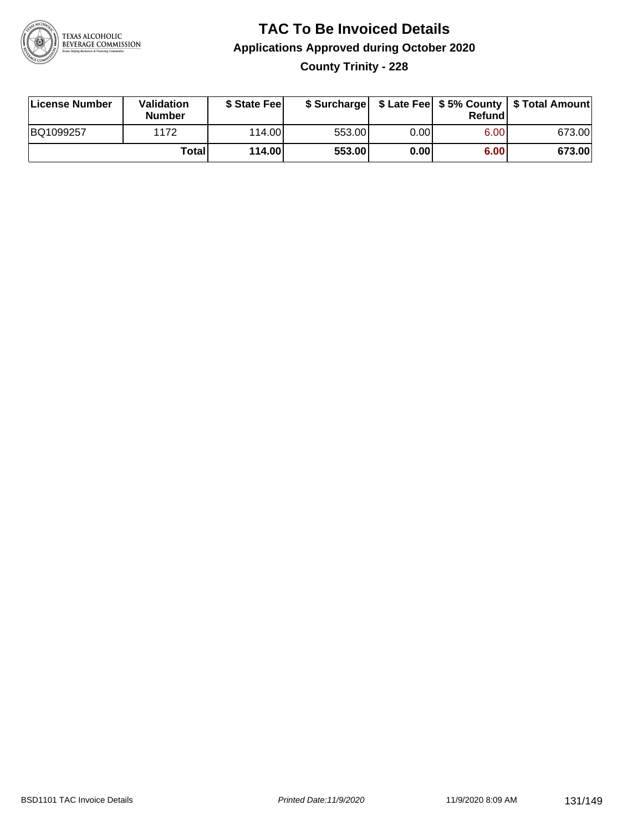

**County Trinity - 228**

| License Number | Validation<br><b>Number</b> | \$ State Feel |        |      | Refundl | \$ Surcharge   \$ Late Fee   \$5% County   \$ Total Amount |
|----------------|-----------------------------|---------------|--------|------|---------|------------------------------------------------------------|
| BQ1099257      | 1172                        | 114.00        | 553.00 | 0.00 | 6.00    | 673.00                                                     |
|                | Totall                      | 114.00        | 553.00 | 0.00 | 6.00    | 673.00                                                     |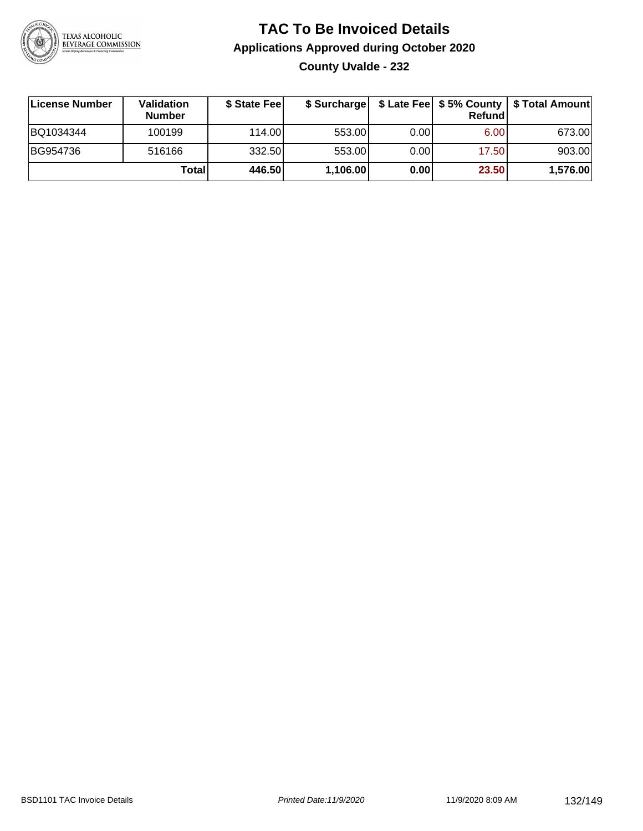

## **TAC To Be Invoiced Details Applications Approved during October 2020 County Uvalde - 232**

| License Number | <b>Validation</b><br><b>Number</b> | \$ State Fee |          |       | Refundl | \$ Surcharge   \$ Late Fee   \$5% County   \$ Total Amount |
|----------------|------------------------------------|--------------|----------|-------|---------|------------------------------------------------------------|
| BQ1034344      | 100199                             | 114.00       | 553.00   | 0.001 | 6.00    | 673.00                                                     |
| BG954736       | 516166                             | 332.50       | 553.00   | 0.00  | 17.50   | 903.00                                                     |
|                | Totall                             | 446.50       | 1,106.00 | 0.00  | 23.50   | 1,576.00                                                   |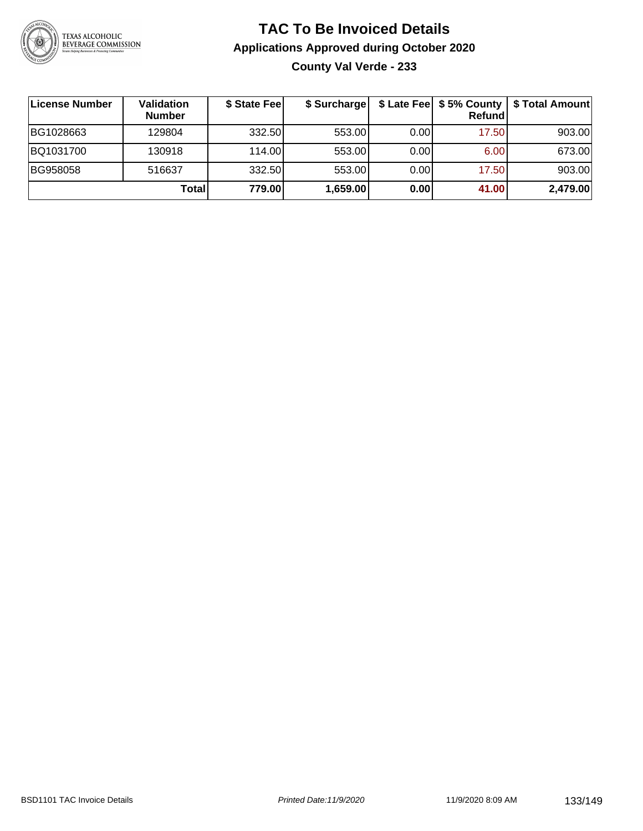

## **TAC To Be Invoiced Details Applications Approved during October 2020 County Val Verde - 233**

| ∣License Number | Validation<br><b>Number</b> | \$ State Feel | \$ Surcharge |      | \$ Late Fee   \$5% County  <br>Refund | \$ Total Amount |
|-----------------|-----------------------------|---------------|--------------|------|---------------------------------------|-----------------|
| BG1028663       | 129804                      | 332.50        | 553.00       | 0.00 | 17.50                                 | 903.00          |
| BQ1031700       | 130918                      | 114.00        | 553.00       | 0.00 | 6.00                                  | 673.00          |
| BG958058        | 516637                      | 332.50        | 553.00       | 0.00 | 17.50                                 | 903.00          |
|                 | Total                       | 779.00        | 1,659.00     | 0.00 | 41.00                                 | 2,479.00        |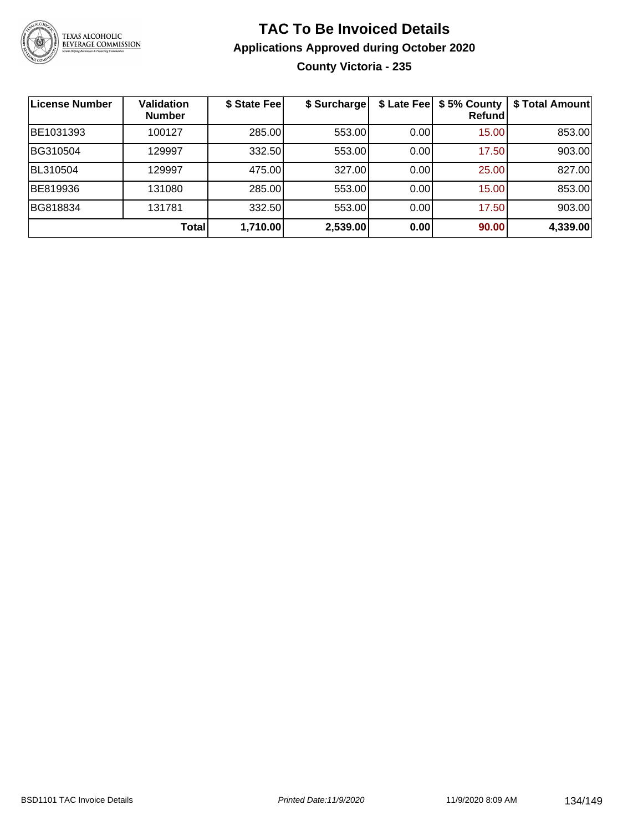

## **TAC To Be Invoiced Details Applications Approved during October 2020 County Victoria - 235**

| License Number | <b>Validation</b><br><b>Number</b> | \$ State Fee | \$ Surcharge |       | \$ Late Fee   \$5% County<br><b>Refund</b> | \$ Total Amount |
|----------------|------------------------------------|--------------|--------------|-------|--------------------------------------------|-----------------|
| BE1031393      | 100127                             | 285.00       | 553.00       | 0.00  | 15.00                                      | 853.00          |
| BG310504       | 129997                             | 332.50       | 553.00       | 0.001 | 17.50                                      | 903.00          |
| BL310504       | 129997                             | 475.00       | 327.00       | 0.00  | 25.00                                      | 827.00          |
| BE819936       | 131080                             | 285.00       | 553.00       | 0.00  | 15.00                                      | 853.00          |
| BG818834       | 131781                             | 332.50       | 553.00       | 0.00  | 17.50                                      | 903.00          |
|                | Total                              | 1,710.00     | 2,539.00     | 0.00  | 90.00                                      | 4,339.00        |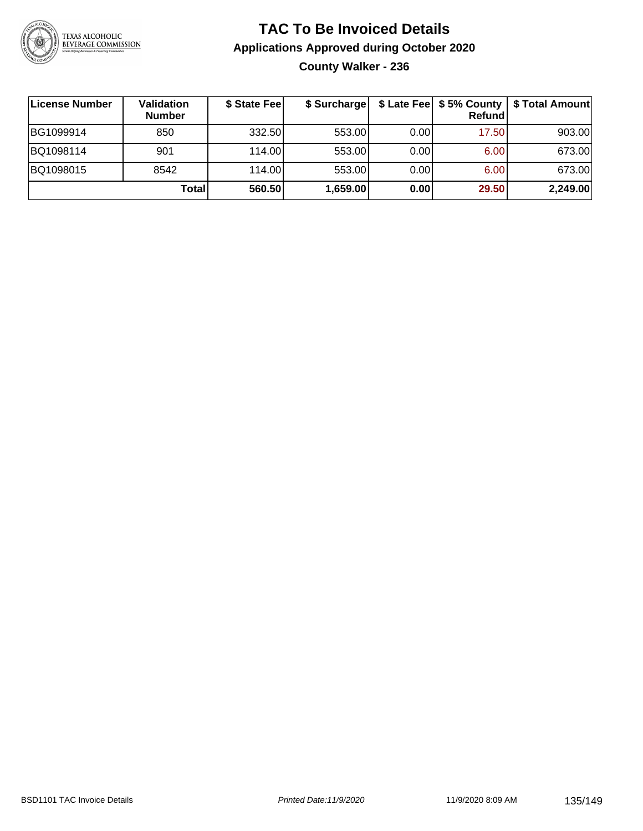

## **TAC To Be Invoiced Details Applications Approved during October 2020 County Walker - 236**

| ∣License Number | <b>Validation</b><br><b>Number</b> | \$ State Fee | \$ Surcharge |      | Refund | \$ Late Fee   \$5% County   \$ Total Amount |
|-----------------|------------------------------------|--------------|--------------|------|--------|---------------------------------------------|
| BG1099914       | 850                                | 332.50       | 553.00       | 0.00 | 17.50  | 903.00                                      |
| BQ1098114       | 901                                | 114.00       | 553.00       | 0.00 | 6.00   | 673.00                                      |
| BQ1098015       | 8542                               | 114.00       | 553.00       | 0.00 | 6.00   | 673.00                                      |
|                 | Total                              | 560.50       | 1,659.00     | 0.00 | 29.50  | 2,249.00                                    |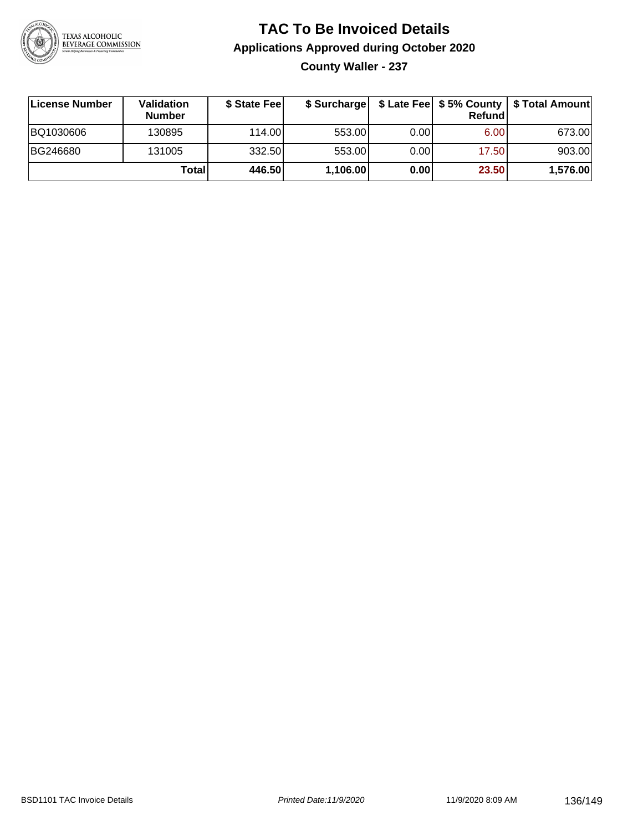

**County Waller - 237**

| License Number | Validation<br><b>Number</b> | \$ State Feel |          |      | Refundl | \$ Surcharge   \$ Late Fee   \$5% County   \$ Total Amount |
|----------------|-----------------------------|---------------|----------|------|---------|------------------------------------------------------------|
| BQ1030606      | 130895                      | 114.00        | 553.00   | 0.00 | 6.00    | 673.00                                                     |
| BG246680       | 131005                      | 332.50        | 553.00   | 0.00 | 17.50   | 903.00                                                     |
|                | Totall                      | 446.50        | 1,106.00 | 0.00 | 23.50   | 1,576.00                                                   |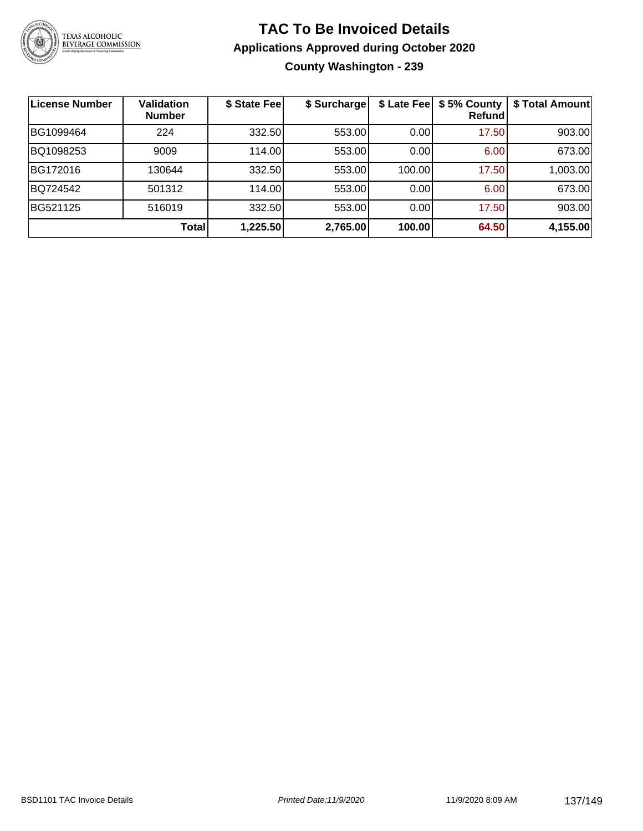

### **TAC To Be Invoiced Details Applications Approved during October 2020 County Washington - 239**

| License Number | Validation<br><b>Number</b> | \$ State Fee | \$ Surcharge | \$ Late Fee | \$5% County<br>Refundl | \$ Total Amount |
|----------------|-----------------------------|--------------|--------------|-------------|------------------------|-----------------|
| BG1099464      | 224                         | 332.50       | 553.00       | 0.00        | 17.50                  | 903.00          |
| BQ1098253      | 9009                        | 114.00       | 553.00       | 0.00        | 6.00                   | 673.00          |
| BG172016       | 130644                      | 332.50       | 553.00       | 100.00      | 17.50                  | 1,003.00        |
| BQ724542       | 501312                      | 114.00       | 553.00       | 0.00        | 6.00                   | 673.00          |
| BG521125       | 516019                      | 332.50       | 553.00       | 0.00        | 17.50                  | 903.00          |
|                | Total                       | 1,225.50     | 2,765.00     | 100.00      | 64.50                  | 4,155.00        |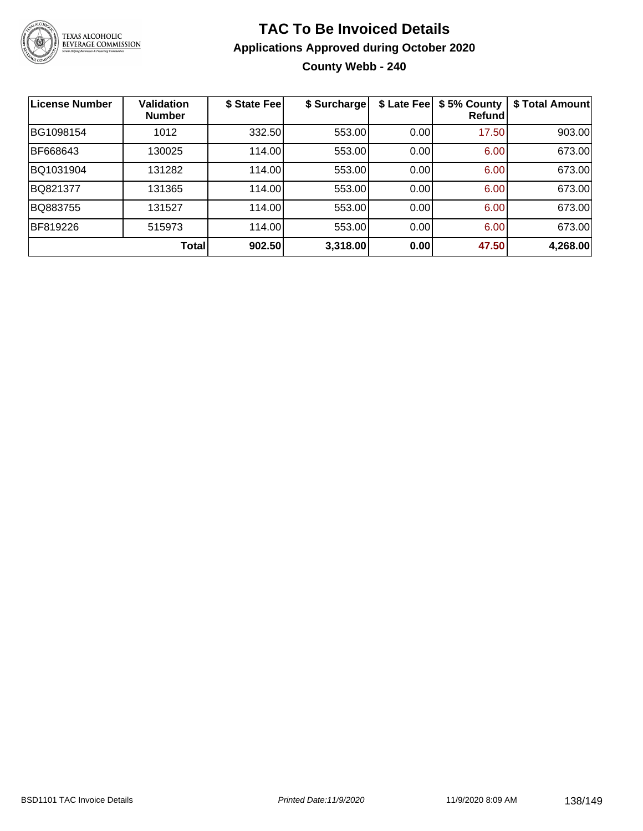

## **TAC To Be Invoiced Details Applications Approved during October 2020 County Webb - 240**

| <b>License Number</b> | <b>Validation</b><br><b>Number</b> | \$ State Fee | \$ Surcharge | \$ Late Fee | \$5% County<br>Refund | \$ Total Amount |
|-----------------------|------------------------------------|--------------|--------------|-------------|-----------------------|-----------------|
| BG1098154             | 1012                               | 332.50       | 553.00       | 0.00        | 17.50                 | 903.00          |
| BF668643              | 130025                             | 114.00       | 553.00       | 0.00        | 6.00                  | 673.00          |
| BQ1031904             | 131282                             | 114.00       | 553.00       | 0.00        | 6.00                  | 673.00          |
| BQ821377              | 131365                             | 114.00       | 553.00       | 0.00        | 6.00                  | 673.00          |
| BQ883755              | 131527                             | 114.00       | 553.00       | 0.00        | 6.00                  | 673.00          |
| BF819226              | 515973                             | 114.00       | 553.00       | 0.00        | 6.00                  | 673.00          |
|                       | Total                              | 902.50       | 3,318.00     | 0.00        | 47.50                 | 4,268.00        |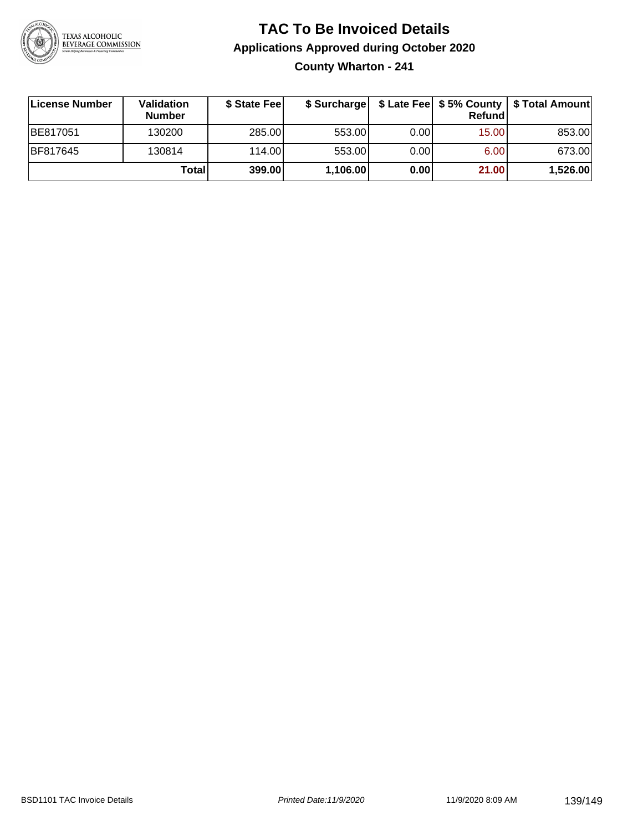

## **TAC To Be Invoiced Details Applications Approved during October 2020 County Wharton - 241**

| License Number  | <b>Validation</b><br><b>Number</b> | \$ State Fee |          |      | Refundl | \$ Surcharge   \$ Late Fee   \$5% County   \$ Total Amount |
|-----------------|------------------------------------|--------------|----------|------|---------|------------------------------------------------------------|
| BE817051        | 130200                             | 285.00       | 553.00   | 0.00 | 15.00   | 853.00                                                     |
| <b>BF817645</b> | 130814                             | 114.00L      | 553.00   | 0.00 | 6.00    | 673.00                                                     |
|                 | Total                              | 399.00       | 1,106.00 | 0.00 | 21.00   | 1,526.00                                                   |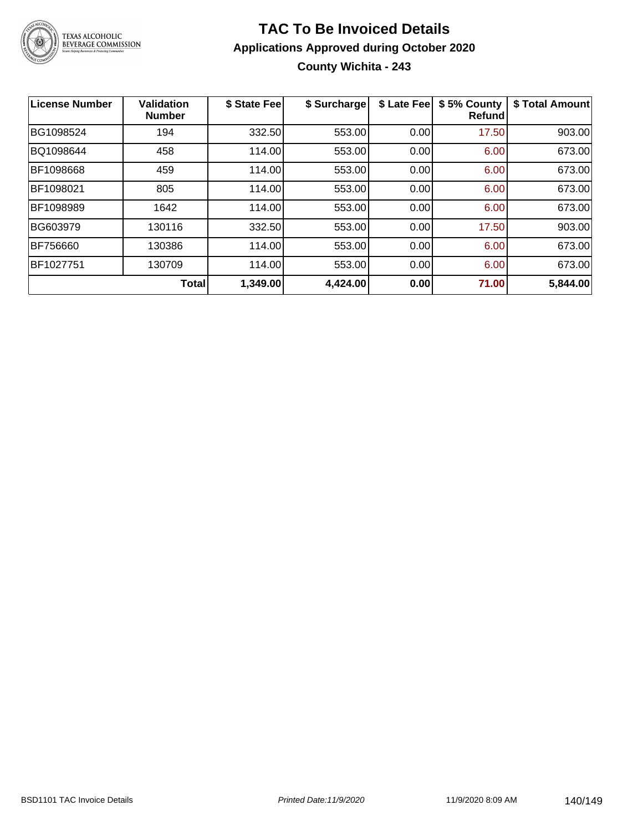

## **TAC To Be Invoiced Details Applications Approved during October 2020 County Wichita - 243**

| License Number | <b>Validation</b><br><b>Number</b> | \$ State Fee | \$ Surcharge | \$ Late Fee | \$5% County<br><b>Refund</b> | \$ Total Amount |
|----------------|------------------------------------|--------------|--------------|-------------|------------------------------|-----------------|
| BG1098524      | 194                                | 332.50       | 553.00       | 0.00        | 17.50                        | 903.00          |
| BQ1098644      | 458                                | 114.00       | 553.00       | 0.00        | 6.00                         | 673.00          |
| BF1098668      | 459                                | 114.00       | 553.00       | 0.00        | 6.00                         | 673.00          |
| BF1098021      | 805                                | 114.00       | 553.00       | 0.00        | 6.00                         | 673.00          |
| BF1098989      | 1642                               | 114.00       | 553.00       | 0.00        | 6.00                         | 673.00          |
| BG603979       | 130116                             | 332.50       | 553.00       | 0.00        | 17.50                        | 903.00          |
| BF756660       | 130386                             | 114.00       | 553.00       | 0.00        | 6.00                         | 673.00          |
| BF1027751      | 130709                             | 114.00       | 553.00       | 0.00        | 6.00                         | 673.00          |
|                | <b>Total</b>                       | 1,349.00     | 4,424.00     | 0.00        | 71.00                        | 5,844.00        |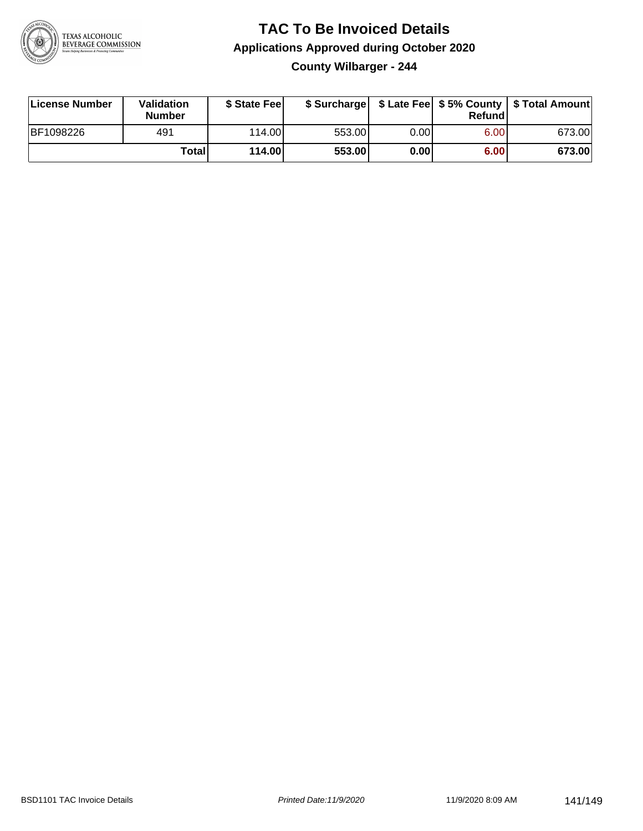

### **TAC To Be Invoiced Details Applications Approved during October 2020 County Wilbarger - 244**

| License Number | <b>Validation</b><br><b>Number</b> | \$ State Fee |        |      | Refund | \$ Surcharge   \$ Late Fee   \$5% County   \$ Total Amount |
|----------------|------------------------------------|--------------|--------|------|--------|------------------------------------------------------------|
| BF1098226      | 491                                | 114.00L      | 553.00 | 0.00 | 6.00   | 673.00                                                     |
|                | Totall                             | 114.00       | 553.00 | 0.00 | 6.00   | 673.00                                                     |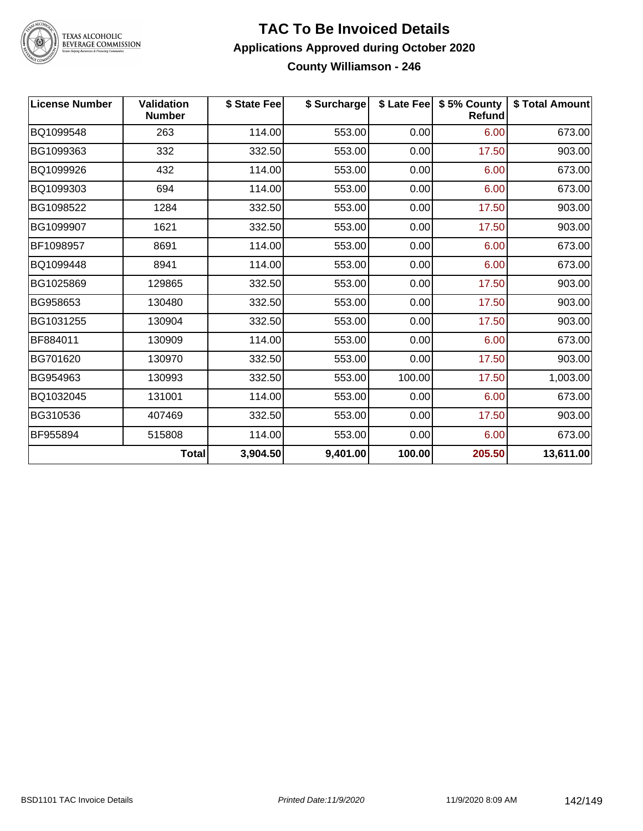

TEXAS ALCOHOLIC<br>BEVERAGE COMMISSION

#### **TAC To Be Invoiced Details Applications Approved during October 2020 County Williamson - 246**

| <b>License Number</b> | <b>Validation</b><br><b>Number</b> | \$ State Fee | \$ Surcharge |        | \$ Late Fee   \$5% County<br><b>Refund</b> | \$ Total Amount |
|-----------------------|------------------------------------|--------------|--------------|--------|--------------------------------------------|-----------------|
| BQ1099548             | 263                                | 114.00       | 553.00       | 0.00   | 6.00                                       | 673.00          |
| BG1099363             | 332                                | 332.50       | 553.00       | 0.00   | 17.50                                      | 903.00          |
| BQ1099926             | 432                                | 114.00       | 553.00       | 0.00   | 6.00                                       | 673.00          |
| BQ1099303             | 694                                | 114.00       | 553.00       | 0.00   | 6.00                                       | 673.00          |
| BG1098522             | 1284                               | 332.50       | 553.00       | 0.00   | 17.50                                      | 903.00          |
| BG1099907             | 1621                               | 332.50       | 553.00       | 0.00   | 17.50                                      | 903.00          |
| BF1098957             | 8691                               | 114.00       | 553.00       | 0.00   | 6.00                                       | 673.00          |
| BQ1099448             | 8941                               | 114.00       | 553.00       | 0.00   | 6.00                                       | 673.00          |
| BG1025869             | 129865                             | 332.50       | 553.00       | 0.00   | 17.50                                      | 903.00          |
| BG958653              | 130480                             | 332.50       | 553.00       | 0.00   | 17.50                                      | 903.00          |
| BG1031255             | 130904                             | 332.50       | 553.00       | 0.00   | 17.50                                      | 903.00          |
| BF884011              | 130909                             | 114.00       | 553.00       | 0.00   | 6.00                                       | 673.00          |
| BG701620              | 130970                             | 332.50       | 553.00       | 0.00   | 17.50                                      | 903.00          |
| BG954963              | 130993                             | 332.50       | 553.00       | 100.00 | 17.50                                      | 1,003.00        |
| BQ1032045             | 131001                             | 114.00       | 553.00       | 0.00   | 6.00                                       | 673.00          |
| BG310536              | 407469                             | 332.50       | 553.00       | 0.00   | 17.50                                      | 903.00          |
| BF955894              | 515808                             | 114.00       | 553.00       | 0.00   | 6.00                                       | 673.00          |
|                       | <b>Total</b>                       | 3,904.50     | 9,401.00     | 100.00 | 205.50                                     | 13,611.00       |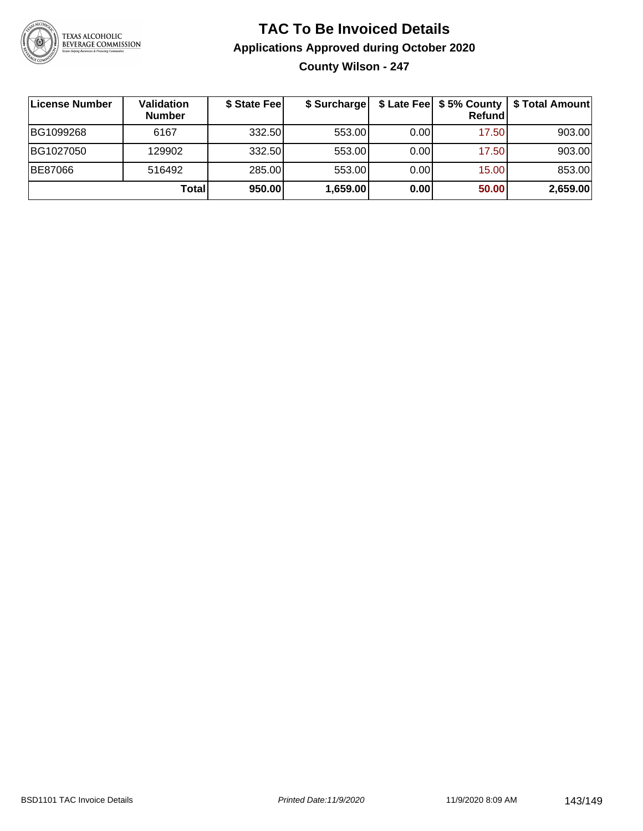

## **TAC To Be Invoiced Details Applications Approved during October 2020 County Wilson - 247**

| License Number | Validation<br><b>Number</b> | \$ State Fee | \$ Surcharge |       | Refundl | \$ Late Fee   \$5% County   \$ Total Amount |
|----------------|-----------------------------|--------------|--------------|-------|---------|---------------------------------------------|
| BG1099268      | 6167                        | 332.50       | 553.00       | 0.001 | 17.50   | 903.00                                      |
| BG1027050      | 129902                      | 332.50       | 553.00       | 0.00  | 17.50   | 903.00                                      |
| <b>BE87066</b> | 516492                      | 285.00       | 553.00       | 0.00  | 15.00   | 853.00                                      |
|                | <b>Total</b>                | 950.00       | 1,659.00     | 0.00  | 50.00   | 2,659.00                                    |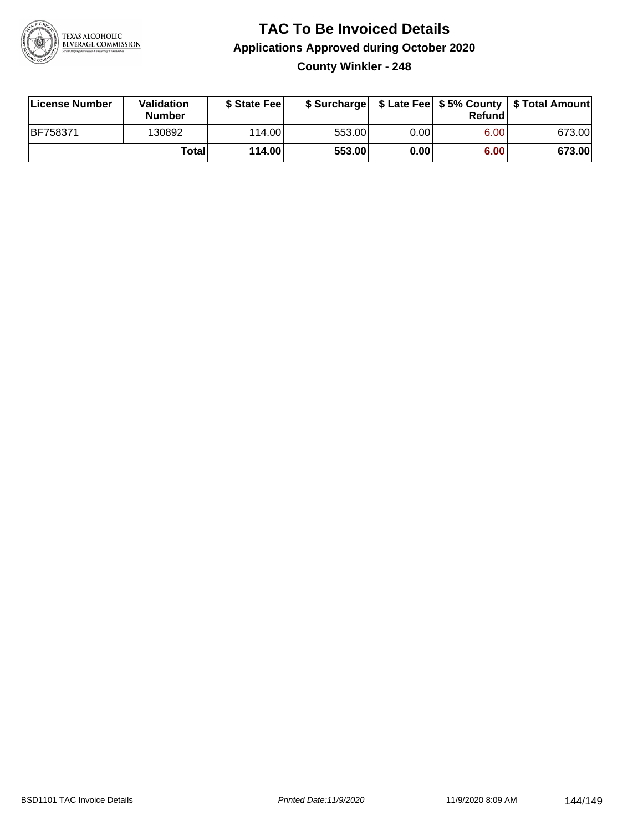

**County Winkler - 248**

| License Number | Validation<br><b>Number</b> | \$ State Fee |        |      | Refundl | \$ Surcharge   \$ Late Fee   \$5% County   \$ Total Amount |
|----------------|-----------------------------|--------------|--------|------|---------|------------------------------------------------------------|
| BF758371       | 130892                      | 114.00       | 553.00 | 0.00 | 6.00    | 673.00                                                     |
|                | <b>Total</b>                | 114.00       | 553.00 | 0.00 | 6.00    | 673.00                                                     |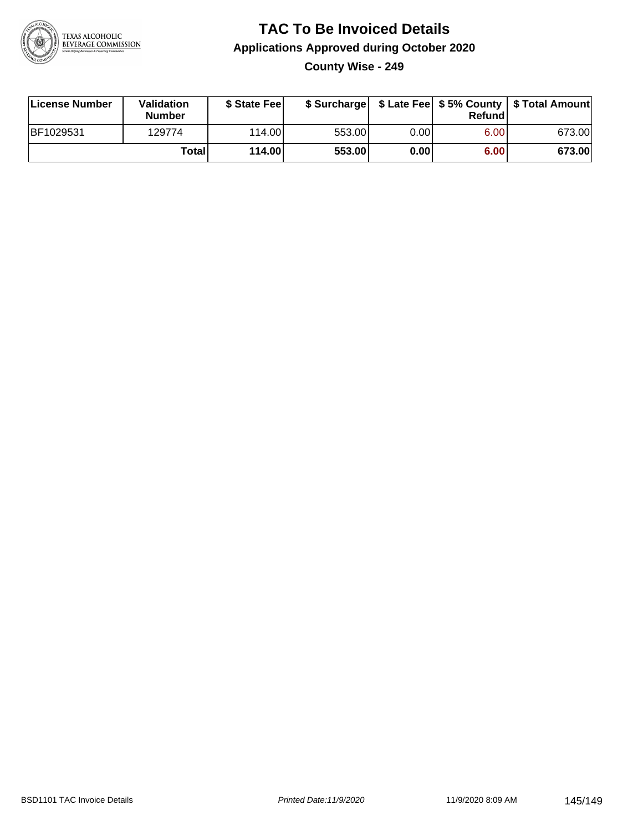

#### **TAC To Be Invoiced Details Applications Approved during October 2020 County Wise - 249**

| License Number | Validation<br><b>Number</b> | \$ State Fee |        |      | Refund | \$ Surcharge   \$ Late Fee   \$5% County   \$ Total Amount |
|----------------|-----------------------------|--------------|--------|------|--------|------------------------------------------------------------|
| BF1029531      | 129774                      | 114.00       | 553.00 | 0.00 | 6.00   | 673.00                                                     |
|                | <b>Total</b>                | 114.00       | 553.00 | 0.00 | 6.00   | 673.00                                                     |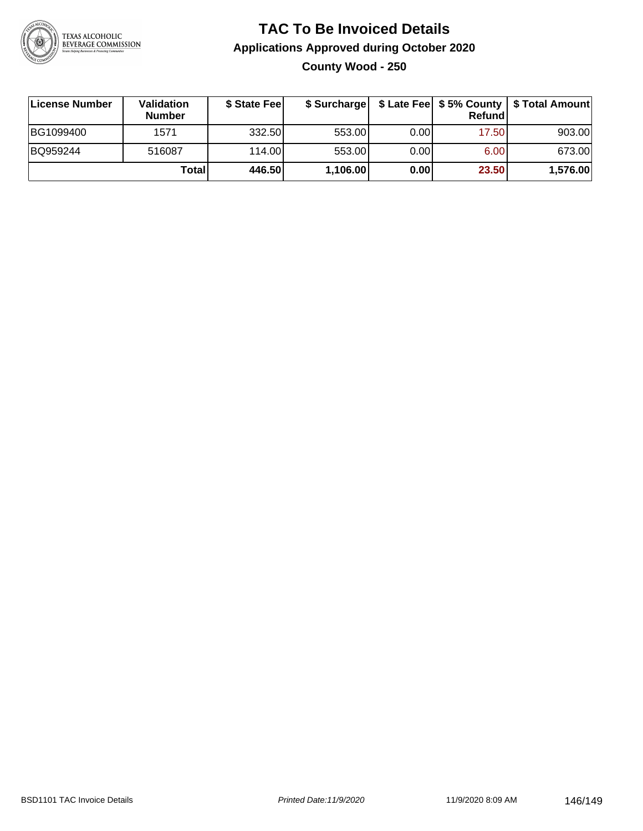

## **TAC To Be Invoiced Details Applications Approved during October 2020 County Wood - 250**

| License Number | Validation<br><b>Number</b> | \$ State Fee |          |      | Refund | \$ Surcharge   \$ Late Fee   \$5% County   \$ Total Amount |
|----------------|-----------------------------|--------------|----------|------|--------|------------------------------------------------------------|
| BG1099400      | 1571                        | 332.50       | 553.00   | 0.00 | 17.50  | 903.00                                                     |
| BQ959244       | 516087                      | 114.00L      | 553.00   | 0.00 | 6.00   | 673.00                                                     |
|                | Totall                      | 446.50       | 1,106.00 | 0.00 | 23.50  | 1,576.00                                                   |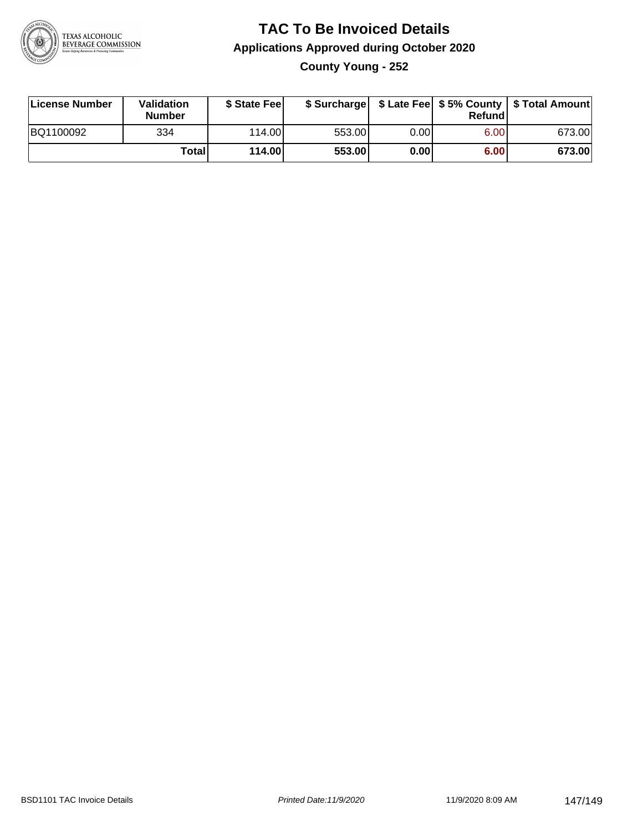

## **TAC To Be Invoiced Details Applications Approved during October 2020 County Young - 252**

| License Number | Validation<br><b>Number</b> | \$ State Fee |        |      | Refundl | \$ Surcharge   \$ Late Fee   \$5% County   \$ Total Amount |
|----------------|-----------------------------|--------------|--------|------|---------|------------------------------------------------------------|
| BQ1100092      | 334                         | 114.00L      | 553.00 | 0.00 | 6.00    | 673.00                                                     |
|                | <b>Total</b>                | 114.00       | 553.00 | 0.00 | 6.00    | 673.00                                                     |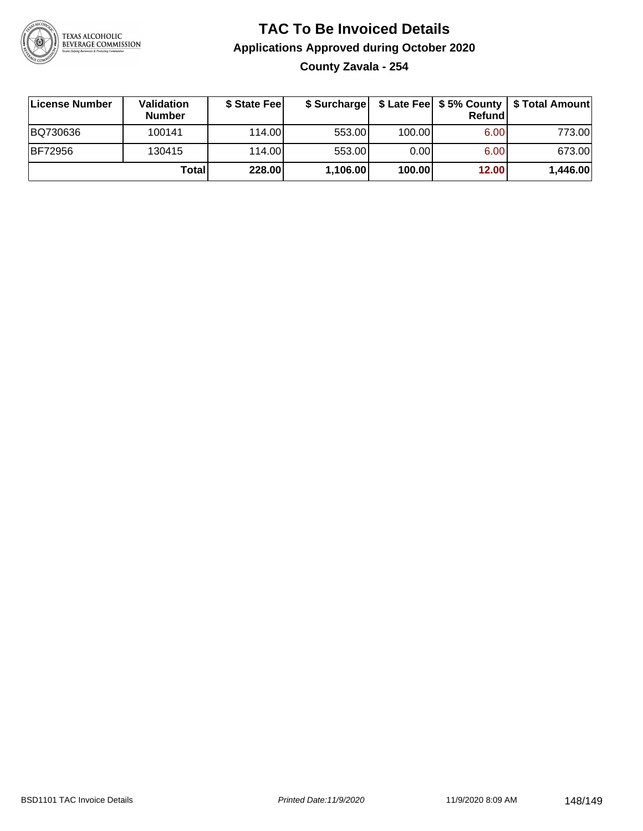

# **TAC To Be Invoiced Details Applications Approved during October 2020**

**County Zavala - 254**

| ∣License Number | Validation<br><b>Number</b> | \$ State Fee | \$ Surcharge |        | <b>Refund</b>     | \$ Late Fee   \$5% County   \$ Total Amount |
|-----------------|-----------------------------|--------------|--------------|--------|-------------------|---------------------------------------------|
| BQ730636        | 100141                      | 114.00L      | 553.00       | 100.00 | 6.00              | 773.00                                      |
| <b>BF72956</b>  | 130415                      | 114.00L      | 553.00       | 0.001  | 6.00 <sub>1</sub> | 673.00                                      |
|                 | Totall                      | 228.00       | 1,106.00     | 100.00 | 12.00             | 1,446.00                                    |